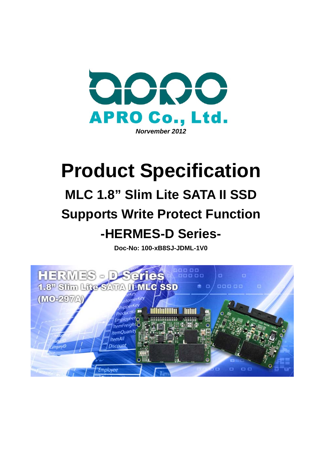

# **Product Specification**

# **MLC 1.8" Slim Lite SATA II SSD Supports Write Protect Function -HERMES-D Series-**

**Doc-No: 100-xB8SJ-JDML-1V0** 

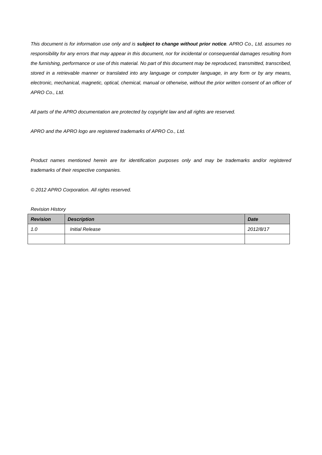*This document is for information use only and is subject to change without prior notice. APRO Co., Ltd. assumes no responsibility for any errors that may appear in this document, nor for incidental or consequential damages resulting from*  the furnishing, performance or use of this material. No part of this document may be reproduced, transmitted, transcribed, *stored in a retrievable manner or translated into any language or computer language, in any form or by any means,*  electronic, mechanical, magnetic, optical, chemical, manual or otherwise, without the prior written consent of an officer of *APRO Co., Ltd.* 

*All parts of the APRO documentation are protected by copyright law and all rights are reserved.* 

*APRO and the APRO logo are registered trademarks of APRO Co., Ltd.* 

*Product names mentioned herein are for identification purposes only and may be trademarks and/or registered trademarks of their respective companies.* 

*© 2012 APRO Corporation. All rights reserved.* 

#### *Revision History*

| <b>Revision</b> | <b>Description</b>     | <b>Date</b> |
|-----------------|------------------------|-------------|
| 1.0             | <b>Initial Release</b> | 2012/8/17   |
|                 |                        |             |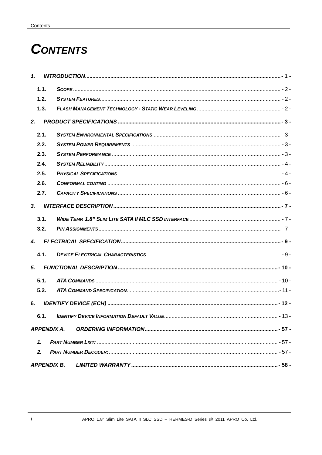# **CONTENTS**

| $\mathbf{1}$   |                    |  |
|----------------|--------------------|--|
| 1.1.           |                    |  |
| 1.2.           |                    |  |
| 1.3.           |                    |  |
| 2.             |                    |  |
| 2.1.           |                    |  |
| 2.2.           |                    |  |
| 2.3.           |                    |  |
| 2.4.           |                    |  |
| 2.5.           |                    |  |
| 2.6.           |                    |  |
| 2.7.           |                    |  |
| 3 <sub>r</sub> |                    |  |
| 3.1.           |                    |  |
| 3.2.           |                    |  |
| $\mathbf{A}$   |                    |  |
| 4.1.           |                    |  |
| 5 <sub>1</sub> |                    |  |
| 5.1.           |                    |  |
| 5.2.           |                    |  |
| 6.             |                    |  |
|                |                    |  |
|                | <b>APPENDIX A.</b> |  |
| $\mathbf{1}$   |                    |  |
| 2.             |                    |  |
|                |                    |  |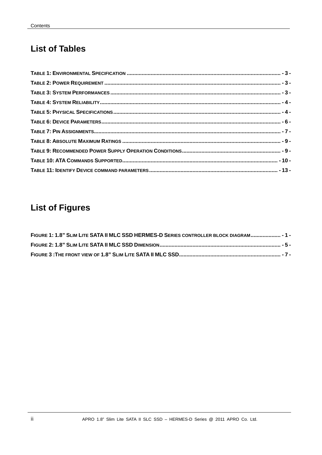## **List of Tables**

# **List of Figures**

| FIGURE 1: 1.8" SLIM LITE SATA II MLC SSD HERMES-D SERIES CONTROLLER BLOCK DIAGRAM - 1 - |  |
|-----------------------------------------------------------------------------------------|--|
|                                                                                         |  |
|                                                                                         |  |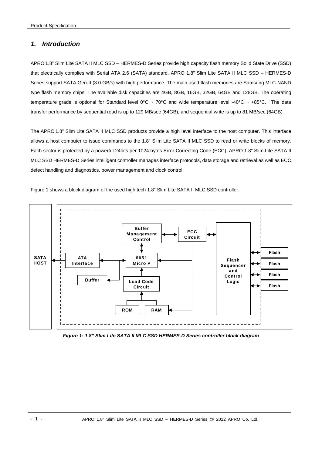## *1. Introduction*

APRO 1.8" Slim Lite SATA II MLC SSD – HERMES-D Series provide high capacity flash memory Solid State Drive (SSD) that electrically complies with Serial ATA 2.6 (SATA) standard. APRO 1.8" Slim Lite SATA II MLC SSD – HERMES-D Series support SATA Gen-II (3.0 GB/s) with high performance. The main used flash memories are Samsung MLC-NAND type flash memory chips. The available disk capacities are 4GB, 8GB, 16GB, 32GB, 64GB and 128GB. The operating temperature grade is optional for Standard level  $0^{\circ}$ C ~ 70°C and wide temperature level -40°C ~ +85°C. The data transfer performance by sequential read is up to 129 MB/sec (64GB), and sequential write is up to 81 MB/sec (64GB).

The APRO 1.8" Slim Lite SATA II MLC SSD products provide a high level interface to the host computer. This interface allows a host computer to issue commands to the 1.8" Slim Lite SATA II MLC SSD to read or write blocks of memory. Each sector is protected by a powerful 24bits per 1024 bytes Error Correcting Code (ECC). APRO 1.8" Slim Lite SATA II MLC SSD HERMES-D Series intelligent controller manages interface protocols, data storage and retrieval as well as ECC, defect handling and diagnostics, power management and clock control.

Figure 1 shows a block diagram of the used high tech 1.8" Slim Lite SATA II MLC SSD controller.



*Figure 1: 1.8" Slim Lite SATA II MLC SSD HERMES-D Series controller block diagram*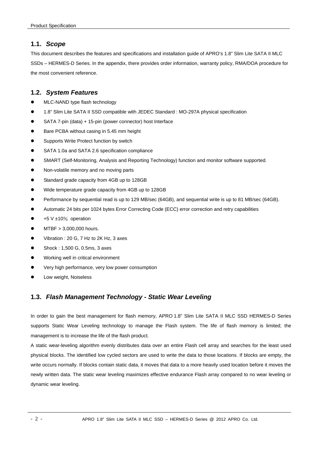## **1.1.** *Scope*

This document describes the features and specifications and installation guide of APRO's 1.8" Slim Lite SATA II MLC SSDs – HERMES-D Series. In the appendix, there provides order information, warranty policy, RMA/DOA procedure for the most convenient reference.

## **1.2.** *System Features*

- MLC-NAND type flash technology
- 1.8" Slim Lite SATA II SSD compatible with JEDEC Standard : MO-297A physical specification
- SATA 7-pin (data) + 15-pin (power connector) host Interface
- Bare PCBA without casing in 5.45 mm height
- **•** Supports Write Protect function by switch
- SATA 1.0a and SATA 2.6 specification compliance
- SMART (Self-Monitoring, Analysis and Reporting Technology) function and monitor software supported.
- Non-volatile memory and no moving parts
- Standard grade capacity from 4GB up to 128GB
- Wide temperature grade capacity from 4GB up to 128GB
- Performance by sequential read is up to 129 MB/sec (64GB), and sequential write is up to 81 MB/sec (64GB).
- Automatic 24 bits per 1024 bytes Error Correcting Code (ECC) error correction and retry capabilities
- +5 V ±10% operation
- $\bullet$  MTBF  $> 3.000.000$  hours.
- Vibration : 20 G, 7 Hz to 2K Hz, 3 axes
- **Shock : 1,500 G, 0.5ms, 3 axes**
- **•** Working well in critical environment
- Very high performance, very low power consumption
- Low weight, Noiseless

## **1.3.** *Flash Management Technology - Static Wear Leveling*

In order to gain the best management for flash memory, APRO 1.8" Slim Lite SATA II MLC SSD HERMES-D Series supports Static Wear Leveling technology to manage the Flash system. The life of flash memory is limited; the management is to increase the life of the flash product.

A static wear-leveling algorithm evenly distributes data over an entire Flash cell array and searches for the least used physical blocks. The identified low cycled sectors are used to write the data to those locations. If blocks are empty, the write occurs normally. If blocks contain static data, it moves that data to a more heavily used location before it moves the newly written data. The static wear leveling maximizes effective endurance Flash array compared to no wear leveling or dynamic wear leveling.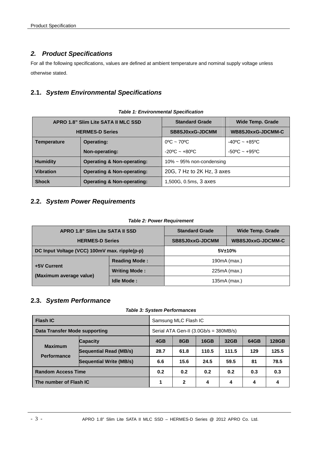## *2. Product Specifications*

For all the following specifications, values are defined at ambient temperature and nominal supply voltage unless otherwise stated.

## **2.1.** *System Environmental Specifications*

| APRO 1.8" Slim Lite SATA II MLC SSD |                                       | <b>Standard Grade</b>             | <b>Wide Temp. Grade</b>           |  |
|-------------------------------------|---------------------------------------|-----------------------------------|-----------------------------------|--|
| <b>HERMES-D Series</b>              |                                       | SB8SJ0xxG-JDCMM                   | WB8SJ0xxG-JDCMM-C                 |  |
| <b>Temperature</b>                  | <b>Operating:</b>                     | $0^{\circ}$ C ~ 70 <sup>o</sup> C | $-40^{\circ}$ C ~ $+85^{\circ}$ C |  |
|                                     | Non-operating:                        | $-20^{\circ}$ C ~ $+80^{\circ}$ C | $-50^{\circ}$ C ~ $+95^{\circ}$ C |  |
| <b>Humidity</b>                     | <b>Operating &amp; Non-operating:</b> | $10\% \sim 95\%$ non-condensing   |                                   |  |
| <b>Vibration</b>                    | <b>Operating &amp; Non-operating:</b> | 20G, 7 Hz to 2K Hz, 3 axes        |                                   |  |
| <b>Shock</b>                        | <b>Operating &amp; Non-operating:</b> | 1,500G, 0.5ms, 3 axes             |                                   |  |

#### *Table 1: Environmental Specification*

## **2.2.** *System Power Requirements*

#### *Table 2: Power Requirement*

| APRO 1.8" Slim Lite SATA II SSD               |                      | <b>Standard Grade</b> | <b>Wide Temp. Grade</b> |  |
|-----------------------------------------------|----------------------|-----------------------|-------------------------|--|
| <b>HERMES-D Series</b>                        |                      | SB8SJ0xxG-JDCMM       | WB8SJ0xxG-JDCMM-C       |  |
| DC Input Voltage (VCC) 100mV max. ripple(p-p) |                      | 5V±10%                |                         |  |
|                                               | <b>Reading Mode:</b> | 190mA (max.)          |                         |  |
| +5V Current                                   | <b>Writing Mode:</b> | $225mA$ (max.)        |                         |  |
| (Maximum average value)                       | <b>Idle Mode:</b>    | $135mA$ (max.)        |                         |  |

## **2.3.** *System Performance*

*Table 3: System Performances* 

| <b>Flash IC</b>                      |                                | Samsung MLC Flash IC                    |      |       |       |      |              |
|--------------------------------------|--------------------------------|-----------------------------------------|------|-------|-------|------|--------------|
| Data Transfer Mode supporting        |                                | Serial ATA Gen-II $(3.0Gb/s = 380MB/s)$ |      |       |       |      |              |
|                                      | <b>Capacity</b>                | 4GB                                     | 8GB  | 16GB  | 32GB  | 64GB | <b>128GB</b> |
| <b>Maximum</b><br><b>Performance</b> | Sequential Read (MB/s)         | 28.7                                    | 61.8 | 110.5 | 111.5 | 129  | 125.5        |
|                                      | <b>Sequential Write (MB/s)</b> | 6.6                                     | 15.6 | 24.5  | 59.5  | 81   | 78.5         |
| <b>Random Access Time</b>            |                                | 0.2                                     | 0.2  | 0.2   | 0.2   | 0.3  | 0.3          |
| The number of Flash IC               |                                |                                         | 2    | 4     | 4     | 4    | 4            |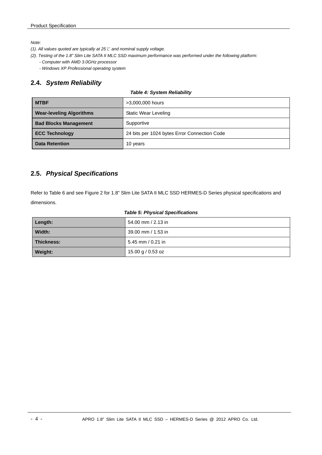*Note:* 

- *(1). All values quoted are typically at 25 ℃ and nominal supply voltage.*
- *(2). Testing of the 1.8" Slim Lite SATA II MLC SSD maximum performance was performed under the following platform:* 
	- *Computer with AMD 3.0GHz processor*
	- *Windows XP Professional operating system*

## **2.4.** *System Reliability*

#### *Table 4: System Reliability*

| <b>MTBF</b>                     | >3,000,000 hours                             |
|---------------------------------|----------------------------------------------|
| <b>Wear-leveling Algorithms</b> | <b>Static Wear Leveling</b>                  |
| <b>Bad Blocks Management</b>    | Supportive                                   |
| <b>ECC Technology</b>           | 24 bits per 1024 bytes Error Connection Code |
| <b>Data Retention</b>           | 10 years                                     |

## **2.5.** *Physical Specifications*

Refer to Table 6 and see Figure 2 for 1.8" Slim Lite SATA II MLC SSD HERMES-D Series physical specifications and dimensions.

#### *Table 5: Physical Specifications*

| Length:    | 54.00 mm / 2.13 in |
|------------|--------------------|
| Width:     | 39.00 mm / 1.53 in |
| Thickness: | 5.45 mm / 0.21 in  |
| Weight:    | 15.00 g / 0.53 oz  |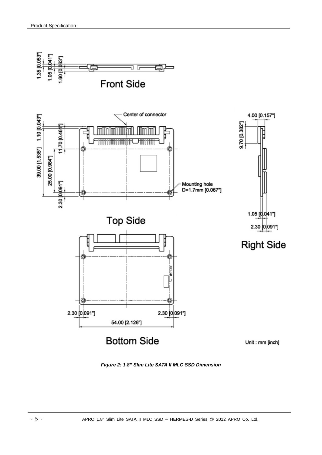

*Figure 2: 1.8" Slim Lite SATA II MLC SSD Dimension*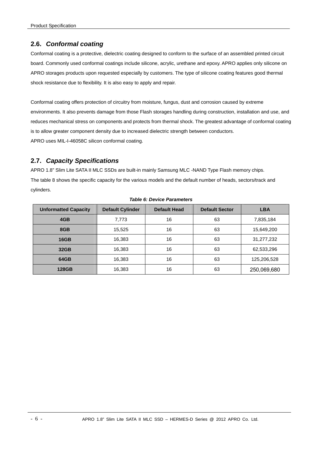## **2.6.** *Conformal coating*

Conformal coating is a protective, dielectric coating designed to conform to the surface of an assembled printed circuit board. Commonly used conformal coatings include silicone, acrylic, urethane and epoxy. APRO applies only silicone on APRO storages products upon requested especially by customers. The type of silicone coating features good thermal shock resistance due to flexibility. It is also easy to apply and repair.

Conformal coating offers protection of circuitry from moisture, fungus, dust and corrosion caused by extreme environments. It also prevents damage from those Flash storages handling during construction, installation and use, and reduces mechanical stress on components and protects from thermal shock. The greatest advantage of conformal coating is to allow greater component density due to increased dielectric strength between conductors. APRO uses MIL-I-46058C silicon conformal coating.

## **2.7.** *Capacity Specifications*

APRO 1.8" Slim Lite SATA II MLC SSDs are built-in mainly Samsung MLC -NAND Type Flash memory chips. The table 8 shows the specific capacity for the various models and the default number of heads, sectors/track and cylinders.

| <b>Unformatted Capacity</b> | <b>Default Cylinder</b> | <b>Default Head</b> | <b>Default Sector</b> | <b>LBA</b>  |
|-----------------------------|-------------------------|---------------------|-----------------------|-------------|
| 4GB                         | 7,773                   | 16                  | 63                    | 7,835,184   |
| 8GB                         | 15,525                  | 16                  | 63                    | 15,649,200  |
| <b>16GB</b>                 | 16,383                  | 16                  | 63                    | 31,277,232  |
| 32GB                        | 16,383                  | 16                  | 63                    | 62,533,296  |
| 64GB                        | 16,383                  | 16                  | 63                    | 125,206,528 |
| <b>128GB</b>                | 16,383                  | 16                  | 63                    | 250,069,680 |

#### *Table 6: Device Parameters*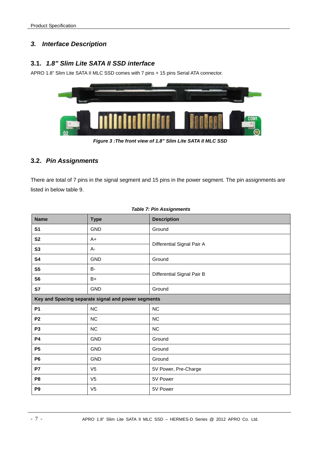## *3. Interface Description*

## **3.1.** *1.8" Slim Lite SATA II SSD interface*

APRO 1.8" Slim Lite SATA II MLC SSD comes with 7 pins + 15 pins Serial ATA connector.



*Figure 3 :The front view of 1.8" Slim Lite SATA II MLC SSD* 

## **3.2.** *Pin Assignments*

There are total of 7 pins in the signal segment and 15 pins in the power segment. The pin assignments are listed in below table 9.

| <b>Name</b>    | <b>Type</b>                                        | <b>Description</b>         |
|----------------|----------------------------------------------------|----------------------------|
| S <sub>1</sub> | GND                                                | Ground                     |
| S <sub>2</sub> | $A+$                                               | Differential Signal Pair A |
| S3             | A-                                                 |                            |
| S4             | <b>GND</b>                                         | Ground                     |
| S <sub>5</sub> | B-                                                 |                            |
| S <sub>6</sub> | $B+$                                               | Differential Signal Pair B |
| S7             | GND                                                | Ground                     |
|                | Key and Spacing separate signal and power segments |                            |
| <b>P1</b>      | NC                                                 | NC                         |
| P <sub>2</sub> | <b>NC</b>                                          | NC                         |
| P <sub>3</sub> | NC                                                 | $NC$                       |
| <b>P4</b>      | GND                                                | Ground                     |
| P <sub>5</sub> | GND                                                | Ground                     |
| P <sub>6</sub> | <b>GND</b>                                         | Ground                     |
| P7             | V <sub>5</sub>                                     | 5V Power, Pre-Charge       |
| P <sub>8</sub> | V <sub>5</sub>                                     | 5V Power                   |
| P <sub>9</sub> | V <sub>5</sub>                                     | 5V Power                   |

#### *Table 7: Pin Assignments*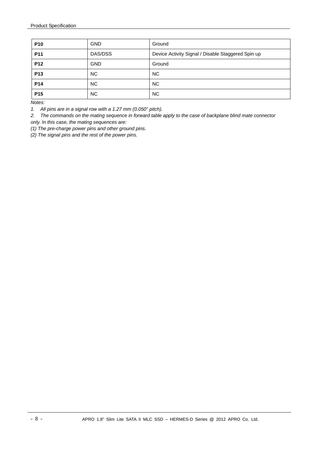| <b>P10</b>      | <b>GND</b> | Ground                                             |
|-----------------|------------|----------------------------------------------------|
| P <sub>11</sub> | DAS/DSS    | Device Activity Signal / Disable Staggered Spin up |
| P <sub>12</sub> | <b>GND</b> | Ground                                             |
| P <sub>13</sub> | <b>NC</b>  | <b>NC</b>                                          |
| P <sub>14</sub> | NC.        | NC.                                                |
| P <sub>15</sub> | NC.        | NC.                                                |

*Notes:* 

*1. All pins are in a signal row with a 1.27 mm (0.050" pitch).* 

*2. The commands on the mating sequence in forward table apply to the case of backplane blind mate connector only. In this case, the mating sequences are:* 

*(1) The pre-charge power pins and other ground pins.* 

*(2) The signal pins and the rest of the power pins.*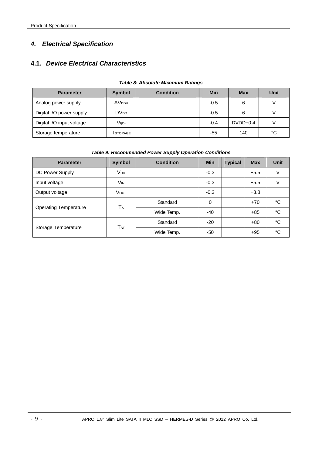## *4. Electrical Specification*

## **4.1.** *Device Electrical Characteristics*

| <b>Parameter</b>          | <b>Symbol</b>          | <b>Condition</b> | <b>Min</b> | <b>Max</b> | Unit |
|---------------------------|------------------------|------------------|------------|------------|------|
| Analog power supply       | <b>AVDDH</b>           |                  | $-0.5$     | 6          |      |
| Digital I/O power supply  | <b>DV<sub>DD</sub></b> |                  | $-0.5$     | 6          |      |
| Digital I/O input voltage | $V_{I(D)}$             |                  | $-0.4$     | $DVDD+0.4$ |      |
| Storage temperature       | Tstorage               |                  | $-55$      | 140        | °C   |

#### *Table 8: Absolute Maximum Ratings*

#### *Table 9: Recommended Power Supply Operation Conditions*

| <b>Parameter</b>             | <b>Symbol</b>         | <b>Condition</b> | <b>Min</b>  | <b>Typical</b> | <b>Max</b> | <b>Unit</b> |
|------------------------------|-----------------------|------------------|-------------|----------------|------------|-------------|
| DC Power Supply              | <b>V<sub>DD</sub></b> |                  | $-0.3$      |                | $+5.5$     | V           |
| Input voltage                | V <sub>IN</sub>       |                  | $-0.3$      |                | $+5.5$     | V           |
| Output voltage               | <b>VOUT</b>           |                  | $-0.3$      |                | $+3.8$     |             |
|                              |                       | Standard         | $\mathbf 0$ |                | $+70$      | °C          |
| <b>Operating Temperature</b> | <b>TA</b>             | Wide Temp.       | $-40$       |                | $+85$      | °C          |
|                              |                       | Standard         | $-20$       |                | $+80$      | °C          |
| Storage Temperature          | TsT                   | Wide Temp.       | -50         |                | $+95$      | °C          |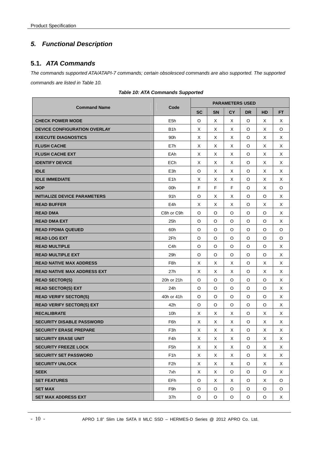## *5. Functional Description*

## **5.1.** *ATA Commands*

*The commands supported ATA/ATAPI-7 commands; certain obsolesced commands are also supported. The supported commands are listed in Table 10.* 

|                                     |                  |           | <b>PARAMETERS USED</b> |           |           |           |           |  |  |  |
|-------------------------------------|------------------|-----------|------------------------|-----------|-----------|-----------|-----------|--|--|--|
| <b>Command Name</b>                 | Code             | <b>SC</b> | <b>SN</b>              | <b>CY</b> | <b>DR</b> | <b>HD</b> | <b>FT</b> |  |  |  |
| <b>CHECK POWER MODE</b>             | E <sub>5h</sub>  | O         | Χ                      | Χ         | O         | Х         | Χ         |  |  |  |
| <b>DEVICE CONFIGURATION OVERLAY</b> | B <sub>1</sub> h | X         | X                      | X         | $\circ$   | X         | O         |  |  |  |
| <b>EXECUTE DIAGNOSTICS</b>          | 90 <sub>h</sub>  | X         | X                      | X         | O         | X         | X         |  |  |  |
| <b>FLUSH CACHE</b>                  | E7h              | X         | X                      | X         | O         | X         | X         |  |  |  |
| <b>FLUSH CACHE EXT</b>              | EAh              | Χ         | X                      | X         | O         | X         | Χ         |  |  |  |
| <b>IDENTIFY DEVICE</b>              | <b>ECh</b>       | X         | X                      | X         | O         | X         | Χ         |  |  |  |
| <b>IDLE</b>                         | E <sub>3</sub> h | O         | X                      | X         | O         | X         | X         |  |  |  |
| <b>IDLE IMMEDIATE</b>               | E <sub>1</sub> h | Χ         | X                      | X         | O         | Χ         | Χ         |  |  |  |
| <b>NOP</b>                          | 00h              | F         | F                      | F         | O         | X         | O         |  |  |  |
| <b>INITIALIZE DEVICE PARAMETERS</b> | 91h              | O         | X                      | X         | O         | $\circ$   | Χ         |  |  |  |
| <b>READ BUFFER</b>                  | E4h              | X         | X                      | X         | O         | X         | Χ         |  |  |  |
| <b>READ DMA</b>                     | C8h or C9h       | O         | O                      | O         | O         | O         | Χ         |  |  |  |
| <b>READ DMA EXT</b>                 | 25h              | O         | O                      | O         | O         | O         | Χ         |  |  |  |
| <b>READ FPDMA QUEUED</b>            | 60h              | O         | O                      | O         | O         | O         | O         |  |  |  |
| <b>READ LOG EXT</b>                 | 2Fh              | O         | $\circ$                | O         | O         | O         | O         |  |  |  |
| <b>READ MULTIPLE</b>                | C <sub>4</sub> h | $\circ$   | $\circ$                | O         | O         | O         | X         |  |  |  |
| <b>READ MULTIPLE EXT</b>            | 29h              | O         | $\circ$                | O         | O         | O         | Χ         |  |  |  |
| <b>READ NATIVE MAX ADDRESS</b>      | F <sub>8h</sub>  | X         | X                      | X         | O         | X         | Χ         |  |  |  |
| <b>READ NATIVE MAX ADDRESS EXT</b>  | 27h              | X         | X                      | X         | O         | X         | X         |  |  |  |
| <b>READ SECTOR(S)</b>               | 20h or 21h       | O         | O                      | O         | O         | O         | Χ         |  |  |  |
| <b>READ SECTOR(S) EXT</b>           | 24h              | $\circ$   | O                      | O         | $\circ$   | O         | X         |  |  |  |
| <b>READ VERIFY SECTOR(S)</b>        | 40h or 41h       | $\circ$   | O                      | O         | O         | O         | X         |  |  |  |
| <b>READ VERIFY SECTOR(S) EXT</b>    | 42h              | O         | O                      | O         | O         | O         | Χ         |  |  |  |
| <b>RECALIBRATE</b>                  | 10 <sub>h</sub>  | X         | X                      | X         | O         | X         | Χ         |  |  |  |
| <b>SECURITY DISABLE PASSWORD</b>    | F6h              | Х         | Χ                      | Χ         | O         | Х         | Χ         |  |  |  |
| <b>SECURITY ERASE PREPARE</b>       | F <sub>3</sub> h | Χ         | X                      | X         | O         | Χ         | Χ         |  |  |  |
| <b>SECURITY ERASE UNIT</b>          | F4h              | Χ         | X                      | Χ         | O         | X         | X         |  |  |  |
| <b>SECURITY FREEZE LOCK</b>         | F5h              | Χ         | X                      | X         | O         | X         | Χ         |  |  |  |
| <b>SECURITY SET PASSWORD</b>        | F <sub>1</sub> h | X         | X                      | X         | O         | X         | X         |  |  |  |
| <b>SECURITY UNLOCK</b>              | F2h              | X         | X                      | X         | O         | X         | X         |  |  |  |
| <b>SEEK</b>                         | 7xh              | X         | Χ                      | O         | O         | O         | X         |  |  |  |
| <b>SET FEATURES</b>                 | EFh              | $\circ$   | X                      | X         | O         | Χ         | O         |  |  |  |
| <b>SET MAX</b>                      | F9h              | O         | O                      | O         | O         | O         | O         |  |  |  |
| <b>SET MAX ADDRESS EXT</b>          | 37h              | O         | O                      | O         | O         | O         | X         |  |  |  |

*Table 10: ATA Commands Supported*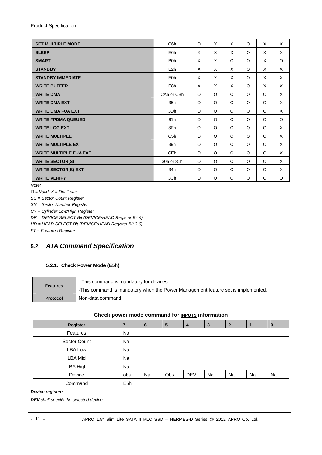| <b>SET MULTIPLE MODE</b>      | C <sub>6</sub> h | O       | X       | X       | $\circ$ | X       | X       |
|-------------------------------|------------------|---------|---------|---------|---------|---------|---------|
| <b>SLEEP</b>                  | E6h              | X       | X       | X       | $\circ$ | X       | X       |
| <b>SMART</b>                  | B <sub>O</sub> h | X       | X       | $\circ$ | $\circ$ | X       | O       |
| <b>STANDBY</b>                | E <sub>2</sub> h | X       | X       | X       | $\circ$ | X       | X       |
| <b>STANDBY IMMEDIATE</b>      | E <sub>0</sub> h | X       | X       | X       | $\circ$ | X       | X       |
| <b>WRITE BUFFER</b>           | E8h              | X       | X       | X       | $\circ$ | X       | X       |
| <b>WRITE DMA</b>              | CAh or CBh       | O       | $\circ$ | $\circ$ | $\circ$ | $\circ$ | X       |
| <b>WRITE DMA EXT</b>          | 35h              | O       | O       | $\circ$ | $\circ$ | $\circ$ | X       |
| <b>WRITE DMA FUA EXT</b>      | 3Dh              | $\circ$ | $\circ$ | $\circ$ | $\circ$ | $\circ$ | X       |
| <b>WRITE FPDMA QUEUED</b>     | 61h              | $\circ$ | $\circ$ | $\circ$ | $\circ$ | $\circ$ | $\circ$ |
| <b>WRITE LOG EXT</b>          | 3Fh              | $\circ$ | O       | $\circ$ | $\circ$ | O       | X       |
| <b>WRITE MULTIPLE</b>         | C <sub>5</sub> h | $\circ$ | $\circ$ | $\circ$ | $\circ$ | $\circ$ | X       |
| <b>WRITE MULTIPLE EXT</b>     | 39h              | O       | $\circ$ | $\circ$ | $\circ$ | $\circ$ | X       |
| <b>WRITE MULTIPLE FUA EXT</b> | CE <sub>h</sub>  | O       | O       | $\circ$ | $\circ$ | $\circ$ | X       |
| <b>WRITE SECTOR(S)</b>        | 30h or 31h       | O       | $\circ$ | $\circ$ | $\circ$ | $\circ$ | X       |
| <b>WRITE SECTOR(S) EXT</b>    | 34h              | $\circ$ | $\circ$ | $\circ$ | $\circ$ | $\circ$ | X       |
| <b>WRITE VERIFY</b>           | 3Ch              | O       | O       | $\circ$ | O       | O       | O       |

*Note:* 

*O = Valid, X = Don't care* 

*SC = Sector Count Register* 

*SN = Sector Number Register* 

*CY = Cylinder Low/High Register* 

*DR = DEVICE SELECT Bit (DEVICE/HEAD Register Bit 4)* 

*HD = HEAD SELECT Bit (DEVICE/HEAD Register Bit 3-0)* 

*FT = Features Register* 

## **5.2.** *ATA Command Specification*

#### **5.2.1. Check Power Mode (E5h)**

|                 | - This command is mandatory for devices.                                         |
|-----------------|----------------------------------------------------------------------------------|
| Features        | -This command is mandatory when the Power Management feature set is implemented. |
| <b>Protocol</b> | Non-data command                                                                 |

#### **Check power mode command for INPUTS information**

| Register       |                  | 6  | 5   |            | 3  | $\overline{2}$ |    |    |
|----------------|------------------|----|-----|------------|----|----------------|----|----|
| Features       | Na               |    |     |            |    |                |    |    |
| Sector Count   | Na               |    |     |            |    |                |    |    |
| <b>LBA Low</b> | Na               |    |     |            |    |                |    |    |
| <b>LBA Mid</b> | Na               |    |     |            |    |                |    |    |
| LBA High       | Na               |    |     |            |    |                |    |    |
| Device         | obs              | Na | Obs | <b>DEV</b> | Na | Na             | Na | Na |
| Command        | E <sub>5</sub> h |    |     |            |    |                |    |    |

#### *Device register:*

*DEV shall specify the selected device.*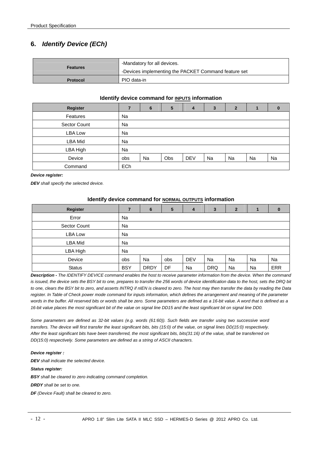## **6.** *Identify Device (ECh)*

| Features        | -Mandatory for all devices.                          |
|-----------------|------------------------------------------------------|
|                 | -Devices implementing the PACKET Command feature set |
| <b>Protocol</b> | PIO data-in                                          |

#### **Identify device command for INPUTS information**

| Register       |           | 6  | $5\phantom{1}$ | $\overline{\mathbf{4}}$ | 3  | $\overline{2}$ |    | $\bf{0}$ |
|----------------|-----------|----|----------------|-------------------------|----|----------------|----|----------|
| Features       | <b>Na</b> |    |                |                         |    |                |    |          |
| Sector Count   | <b>Na</b> |    |                |                         |    |                |    |          |
| LBA Low        | Na        |    |                |                         |    |                |    |          |
| <b>LBA Mid</b> | <b>Na</b> |    |                |                         |    |                |    |          |
| LBA High       | <b>Na</b> |    |                |                         |    |                |    |          |
| Device         | obs       | Na | Obs            | <b>DEV</b>              | Na | Na             | Na | Na       |
| Command        | ECh       |    |                |                         |    |                |    |          |

#### *Device register:*

*DEV shall specify the selected device.* 

#### **Identify device command for NORMAL OUTPUTS information**

| <b>Register</b> |            | 6           | 5   | 4          | 3          | $\overline{2}$ |           | 0          |
|-----------------|------------|-------------|-----|------------|------------|----------------|-----------|------------|
| Error           | Na         |             |     |            |            |                |           |            |
| Sector Count    | Na         |             |     |            |            |                |           |            |
| LBA Low         | Na         |             |     |            |            |                |           |            |
| LBA Mid         | Na         |             |     |            |            |                |           |            |
| LBA High        | Na         |             |     |            |            |                |           |            |
| Device          | obs        | Na          | obs | <b>DEV</b> | Na         | Na             | <b>Na</b> | Na         |
| <b>Status</b>   | <b>BSY</b> | <b>DRDY</b> | DF  | Na         | <b>DRQ</b> | Na             | Na        | <b>ERR</b> |

*Description - The IDENTIFY DEVICE command enables the host to receive parameter information from the device. When the command is issued, the device sets the BSY bit to one, prepares to transfer the 256 words of device identification data to the host, sets the DRQ bit to one, clears the BSY bit to zero, and asserts INTRQ if nIEN is cleared to zero. The host may then transfer the data by reading the Data*  register. In Table of Check power mode command for inputs information, which defines the arrangement and meaning of the parameter words in the buffer. All reserved bits or words shall be zero. Some parameters are defined as a 16-bit value. A word that is defined as a *16-bit value places the most significant bit of the value on signal line DD15 and the least significant bit on signal line DD0.*

*Some parameters are defined as 32-bit values (e.g. words (61:60)). Such fields are transfer using two successive word transfers. The device will first transfer the least significant bits, bits (15:0) of the value, on signal lines DD(15:0) respectively. After the least significant bits have been transferred, the most significant bits, bits(31:16) of the value, shall be transferred on DD(15:0) respectively. Some parameters are defined as a string of ASCII characters.* 

#### *Device register :*

*DEV shall indicate the selected device.* 

*Status register:* 

*BSY shall be cleared to zero indicating command completion.* 

*DRDY shall be set to one.* 

*DF (Device Fault) shall be cleared to zero.*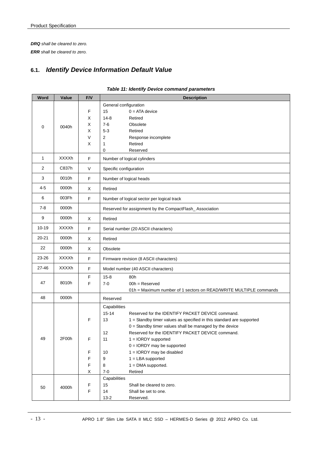*DRQ shall be cleared to zero. ERR shall be cleared to zero.* 

## **6.1.** *Identify Device Information Default Value*

| Word         | Value        | F/V         | <b>Description</b>                                                                                                  |  |  |  |  |
|--------------|--------------|-------------|---------------------------------------------------------------------------------------------------------------------|--|--|--|--|
|              |              |             | General configuration                                                                                               |  |  |  |  |
|              |              | F           | 15<br>$0 = ATA$ device                                                                                              |  |  |  |  |
|              |              | Х           | Retired<br>$14 - 8$                                                                                                 |  |  |  |  |
| $\mathbf 0$  | 0040h        | х           | $7-6$<br>Obsolete                                                                                                   |  |  |  |  |
|              |              | X           | $5-3$<br>Retired                                                                                                    |  |  |  |  |
|              |              | V           | 2<br>Response incomplete                                                                                            |  |  |  |  |
|              |              | Х           | Retired<br>1<br>0<br>Reserved                                                                                       |  |  |  |  |
| $\mathbf{1}$ | <b>XXXXh</b> | $\mathsf F$ | Number of logical cylinders                                                                                         |  |  |  |  |
| 2            | C837h        |             |                                                                                                                     |  |  |  |  |
|              |              | $\vee$      | Specific configuration                                                                                              |  |  |  |  |
| 3            | 0010h        | F           | Number of logical heads                                                                                             |  |  |  |  |
| 4-5          | 0000h        | X           | Retired                                                                                                             |  |  |  |  |
| 6            | 003Fh        | F           | Number of logical sector per logical track                                                                          |  |  |  |  |
| $7-8$        | 0000h        |             | Reserved for assignment by the CompactFlash_Association                                                             |  |  |  |  |
| 9            | 0000h        | X           | Retired                                                                                                             |  |  |  |  |
| $10 - 19$    | XXXXh        | F           | Serial number (20 ASCII characters)                                                                                 |  |  |  |  |
| $20 - 21$    | 0000h        | Χ           | Retired                                                                                                             |  |  |  |  |
| 22           | 0000h        | X           | Obsolete                                                                                                            |  |  |  |  |
| 23-26        | XXXXh        | F           | Firmware revision (8 ASCII characters)                                                                              |  |  |  |  |
| 27-46        | <b>XXXXh</b> | F           | Model number (40 ASCII characters)                                                                                  |  |  |  |  |
|              |              | F           | 80h<br>$15 - 8$                                                                                                     |  |  |  |  |
| 47           | 8010h        | F           | $7 - 0$<br>$00h =$ Reserved                                                                                         |  |  |  |  |
|              |              |             | 01h = Maximum number of 1 sectors on READ/WRITE MULTIPLE commands                                                   |  |  |  |  |
| 48           | 0000h        |             | Reserved                                                                                                            |  |  |  |  |
|              |              |             | Capabilities                                                                                                        |  |  |  |  |
|              |              |             | $15 - 14$<br>Reserved for the IDENTIFY PACKET DEVICE command.                                                       |  |  |  |  |
|              |              | F           | 1 = Standby timer values as specified in this standard are supported<br>13                                          |  |  |  |  |
|              |              |             | $0 =$ Standby timer values shall be managed by the device<br>Reserved for the IDENTIFY PACKET DEVICE command.<br>12 |  |  |  |  |
| 49           | 2F00h        | F           | $1 = IORDY$ supported<br>11                                                                                         |  |  |  |  |
|              |              |             | $0 = IORDY$ may be supported                                                                                        |  |  |  |  |
|              |              | F           | 1 = IORDY may be disabled<br>10                                                                                     |  |  |  |  |
|              |              | F           | 9<br>$1 = LBA$ supported                                                                                            |  |  |  |  |
|              |              | F           | 8<br>$1 =$ DMA supported.                                                                                           |  |  |  |  |
|              |              | X           | Retired<br>$7 - 0$                                                                                                  |  |  |  |  |
|              |              |             | Capabilities                                                                                                        |  |  |  |  |
| 50           | 4000h        | F           | 15<br>Shall be cleared to zero.                                                                                     |  |  |  |  |
|              |              | F           | 14<br>Shall be set to one.<br>$13 - 2$<br>Reserved.                                                                 |  |  |  |  |
|              |              |             |                                                                                                                     |  |  |  |  |

#### *Table 11: Identify Device command parameters*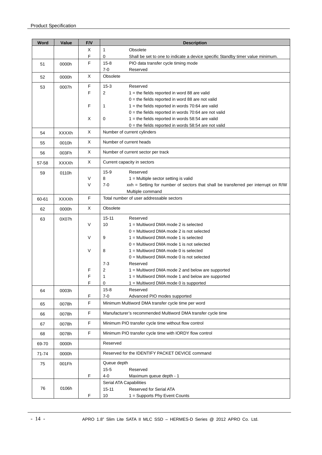| Word  | Value        | F/V          | <b>Description</b>                                                                                           |
|-------|--------------|--------------|--------------------------------------------------------------------------------------------------------------|
|       |              | Χ            | 1<br>Obsolete                                                                                                |
|       |              | F            | 0<br>Shall be set to one to indicate a device specific Standby timer value minimum.                          |
| 51    | 0000h        | F            | $15 - 8$<br>PIO data transfer cycle timing mode                                                              |
|       |              |              | $7 - 0$<br>Reserved                                                                                          |
| 52    | 0000h        | Χ            | Obsolete                                                                                                     |
| 53    | 0007h        | F            | $15 - 3$<br>Reserved                                                                                         |
|       |              | F            | 2<br>$1$ = the fields reported in word 88 are valid                                                          |
|       |              |              | $0 =$ the fields reported in word 88 are not valid                                                           |
|       |              | F            | $1 =$ the fields reported in words 70:64 are valid<br>1                                                      |
|       |              | Χ            | $0 =$ the fields reported in words 70:64 are not valid<br>0                                                  |
|       |              |              | $1 =$ the fields reported in words 58:54 are valid<br>$0 =$ the fields reported in words 58:54 are not valid |
| 54    | <b>XXXXh</b> | X            | Number of current cylinders                                                                                  |
| 55    | 0010h        | X            | Number of current heads                                                                                      |
|       |              | X            |                                                                                                              |
| 56    | 003Fh        |              | Number of current sector per track                                                                           |
| 57-58 | <b>XXXXh</b> | X            | Current capacity in sectors                                                                                  |
| 59    | 0110h        |              | $15-9$<br>Reserved                                                                                           |
|       |              | V            | 8<br>$1 =$ Multiple sector setting is valid                                                                  |
|       |              | V            | $7 - 0$<br>xxh = Setting for number of sectors that shall be transferred per interrupt on R/W                |
|       |              | F            | Multiple command<br>Total number of user addressable sectors                                                 |
| 60-61 | XXXXh        |              |                                                                                                              |
| 62    | 0000h        | X            | Obsolete                                                                                                     |
| 63    | 0X07h        |              | $15 - 11$<br>Reserved                                                                                        |
|       |              | V            | 10<br>$1 =$ Multiword DMA mode 2 is selected                                                                 |
|       |              |              | $0 =$ Multiword DMA mode 2 is not selected                                                                   |
|       |              | V            | 9<br>$1 =$ Multiword DMA mode 1 is selected<br>$0 =$ Multiword DMA mode 1 is not selected                    |
|       |              | $\vee$       | 8<br>$1 =$ Multiword DMA mode 0 is selected                                                                  |
|       |              |              | $0 =$ Multiword DMA mode 0 is not selected                                                                   |
|       |              |              | $7 - 3$<br>Reserved                                                                                          |
|       |              | F            | $\overline{\mathbf{c}}$<br>1 = Multiword DMA mode 2 and below are supported                                  |
|       |              | F            | 1<br>$1 =$ Multiword DMA mode 1 and below are supported                                                      |
|       |              | F            | 0<br>1 = Multiword DMA mode 0 is supported                                                                   |
| 64    | 0003h        |              | $15 - 8$<br>Reserved                                                                                         |
|       |              | F<br>F       | $7 - 0$<br>Advanced PIO modes supported<br>Minimum Multiword DMA transfer cycle time per word                |
| 65    | 0078h        |              |                                                                                                              |
| 66    | 0078h        | F            | Manufacturer's recommended Multiword DMA transfer cycle time                                                 |
| 67    | 0078h        | $\mathsf{F}$ | Minimum PIO transfer cycle time without flow control                                                         |
| 68    | 0078h        | F            | Minimum PIO transfer cycle time with IORDY flow control                                                      |
| 69-70 | 0000h        |              | Reserved                                                                                                     |
| 71-74 | 0000h        |              | Reserved for the IDENTIFY PACKET DEVICE command                                                              |
| 75    | 001Fh        |              | Queue depth                                                                                                  |
|       |              |              | $15 - 5$<br>Reserved                                                                                         |
|       |              | F            | $4-0$<br>Maximum queue depth - 1                                                                             |
| 76    | 0106h        |              | Serial ATA Capabilities<br>$15 - 11$<br>Reserved for Serial ATA                                              |
|       |              | F            | 10<br>1 = Supports Phy Event Counts                                                                          |
|       |              |              |                                                                                                              |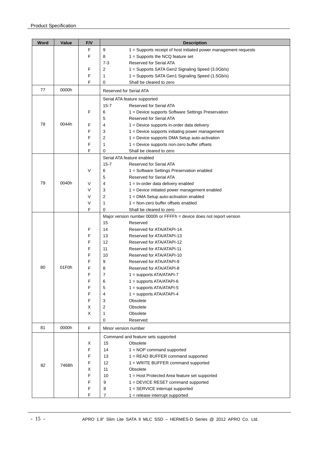| Word | Value | F/V          | <b>Description</b>                                                                         |
|------|-------|--------------|--------------------------------------------------------------------------------------------|
|      |       | $\mathsf{F}$ | 9<br>1 = Supports receipt of host initiated power management requests                      |
|      |       | F            | 8<br>$1 =$ Supports the NCQ feature set                                                    |
|      |       |              | Reserved for Serial ATA<br>$7-3$                                                           |
|      |       | F            | 2<br>1 = Supports SATA Gen2 Signaling Speed (3.0Gb/s)                                      |
|      |       | F            | 1<br>1 = Supports SATA Gen1 Signaling Speed (1.5Gb/s)                                      |
|      |       | F            | Shall be cleared to zero<br>0                                                              |
| 77   | 0000h |              | Reserved for Serial ATA                                                                    |
|      |       |              | Serial ATA feature supported                                                               |
|      |       |              | $15 - 7$<br>Reserved for Serial ATA                                                        |
|      |       | F            | 6<br>1 = Device supports Software Settings Preservation                                    |
|      |       |              | 5<br>Reserved for Serial ATA                                                               |
| 78   | 0044h | F            | 4<br>$1 =$ Device supports in-order data delivery                                          |
|      |       | F            | 3<br>$1 =$ Device supports initiating power management                                     |
|      |       | F            | 2<br>1 = Device supports DMA Setup auto-activation                                         |
|      |       | F            | 1<br>1 = Device supports non-zero buffer offsets                                           |
|      |       | F            | 0<br>Shall be cleared to zero                                                              |
|      |       |              | Serial ATA feature enabled                                                                 |
|      |       | $\vee$       | $15 - 7$<br><b>Reserved for Serial ATA</b>                                                 |
|      |       |              | 1 = Software Settings Preservation enabled<br>6<br>5<br><b>Reserved for Serial ATA</b>     |
| 79   | 0040h |              | 4                                                                                          |
|      |       | V            | $1 = In-order data delivery enabled$<br>3<br>1 = Device initiated power management enabled |
|      |       | V<br>V       | $\overline{2}$                                                                             |
|      |       | V            | 1 = DMA Setup auto-activation enabled<br>1<br>1 = Non-zero buffer offsets enabled          |
|      |       | F            | 0<br>Shall be cleared to zero                                                              |
|      |       |              | Major version number 0000h or FFFFh = device does not report version                       |
|      |       |              | 15<br>Reserved                                                                             |
|      |       | F            | 14<br>Reserved for ATA/ATAPI-14                                                            |
|      |       | F            | 13<br>Reserved for ATA/ATAPI-13                                                            |
|      |       | F            | 12<br>Reserved for ATA/ATAPI-12                                                            |
|      |       | F            | 11<br>Reserved for ATA/ATAPI-11                                                            |
|      |       | F            | 10<br>Reserved for ATA/ATAPI-10                                                            |
|      |       |              | 9<br>Reserved for ATA/ATAPI-9                                                              |
| 80   | 01F0h |              | 8<br>Reserved for ATA/ATAPI-8                                                              |
|      |       | F            | 7<br>$1 =$ supports ATA/ATAPI-7                                                            |
|      |       | ۲            | 1 = supports ATA/ATAPI-6<br>6                                                              |
|      |       | F            | 5<br>$1 =$ supports ATA/ATAPI-5                                                            |
|      |       | F            | $1 =$ supports ATA/ATAPI-4<br>4                                                            |
|      |       | F            | 3<br>Obsolete                                                                              |
|      |       | Х            | Obsolete<br>2                                                                              |
|      |       | X            | Obsolete<br>1                                                                              |
|      |       |              | 0<br>Reserved                                                                              |
| 81   | 0000h | $\mathsf{F}$ | Minor version number                                                                       |
|      |       |              | Command and feature sets supported                                                         |
|      |       | Х            | 15<br>Obsolete                                                                             |
|      |       | F            | 14<br>$1 = \text{NOP}$ command supported                                                   |
|      |       | F            | 1 = READ BUFFER command supported<br>13                                                    |
| 82   | 746Bh | F            | $12 \overline{ }$<br>$1 = WRITE BUFFER command supported$                                  |
|      |       | х            | 11<br>Obsolete                                                                             |
|      |       | F            | 10<br>1 = Host Protected Area feature set supported                                        |
|      |       | F            | 9<br>1 = DEVICE RESET command supported                                                    |
|      |       | F            | 8<br>1 = SERVICE interrupt supported                                                       |
|      |       | F            | 7<br>$1 =$ release interrupt supported                                                     |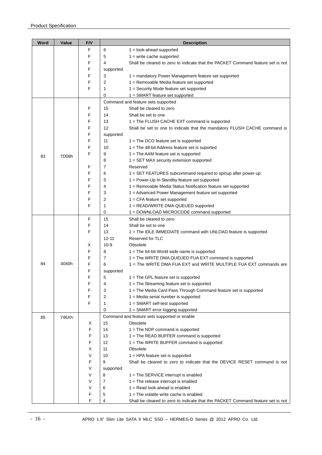| Word | Value | F/V    | <b>Description</b>              |                                                                                     |  |  |  |
|------|-------|--------|---------------------------------|-------------------------------------------------------------------------------------|--|--|--|
|      |       | F      | 6<br>$1 =$ look-ahead supported |                                                                                     |  |  |  |
|      |       | F      | 5                               | $1 =$ write cache supported                                                         |  |  |  |
|      |       | F      | 4                               | Shall be cleared to zero to indicate that the PACKET Command feature set is not     |  |  |  |
|      |       | F      | supported.                      |                                                                                     |  |  |  |
|      |       | F      | 3                               | 1 = mandatory Power Management feature set supported                                |  |  |  |
|      |       | F      | 2                               | 1 = Removable Media feature set supported                                           |  |  |  |
|      |       | F      | 1                               | 1 = Security Mode feature set supported                                             |  |  |  |
|      |       |        | 0                               | $1 = SMART$ feature set supported                                                   |  |  |  |
|      |       |        |                                 | Command and feature sets supported                                                  |  |  |  |
|      |       | F      | 15                              | Shall be cleared to zero                                                            |  |  |  |
|      |       | F      | 14                              | Shall be set to one                                                                 |  |  |  |
|      |       | F      | 13                              | 1 = The FLUSH CACHE EXT command is supported                                        |  |  |  |
|      |       | F      | 12                              | Shall be set to one to indicate that the mandatory FLUSH CACHE command is           |  |  |  |
|      |       | F      | supported                       |                                                                                     |  |  |  |
|      |       | F      | 11                              | $1 =$ The DCO feature set is supported                                              |  |  |  |
|      |       | F      | 10                              | $1 =$ The 48-bit Address feature set is suported                                    |  |  |  |
| 83   | 7D08h | F      | 9                               | $1 =$ The AAM feature set is supported                                              |  |  |  |
|      |       |        | 8                               | $1 = SET$ MAX security extension supported                                          |  |  |  |
|      |       | F      | $\overline{7}$                  | Reserved                                                                            |  |  |  |
|      |       | F      | 6                               | 1 = SET FEATURES subcommand required to spinup after power-up                       |  |  |  |
|      |       | F      | 5                               | 1 = Power-Up In Standby feature set supported                                       |  |  |  |
|      |       | F      | 4                               | 1 = Removable Media Status Notification feature set supported                       |  |  |  |
|      |       | F      | 3                               | 1 = Advanced Power Management feature set supported                                 |  |  |  |
|      |       | F      | $\overline{2}$                  | $1 = CFA$ feature set supported                                                     |  |  |  |
|      |       | F      | 1                               | 1 = READ/WRITE DMA QUEUED supported                                                 |  |  |  |
|      |       |        | 0                               | 1 = DOWNLOAD MICROCODE command supported                                            |  |  |  |
|      |       | F<br>F | 15<br>14                        | Shall be cleared to zero                                                            |  |  |  |
|      |       | F      | 13                              | Shall be set to one                                                                 |  |  |  |
|      |       |        | $12 - 11$                       | 1 = The IDLE IMMEDIATE command with UNLOAD feature is supported<br>Reserved for TLC |  |  |  |
|      |       | Х      | $10-9$                          | Obsolete                                                                            |  |  |  |
|      |       | F      | 8                               | $1 =$ The 64-bit World wide name is supported                                       |  |  |  |
|      |       | F      | 7                               | 1 = The WRITE DMA QUEUED FUA EXT command is supported                               |  |  |  |
| 84   | 4040h | F      | 6                               | 1 = The WRITE DMA FUA EXT and WRITE MULTIPLE FUA EXT commands are                   |  |  |  |
|      |       | F      | supported                       |                                                                                     |  |  |  |
|      |       | F      | 5                               | $1 =$ The GPL feature set is supported                                              |  |  |  |
|      |       | F      | 4                               | 1 = The Streaming feature set is supported                                          |  |  |  |
|      |       | F      | 3                               | 1 = The Media Card Pass Through Command feature set is supported                    |  |  |  |
|      |       | F      | 2                               | $1 =$ Media serial number is supported                                              |  |  |  |
|      |       | F      | 1                               | $1 = SMART$ self-test supported                                                     |  |  |  |
|      |       |        | 0                               | 1 = SMART error logging supported                                                   |  |  |  |
| 85   | 746Xh |        |                                 | Command and feature sets supported or enable                                        |  |  |  |
|      |       | х      | 15                              | Obsolete                                                                            |  |  |  |
|      |       | F      | 14                              | $1 =$ The NOP command is supported                                                  |  |  |  |
|      |       | F      | 13                              | 1 = The READ BUFFER command is supported                                            |  |  |  |
|      |       | F      | 12                              | $1 =$ The WRITE BUFFER command is supported                                         |  |  |  |
|      |       | X      | 11                              | Obsolete                                                                            |  |  |  |
|      |       | V      | 10                              | $1 = HPA$ feature set is supported                                                  |  |  |  |
|      |       | F      | 9                               | Shall be cleared to zero to indicate that the DEVICE RESET command is not           |  |  |  |
|      |       | V      | supported                       |                                                                                     |  |  |  |
|      |       | V      | 8                               | $1 =$ The SERVICE interrupt is enabled                                              |  |  |  |
|      |       | V      | 7                               | $1 =$ The release interrupt is enabled                                              |  |  |  |
|      |       | V      | 6                               | $1 =$ Read look-ahead is enabled                                                    |  |  |  |
|      |       | F      | 5                               | $1 =$ The volatile write cache is enabled                                           |  |  |  |
|      |       | F      | 4                               | Shall be cleared to zero to indicate that the PACKET Command feature set is not     |  |  |  |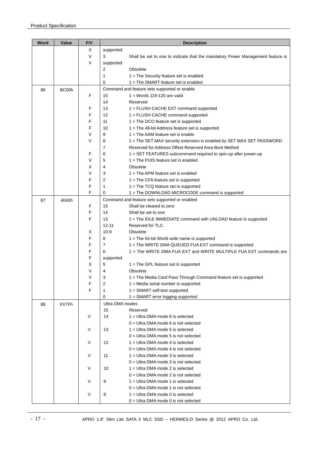| Word | Value | F/V    | <b>Description</b> |                                                                                           |  |  |  |  |
|------|-------|--------|--------------------|-------------------------------------------------------------------------------------------|--|--|--|--|
|      |       | Х      | supported.         |                                                                                           |  |  |  |  |
|      |       | $\vee$ | 3                  | Shall be set to one to indicate that the mandatory Power Management feature is            |  |  |  |  |
|      |       | V      | supported          |                                                                                           |  |  |  |  |
|      |       |        | 2                  | Obsolete                                                                                  |  |  |  |  |
|      |       |        | 1                  | 1 = The Security feature set is enabled                                                   |  |  |  |  |
|      |       |        | 0                  | $1 =$ The SMART feature set is enabled                                                    |  |  |  |  |
| 86   | BC00h |        |                    | Command and feature sets supported or enable                                              |  |  |  |  |
|      |       | F      | 15                 | $1 =$ Words 119-120 are valid                                                             |  |  |  |  |
|      |       |        | 14                 | Reserved                                                                                  |  |  |  |  |
|      |       | F      | 13                 | 1 = FLUSH CACHE EXT command supported                                                     |  |  |  |  |
|      |       | F      | 12                 | 1 = FLUSH CACHE command supported                                                         |  |  |  |  |
|      |       | F      | 11                 | $1 =$ The DCO feature set is supported                                                    |  |  |  |  |
|      |       | F      | 10                 | $1 =$ The 48-bit Address feature set is supported                                         |  |  |  |  |
|      |       | V      | 9                  | $1 =$ The AAM feature set is enable                                                       |  |  |  |  |
|      |       | V      | 8                  | 1 = The SET MAX security extension is enabled by SET MAX SET PASSWORD                     |  |  |  |  |
|      |       |        | 7                  | Reserved for Address Offset Reserved Area Boot Method                                     |  |  |  |  |
|      |       | F      | 6                  | 1 = SET FEATURES subcommand required to spin-up after power-up                            |  |  |  |  |
|      |       | V      | 5                  | $1 =$ The PUIS feature set is enabled                                                     |  |  |  |  |
|      |       | х<br>V | 4                  | Obsolete<br>$1 =$ The APM feature set is enabled                                          |  |  |  |  |
|      |       | F      | 3<br>2             | $1 =$ The CFA feature set is supported                                                    |  |  |  |  |
|      |       | F      | 1                  |                                                                                           |  |  |  |  |
|      |       | F      | 0                  | $1 =$ The TCQ feature set is supported<br>1 = The DOWNLOAD MICROCODE command is supported |  |  |  |  |
|      |       |        |                    | Command and feature sets supported or enabled                                             |  |  |  |  |
| 87   | 4040h | F      | 15                 | Shall be cleared to zero                                                                  |  |  |  |  |
|      |       | F      | 14                 | Shall be set to one                                                                       |  |  |  |  |
|      |       | F      | 13                 | 1 = The IDLE IMMEDIATE command with UNLOAD feature is supported                           |  |  |  |  |
|      |       |        | $12 - 11$          | Reserved for TLC                                                                          |  |  |  |  |
|      |       | х      | $10 - 9$           | Obsolete                                                                                  |  |  |  |  |
|      |       | F      | 8                  | $1 =$ The 64-bit World wide name is supported                                             |  |  |  |  |
|      |       | F      | 7                  | 1 = The WRITE DMA QUEUED FUA EXT command is supported                                     |  |  |  |  |
|      |       | F      | 6                  | 1 = The WRITE DMA FUA EXT and WRITE MULTIPLE FUA EXT commands are                         |  |  |  |  |
|      |       | F      | supported          |                                                                                           |  |  |  |  |
|      |       | Х      | 5                  | $1 =$ The GPL feature set is supported                                                    |  |  |  |  |
|      |       | ٧      | 4                  | Obsolete                                                                                  |  |  |  |  |
|      |       | V      | 3                  | 1 = The Media Card Pass Through Command feature set is supported                          |  |  |  |  |
|      |       | F      | 2                  | 1 = Media serial number is supported                                                      |  |  |  |  |
|      |       | F      | 1                  | 1 = SMART self-test supported                                                             |  |  |  |  |
|      |       |        | 0                  | $1 = SMART$ error logging supported                                                       |  |  |  |  |
| 88   | XX7Fh |        | Ultra DMA modes    |                                                                                           |  |  |  |  |
|      |       |        | 15                 | Reserved                                                                                  |  |  |  |  |
|      |       | $\vee$ | 14                 | $1 =$ Ultra DMA mode 6 is selected                                                        |  |  |  |  |
|      |       |        |                    | $0 =$ Ultra DMA mode 6 is not selected                                                    |  |  |  |  |
|      |       | $\vee$ | 13                 | $1 =$ Ultra DMA mode 5 is selected                                                        |  |  |  |  |
|      |       |        |                    | $0 =$ Ultra DMA mode 5 is not selected                                                    |  |  |  |  |
|      |       | $\vee$ | 12                 | $1 =$ Ultra DMA mode 4 is selected                                                        |  |  |  |  |
|      |       |        |                    | $0 =$ Ultra DMA mode 4 is not selected                                                    |  |  |  |  |
|      |       | $\vee$ | 11                 | $1 =$ Ultra DMA mode 3 is selected                                                        |  |  |  |  |
|      |       | $\vee$ | 10                 | $0 =$ Ultra DMA mode 3 is not selected<br>$1 =$ Ultra DMA mode 2 is selected              |  |  |  |  |
|      |       |        |                    | $0 =$ Ultra DMA mode 2 is not selected                                                    |  |  |  |  |
|      |       | V      | 9                  | $1 =$ Ultra DMA mode 1 is selected                                                        |  |  |  |  |
|      |       |        |                    | $0 =$ Ultra DMA mode 1 is not selected                                                    |  |  |  |  |
|      |       | V      | 8                  | $1 =$ Ultra DMA mode 0 is selected                                                        |  |  |  |  |
|      |       |        |                    | $0 =$ Ultra DMA mode 0 is not selected                                                    |  |  |  |  |
|      |       |        |                    |                                                                                           |  |  |  |  |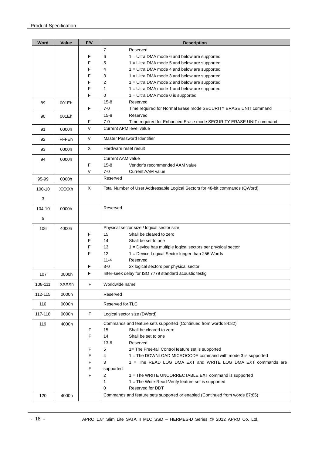| Word    | Value        | F/V    | <b>Description</b>                                                                          |
|---------|--------------|--------|---------------------------------------------------------------------------------------------|
|         |              |        | $\overline{7}$<br>Reserved                                                                  |
|         |              | F      | 6<br>1 = Ultra DMA mode 6 and below are supported                                           |
|         |              | F      | 5<br>$1 =$ Ultra DMA mode 5 and below are supported                                         |
|         |              | F      | 4<br>1 = Ultra DMA mode 4 and below are supported                                           |
|         |              | F      | 3<br>1 = Ultra DMA mode 3 and below are supported                                           |
|         |              | F      | 2<br>1 = Ultra DMA mode 2 and below are supported                                           |
|         |              | F<br>F | 1<br>1 = Ultra DMA mode 1 and below are supported<br>0<br>1 = Ultra DMA mode 0 is supported |
|         |              |        | $15 - 8$<br>Reserved                                                                        |
| 89      | 001Eh        | F      | $7 - 0$<br>Time required for Normal Erase mode SECURITY ERASE UNIT command                  |
| 90      | 001Eh        |        | $15 - 8$<br>Reserved                                                                        |
|         |              | F      | 7-0<br>Time required for Enhanced Erase mode SECURITY ERASE UNIT command                    |
| 91      | 0000h        | $\vee$ | <b>Current APM level value</b>                                                              |
| 92      | <b>FFFEh</b> | V      | Master Password Identifier                                                                  |
| 93      | 0000h        | X      | Hardware reset result                                                                       |
| 94      | 0000h        |        | <b>Current AAM value</b>                                                                    |
|         |              | F      | $15 - 8$<br>Vendor's recommended AAM value                                                  |
|         |              | V      | $7-0$<br><b>Current AAM value</b>                                                           |
| 95-99   | 0000h        |        | Reserved                                                                                    |
| 100-10  | XXXXh        | X      | Total Number of User Addressable Logical Sectors for 48-bit commands (QWord)                |
| 3       |              |        |                                                                                             |
| 104-10  | 0000h        |        | Reserved                                                                                    |
| 5       |              |        |                                                                                             |
| 106     | 4000h        |        | Physical sector size / logical sector size                                                  |
|         |              | F      | 15<br>Shall be cleared to zero                                                              |
|         |              | F      | 14<br>Shall be set to one                                                                   |
|         |              | F      | 13<br>1 = Device has multiple logical sectors per physical sector                           |
|         |              | F      | 12<br>1 = Device Logical Sector longer than 256 Words                                       |
|         |              |        | $11 - 4$<br>Reserved                                                                        |
|         |              | F      | $3 - 0$<br>2x logical sectors per physical sector                                           |
| 107     | 0000h        | F      | Inter-seek delay for ISO 7779 standard acoustic testig                                      |
| 108-111 | <b>XXXXh</b> | F      | Worldwide name                                                                              |
| 112-115 | 0000h        |        | Reserved                                                                                    |
| 116     | 0000h        |        | Reserved for TLC                                                                            |
| 117-118 | 0000h        | F      | Logical sector size (DWord)                                                                 |
| 119     | 4000h        |        | Commands and feature sets supported (Continued from words 84:82)                            |
|         |              | F      | Shall be cleared to zero<br>15                                                              |
|         |              | F      | 14<br>Shall be set to one                                                                   |
|         |              |        | $13-6$<br>Reserved                                                                          |
|         |              | F      | 5<br>1= The Free-fall Control feature set is supported                                      |
|         |              | F      | 1 = The DOWNLOAD MICROCODE command with mode 3 is supported<br>4                            |
|         |              | F<br>F | 1 = The READ LOG DMA EXT and WRITE LOG DMA EXT commands are<br>3<br>supported               |
|         |              | F      | 2<br>1 = The WRITE UNCORRECTABLE EXT command is supported                                   |
|         |              |        | 1<br>1 = The Write-Read-Verify feature set is supported                                     |
|         |              |        | 0<br>Reserved for DDT                                                                       |
| 120     | 4000h        |        | Commands and feature sets supported or enabled (Continued from words 87:85)                 |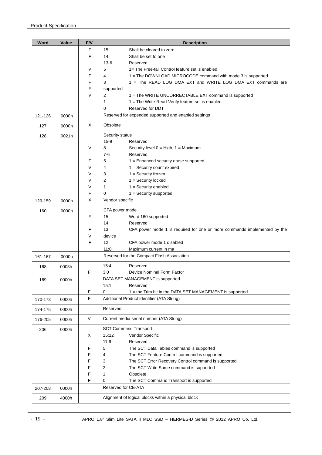| Word    | Value | F/V         | <b>Description</b>                                                             |
|---------|-------|-------------|--------------------------------------------------------------------------------|
|         |       | F           | 15<br>Shall be cleared to zero                                                 |
|         |       | F           | 14<br>Shall be set to one                                                      |
|         |       |             | $13-6$<br>Reserved                                                             |
|         |       | V           | 5<br>1= The Free-fall Control feature set is enabled                           |
|         |       | F           | 4<br>1 = The DOWNLOAD MICROCODE command with mode 3 is supported               |
|         |       | F           | 3<br>1 = The READ LOG DMA EXT and WRITE LOG DMA EXT commands are               |
|         |       | F           | supported                                                                      |
|         |       | $\vee$      | 2<br>1 = The WRITE UNCORRECTABLE EXT command is supported                      |
|         |       |             | 1<br>1 = The Write-Read-Verify feature set is enabled                          |
|         |       |             | 0<br>Reserved for DDT                                                          |
| 121-126 | 0000h |             | Reserved for expended supported and enabled settings                           |
| 127     | 0000h | X           | Obsolete                                                                       |
| 128     | 0021h |             | Security status                                                                |
|         |       |             | $15-9$<br>Reserved                                                             |
|         |       | V           | 8<br>Security level $0 = High$ , $1 = Maximum$                                 |
|         |       |             | $7-6$<br>Reserved                                                              |
|         |       | F           | 5<br>1 = Enhanced security erase supported                                     |
|         |       | V           | 4<br>$1 =$ Security count expired                                              |
|         |       | V           | 3<br>$1 =$ Security frozen                                                     |
|         |       | V           | 2<br>$1 =$ Security locked                                                     |
|         |       | V           | $1 =$ Security enabled<br>1                                                    |
|         |       | F           | $1 =$ Security supported<br>0                                                  |
| 129-159 | 0000h | X           | Vendor specific                                                                |
| 160     | 0000h |             | CFA power mode                                                                 |
|         |       | F           | 15<br>Word 160 supported                                                       |
|         |       |             | 14<br>Reserved                                                                 |
|         |       | F           | 13<br>CFA power mode 1 is required for one or more commands implemented by the |
|         |       | V           | device                                                                         |
|         |       | F           | 12<br>CFA power mode 1 disabled                                                |
|         |       |             | Maximum current in ma<br>11:0                                                  |
| 161-167 | 0000h |             | Reserved for the Compact Flash Association                                     |
| 168     | 0003h |             | 15:4<br>Reserved                                                               |
|         |       | F           | 3:0<br>Device Nominal Form Factor                                              |
| 169     | 0000h |             | DATA SET MANAGEMENT is supported                                               |
|         |       |             | 15:1<br>Reserved                                                               |
|         |       | F           | 0<br>1 = the Trim bit in the DATA SET MANAGEMENT is supported                  |
| 170-173 | 0000h | $\mathsf F$ | Additional Product Identifier (ATA String)                                     |
| 174-175 | 0000h |             | Reserved                                                                       |
| 176-205 | 0000h | $\vee$      | Current media serial number (ATA String)                                       |
| 206     | 0000h |             | <b>SCT Command Transport</b>                                                   |
|         |       | Χ           | 15:12<br>Vendor Specific                                                       |
|         |       |             | 11:6<br>Reserved                                                               |
|         |       | F           | 5<br>The SCT Data Tables command is supported                                  |
|         |       | F           | The SCT Feature Control command is supported<br>4                              |
|         |       | F           | The SCT Error Recovery Control command is supported<br>3                       |
|         |       | F           | The SCT Write Same command is supported<br>2                                   |
|         |       | F           | Obsolete<br>1                                                                  |
|         |       | F           | 0<br>The SCT Command Transport is supported                                    |
| 207-208 | 0000h |             | Reserved for CE-ATA                                                            |
| 209     | 4000h |             | Alignment of logical blocks within a physical block                            |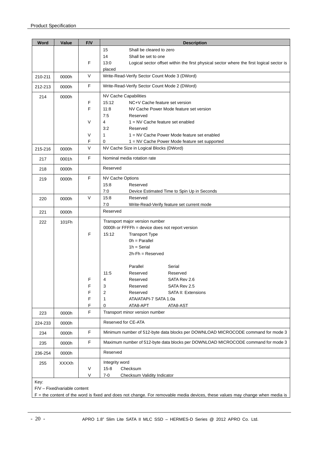| Word    | Value        | F/V    | <b>Description</b>                                                                               |  |  |  |  |  |  |
|---------|--------------|--------|--------------------------------------------------------------------------------------------------|--|--|--|--|--|--|
|         |              |        | 15<br>Shall be cleared to zero                                                                   |  |  |  |  |  |  |
|         |              |        | 14<br>Shall be set to one                                                                        |  |  |  |  |  |  |
|         |              | F      | 13:0<br>Logical sector offset within the first physical sector where the first logical sector is |  |  |  |  |  |  |
|         |              |        | placed                                                                                           |  |  |  |  |  |  |
| 210-211 | 0000h        | V      | Write-Read-Verify Sector Count Mode 3 (DWord)                                                    |  |  |  |  |  |  |
| 212-213 | 0000h        | F      | Write-Read-Verify Sector Count Mode 2 (DWord)                                                    |  |  |  |  |  |  |
| 214     | 0000h        |        | NV Cache Capabilities                                                                            |  |  |  |  |  |  |
|         |              | F      | 15:12<br>NC+V Cache feature set version                                                          |  |  |  |  |  |  |
|         |              | F      | 11:8<br>NV Cache Power Mode feature set version                                                  |  |  |  |  |  |  |
|         |              |        | 7:5<br>Reserved                                                                                  |  |  |  |  |  |  |
|         |              | V      | 4<br>$1 = NV$ Cache feature set enabled                                                          |  |  |  |  |  |  |
|         |              |        | 3:2<br>Reserved                                                                                  |  |  |  |  |  |  |
|         |              | V<br>F | 1<br>1 = NV Cache Power Mode feature set enabled<br>0                                            |  |  |  |  |  |  |
|         |              | V      | 1 = NV Cache Power Mode feature set supported<br>NV Cache Size in Logical Blocks (DWord)         |  |  |  |  |  |  |
| 215-216 | 0000h        |        |                                                                                                  |  |  |  |  |  |  |
| 217     | 0001h        | F      | Nominal media rotation rate                                                                      |  |  |  |  |  |  |
| 218     | 0000h        |        | Reserved                                                                                         |  |  |  |  |  |  |
| 219     | 0000h        | F      | <b>NV Cache Options</b>                                                                          |  |  |  |  |  |  |
|         |              |        | 15:8<br>Reserved                                                                                 |  |  |  |  |  |  |
|         |              |        | 7:0<br>Device Estimated Time to Spin Up in Seconds                                               |  |  |  |  |  |  |
| 220     | 0000h        | $\vee$ | 15:8<br>Reserved                                                                                 |  |  |  |  |  |  |
|         |              |        | 7:0<br>Write-Read-Verify feature set current mode                                                |  |  |  |  |  |  |
| 221     | 0000h        |        | Reserved                                                                                         |  |  |  |  |  |  |
| 222     | 101Fh        |        | Transport major version number                                                                   |  |  |  |  |  |  |
|         |              |        | 0000h or FFFFh = device does not report version                                                  |  |  |  |  |  |  |
|         |              | F      | 15:12<br><b>Transport Type</b>                                                                   |  |  |  |  |  |  |
|         |              |        | $0h = Parallel$                                                                                  |  |  |  |  |  |  |
|         |              |        | $1h =$ Serial                                                                                    |  |  |  |  |  |  |
|         |              |        | $2h$ -Fh = Reserved                                                                              |  |  |  |  |  |  |
|         |              |        | Parallel<br>Serial                                                                               |  |  |  |  |  |  |
|         |              |        | 11:5<br>Reserved<br>Reserved                                                                     |  |  |  |  |  |  |
|         |              | F      | SATA Rev 2.6<br>Reserved<br>4                                                                    |  |  |  |  |  |  |
|         |              | F      | 3<br>SATA Rev 2.5<br>Reserved                                                                    |  |  |  |  |  |  |
|         |              | F      | 2<br>Reserved<br>SATA II: Extensions                                                             |  |  |  |  |  |  |
|         |              | F      | 1<br>ATA/ATAPI-7 SATA 1.0a                                                                       |  |  |  |  |  |  |
|         |              | F      | 0<br>ATA8-APT<br>ATA8-AST                                                                        |  |  |  |  |  |  |
| 223     | 0000h        | F      | Transport minor version number                                                                   |  |  |  |  |  |  |
| 224-233 | 0000h        |        | Reserved for CE-ATA                                                                              |  |  |  |  |  |  |
| 234     | 0000h        | F      | Minimum number of 512-byte data blocks per DOWNLOAD MICROCODE command for mode 3                 |  |  |  |  |  |  |
| 235     | 0000h        | F      | Maximum number of 512-byte data blocks per DOWNLOAD MICROCODE command for mode 3                 |  |  |  |  |  |  |
| 236-254 | 0000h        |        | Reserved                                                                                         |  |  |  |  |  |  |
| 255     | <b>XXXXh</b> |        | Integrity word                                                                                   |  |  |  |  |  |  |
|         |              | $\vee$ | $15 - 8$<br>Checksum                                                                             |  |  |  |  |  |  |
|         |              | V      | $7 - 0$<br>Checksum Validity Indicator                                                           |  |  |  |  |  |  |
| Key:    |              |        |                                                                                                  |  |  |  |  |  |  |

F/V – Fixed/variable content

F = the content of the word is fixed and does not change. For removable media devices, these values may change when media is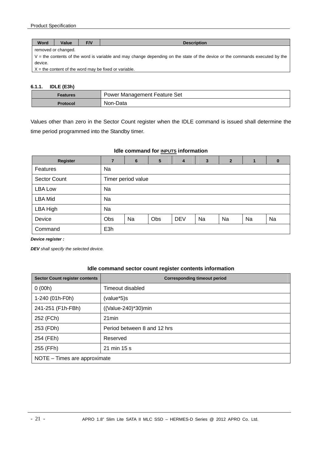| Word                                                                                                                         | F/V<br>Value<br><b>Description</b> |  |  |  |  |  |
|------------------------------------------------------------------------------------------------------------------------------|------------------------------------|--|--|--|--|--|
|                                                                                                                              | removed or changed.                |  |  |  |  |  |
| V = the contents of the word is variable and may change depending on the state of the device or the commands executed by the |                                    |  |  |  |  |  |
| device.                                                                                                                      |                                    |  |  |  |  |  |

 $X =$  the content of the word may be fixed or variable.

#### **6.1.1. IDLE (E3h)**

| Features        | Power Management Feature Set |
|-----------------|------------------------------|
| <b>Protocol</b> | Non-Data                     |

Values other than zero in the Sector Count register when the IDLE command is issued shall determine the time period programmed into the Standby timer.

**Idle command for INPUTS information** 

| Register            | 7                  | 6  | 5   | 4          | $\mathbf{3}$ | $\overline{2}$ | 1  | $\bf{0}$ |
|---------------------|--------------------|----|-----|------------|--------------|----------------|----|----------|
| Features            | Na                 |    |     |            |              |                |    |          |
| <b>Sector Count</b> | Timer period value |    |     |            |              |                |    |          |
| <b>LBA Low</b>      | Na                 |    |     |            |              |                |    |          |
| <b>LBA Mid</b>      | Na                 |    |     |            |              |                |    |          |
| LBA High            | Na                 |    |     |            |              |                |    |          |
| Device              | Obs                | Na | Obs | <b>DEV</b> | Na           | Na             | Na | Na       |
| Command             | E <sub>3h</sub>    |    |     |            |              |                |    |          |

*Device register :* 

*DEV shall specify the selected device.* 

#### **Idle command sector count register contents information**

| <b>Sector Count register contents</b> | <b>Corresponding timeout period</b> |  |  |  |
|---------------------------------------|-------------------------------------|--|--|--|
| 0(00h)                                | Timeout disabled                    |  |  |  |
| 1-240 (01h-F0h)                       | (value*5)s                          |  |  |  |
| 241-251 (F1h-FBh)                     | ((Value-240)*30)min                 |  |  |  |
| 252 (FCh)                             | 21 min                              |  |  |  |
| 253 (FDh)                             | Period between 8 and 12 hrs         |  |  |  |
| 254 (FEh)                             | Reserved                            |  |  |  |
| 255 (FFh)                             | 21 min 15 s                         |  |  |  |
| NOTE - Times are approximate          |                                     |  |  |  |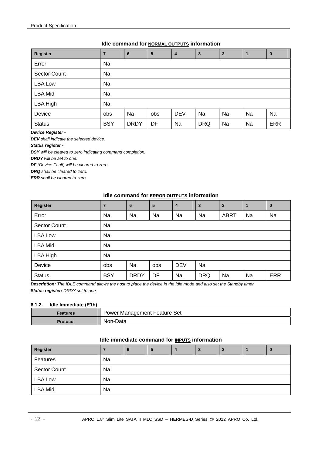#### **Idle command for NORMAL OUTPUTS information**

| <b>Register</b>     | $\overline{7}$ | 6           | 5   | 4          | $\mathbf{3}$ | $\overline{2}$ | 1  | $\bf{0}$   |
|---------------------|----------------|-------------|-----|------------|--------------|----------------|----|------------|
| Error               | Na             |             |     |            |              |                |    |            |
| <b>Sector Count</b> | Na             |             |     |            |              |                |    |            |
| <b>LBA Low</b>      | Na             |             |     |            |              |                |    |            |
| <b>LBA Mid</b>      | Na             |             |     |            |              |                |    |            |
| LBA High            | Na             |             |     |            |              |                |    |            |
| Device              | obs            | Na          | obs | <b>DEV</b> | Na           | Na             | Na | Na         |
| <b>Status</b>       | <b>BSY</b>     | <b>DRDY</b> | DF  | Na         | <b>DRQ</b>   | Na             | Na | <b>ERR</b> |

*Device Register -* 

*DEV shall indicate the selected device.* 

*Status register -* 

*BSY will be cleared to zero indicating command completion.* 

*DRDY will be set to one.* 

*DF (Device Fault) will be cleared to zero.* 

*DRQ shall be cleared to zero.* 

*ERR shall be cleared to zero.* 

#### **Idle command for ERROR OUTPUTS information**

| Register       | 7          | 6           | 5   | $\overline{4}$ | 3          | $\overline{2}$ | 1  | $\mathbf{0}$ |
|----------------|------------|-------------|-----|----------------|------------|----------------|----|--------------|
| Error          | Na         | Na          | Na  | Na             | Na         | <b>ABRT</b>    | Na | Na           |
| Sector Count   | Na         |             |     |                |            |                |    |              |
| <b>LBA Low</b> | Na         |             |     |                |            |                |    |              |
| LBA Mid        | Na         |             |     |                |            |                |    |              |
| LBA High       | Na         |             |     |                |            |                |    |              |
| Device         | obs        | Na          | obs | <b>DEV</b>     | Na         |                |    |              |
| <b>Status</b>  | <b>BSY</b> | <b>DRDY</b> | DF  | Na             | <b>DRQ</b> | Na             | Na | <b>ERR</b>   |

*Description: The IDLE command allows the host to place the device in the idle mode and also set the Standby timer. Status register: DRDY set to one* 

#### **6.1.2. Idle Immediate (E1h)**

| <b>Features</b> | Power Management Feature Set |
|-----------------|------------------------------|
| Protocol        | Non-Data                     |

#### **Idle immediate command for INPUTS information**

| Register            |    | 6 | 5 | 4 | 3 | $\overline{2}$ | IJ. |
|---------------------|----|---|---|---|---|----------------|-----|
| Features            | Na |   |   |   |   |                |     |
| <b>Sector Count</b> | Na |   |   |   |   |                |     |
| <b>LBA Low</b>      | Na |   |   |   |   |                |     |
| <b>LBA Mid</b>      | Na |   |   |   |   |                |     |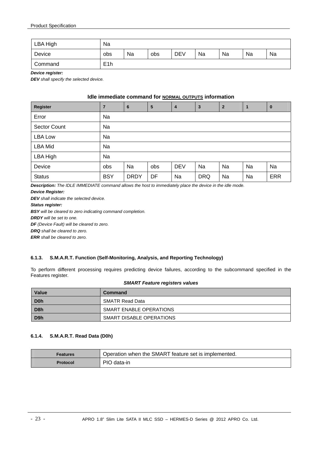| LBA High | Na               |    |     |            |    |    |    |    |  |  |
|----------|------------------|----|-----|------------|----|----|----|----|--|--|
| Device   | obs              | Na | obs | <b>DEV</b> | Na | Na | Na | Na |  |  |
| Command  | E <sub>1</sub> h |    |     |            |    |    |    |    |  |  |

*Device register:* 

*DEV shall specify the selected device.* 

#### **Idle immediate command for NORMAL OUTPUTS information**

| Register       | 7          | $6\phantom{1}6$ | 5   | $\boldsymbol{4}$ | $\mathbf{3}$ | $\overline{2}$ | $\overline{1}$ | $\bf{0}$   |  |  |  |  |
|----------------|------------|-----------------|-----|------------------|--------------|----------------|----------------|------------|--|--|--|--|
| Error          | Na         |                 |     |                  |              |                |                |            |  |  |  |  |
| Sector Count   | Na         |                 |     |                  |              |                |                |            |  |  |  |  |
| <b>LBA Low</b> | Na         |                 |     |                  |              |                |                |            |  |  |  |  |
| <b>LBA Mid</b> | Na         |                 |     |                  |              |                |                |            |  |  |  |  |
| LBA High       | Na         |                 |     |                  |              |                |                |            |  |  |  |  |
| Device         | obs        | Na              | obs | <b>DEV</b>       | Na           | Na             | Na             | Na         |  |  |  |  |
| <b>Status</b>  | <b>BSY</b> | <b>DRDY</b>     | DF  | Na               | <b>DRQ</b>   | Na             | Na             | <b>ERR</b> |  |  |  |  |

*Description: The IDLE IMMEDIATE command allows the host to immediately place the device in the idle mode.* 

#### *Device Register:*

*DEV shall indicate the selected device.* 

*Status register:* 

*BSY will be cleared to zero indicating command completion. DRDY will be set to one. DF (Device Fault) will be cleared to zero. DRQ shall be cleared to zero. ERR shall be cleared to zero.* 

#### **6.1.3. S.M.A.R.T. Function (Self-Monitoring, Analysis, and Reporting Technology)**

To perform different processing requires predicting device failures, according to the subcommand specified in the Features register.

#### *SMART Feature registers values*

| <b>Value</b>     | Command                  |
|------------------|--------------------------|
| D <sub>0</sub> h | SMATR Read Data          |
| D <sub>8</sub> h | SMART ENABLE OPERATIONS  |
| D <sub>9</sub> h | SMART DISABLE OPERATIONS |

#### **6.1.4. S.M.A.R.T. Read Data (D0h)**

| Features | Operation when the SMART feature set is implemented. |
|----------|------------------------------------------------------|
| Protocol | PIO data-in                                          |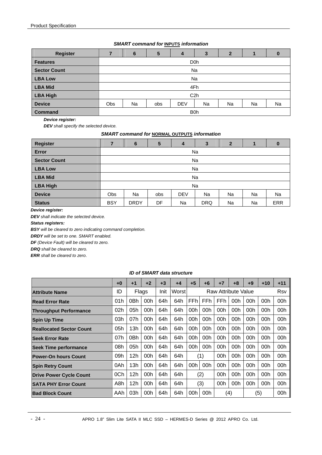#### *SMART command for* **INPUTS** *information*

| <b>Register</b>     |     | 6  | 5   | 4                       | 3  | 2  |    | 0  |  |  |  |  |
|---------------------|-----|----|-----|-------------------------|----|----|----|----|--|--|--|--|
| <b>Features</b>     |     |    |     | D <sub>0</sub> h        |    |    |    |    |  |  |  |  |
| <b>Sector Count</b> |     | Na |     |                         |    |    |    |    |  |  |  |  |
| <b>LBA Low</b>      |     | Na |     |                         |    |    |    |    |  |  |  |  |
| <b>LBA Mid</b>      |     |    |     | 4Fh                     |    |    |    |    |  |  |  |  |
| <b>LBA High</b>     |     |    |     | C <sub>2h</sub>         |    |    |    |    |  |  |  |  |
| <b>Device</b>       | Obs | Na | obs | <b>DEV</b>              | Na | Na | Na | Na |  |  |  |  |
| <b>Command</b>      |     |    |     | <b>B</b> <sub>O</sub> h |    |    |    |    |  |  |  |  |

*Device register:* 

*DEV shall specify the selected device.* 

*SMART command for* **NORMAL OUTPUTS** *information* 

| <b>Register</b>     |            | 6           | $5\phantom{1}$ | 4          | 3          | 2         |    | $\bf{0}$ |  |  |  |  |
|---------------------|------------|-------------|----------------|------------|------------|-----------|----|----------|--|--|--|--|
| <b>Error</b>        |            | Na          |                |            |            |           |    |          |  |  |  |  |
| <b>Sector Count</b> |            | Na          |                |            |            |           |    |          |  |  |  |  |
| <b>LBA Low</b>      |            | Na          |                |            |            |           |    |          |  |  |  |  |
| <b>LBA Mid</b>      |            | Na          |                |            |            |           |    |          |  |  |  |  |
| <b>LBA High</b>     |            |             |                | Na         |            |           |    |          |  |  |  |  |
| <b>Device</b>       | <b>Obs</b> | Na          | obs            | <b>DEV</b> | <b>Na</b>  | <b>Na</b> | Na | Na       |  |  |  |  |
| <b>Status</b>       | <b>BSY</b> | <b>DRDY</b> | DF             | Na         | <b>DRQ</b> | Na        | Na | ERR      |  |  |  |  |

*Device register:* 

*DEV shall indicate the selected device.* 

*Status registers:* 

*BSY will be cleared to zero indicating command completion.* 

*DRDY will be set to one. SMART enabled.* 

*DF (Device Fault) will be cleared to zero.* 

*DRQ shall be cleared to zero.* 

*ERR shall be cleared to zero*.

#### *ID of SMART data structure*

|                                 | $+0$ | $+1$ | $+2$            | $+3$ | +4     | $+5$            | $+6$ | $+7$       | +8                  | $+9$ | $+10$ | $+11$      |
|---------------------------------|------|------|-----------------|------|--------|-----------------|------|------------|---------------------|------|-------|------------|
| <b>Attribute Name</b>           | ID   |      | Flags           | Init | Worstl |                 |      |            | Raw Attribute Value |      |       | <b>Rsv</b> |
| <b>Read Error Rate</b>          | 01h  | 0Bh  | 00h             | 64h  | 64h    | FF <sub>h</sub> | FFh  | <b>FFh</b> | 00h                 | 00h  | 00h   | 00h        |
| <b>Throughput Performance</b>   | 02h  | 05h  | 00h             | 64h  | 64h    | 00h             | 00h  | 00h        | 00h                 | 00h  | 00h   | 00h        |
| <b>Spin Up Time</b>             | 03h  | 07h  | 00h             | 64h  | 64h    | 00h             | 00h  | 00h        | 00h                 | 00h  | 00h   | 00h        |
| <b>Reallocated Sector Count</b> | 05h  | 13h  | 00 <sub>h</sub> | 64h  | 64h    | 00h             | 00h  | 00h        | 00 <sub>h</sub>     | 00h  | 00h   | 00h        |
| <b>Seek Error Rate</b>          | 07h  | 0Bh  | 00h             | 64h  | 64h    | 00h             | 00h  | 00h        | 00h                 | 00h  | 00h   | 00h        |
| <b>Seek Time performance</b>    | 08h  | 05h  | 00h             | 64h  | 64h    | 00h             | 00h  | 00h        | 00h                 | 00h  | 00h   | 00h        |
| <b>Power-On hours Count</b>     | 09h  | 12h  | 00h             | 64h  | 64h    |                 | (1)  | 00h        | 00h                 | 00h  | 00h   | 00h        |
| <b>Spin Retry Count</b>         | 0Ah  | 13h  | 00h             | 64h  | 64h    | 00h             | 00h  | 00h        | 00h                 | 00h  | 00h   | 00h        |
| <b>Drive Power Cycle Count</b>  | 0Ch  | 12h  | 00h             | 64h  | 64h    |                 | (2)  | 00h        | 00h                 | 00h  | 00h   | 00h        |
| <b>SATA PHY Error Count</b>     | A8h  | 12h  | 00h             | 64h  | 64h    |                 | (3)  | 00h        | 00h                 | 00h  | 00h   | 00h        |
| <b>Bad Block Count</b>          | AAh  | 03h  | 00h             | 64h  | 64h    | 00h             | 00h  |            | (4)                 |      | (5)   | 00h        |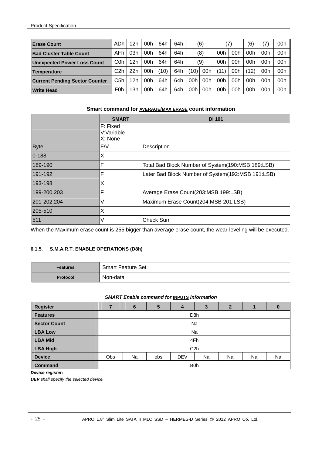| <b>Erase Count</b>                    | ADh              | 12 <sub>h</sub> | 00h | 64h  | 64h | (6)  |     | (7)  |     | (6)  | '7)             | 00h |
|---------------------------------------|------------------|-----------------|-----|------|-----|------|-----|------|-----|------|-----------------|-----|
| <b>Bad Cluster Table Count</b>        | AFh.             | 03h             | 00h | 64h  | 64h | (8)  |     | 00h  | 00h | 00h  | 00h             | 00h |
| <b>Unexpected Power Loss Count</b>    | C <sub>0</sub> h | 12 <sub>h</sub> | 00h | 64h  | 64h | (9)  |     | 00h  | 00h | 00h  | 00h             | 00h |
| Temperature                           | C <sub>2</sub> h | 22h             | 00h | (10) | 64h | (10) | 00h | (11) | 00h | (12) | 00h             | 00h |
| <b>Current Pending Sector Counter</b> | C5h              | 12 <sub>h</sub> | 00h | 64h  | 64h | 00h  | 00h | 00h  | 00h | 00h  | 00h             | 00h |
| <b>Write Head</b>                     | <b>F0h</b>       | 3h              | 00h | 64h  | 64h | 00h  | 00h | 00h  | 00h | 00h  | 00 <sub>h</sub> | 00h |

#### **Smart command for AVERAGE/MAX ERASE count information**

|             | <b>SMART</b>                      | <b>DI 101</b>                                     |
|-------------|-----------------------------------|---------------------------------------------------|
|             | F: Fixed<br>V:Variable<br>X: None |                                                   |
| <b>Byte</b> | F/V                               | Description                                       |
| $0 - 188$   | Χ                                 |                                                   |
| 189-190     | F                                 | Total Bad Block Number of System(190:MSB 189:LSB) |
| 191-192     | F                                 | Later Bad Block Number of System(192:MSB 191:LSB) |
| 193-198     | Χ                                 |                                                   |
| 199-200.203 | F                                 | Average Erase Count(203:MSB 199:LSB)              |
| 201-202.204 |                                   | Maximum Erase Count(204:MSB 201:LSB)              |
| 205-510     | Χ                                 |                                                   |
| 511         | V                                 | <b>Check Sum</b>                                  |

When the Maximum erase count is 255 bigger than average erase count, the wear-leveling will be executed.

#### **6.1.5. S.M.A.R.T. ENABLE OPERATIONS (D8h)**

| <b>Features</b> | <b>Smart Feature Set</b> |
|-----------------|--------------------------|
| <b>Protocol</b> | Non-data                 |

#### *SMART Enable command for* **INPUTS** *information*

| <b>Register</b>     |     | 6  | 5   | 4                       | 3                | 2  |    |    |  |  |  |  |  |
|---------------------|-----|----|-----|-------------------------|------------------|----|----|----|--|--|--|--|--|
| <b>Features</b>     |     |    |     |                         | D <sub>8</sub> h |    |    |    |  |  |  |  |  |
| <b>Sector Count</b> |     |    |     |                         | Na               |    |    |    |  |  |  |  |  |
| <b>LBA Low</b>      |     | Na |     |                         |                  |    |    |    |  |  |  |  |  |
| <b>LBA Mid</b>      |     |    |     | 4Fh                     |                  |    |    |    |  |  |  |  |  |
| <b>LBA High</b>     |     |    |     |                         | C <sub>2</sub> h |    |    |    |  |  |  |  |  |
| <b>Device</b>       | Obs | Na | obs | <b>DEV</b>              | Na               | Na | Na | Na |  |  |  |  |  |
| <b>Command</b>      |     |    |     | <b>B</b> <sub>O</sub> h |                  |    |    |    |  |  |  |  |  |

#### *Device register:*

*DEV shall specify the selected device.*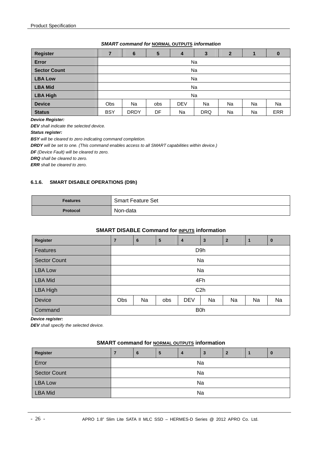#### *SMART command for* **NORMAL OUTPUTS** *information*

| <b>Register</b>     |            | 6                                               | 5  | 4  | 3          | 2  |    | $\bf{0}$   |  |  |
|---------------------|------------|-------------------------------------------------|----|----|------------|----|----|------------|--|--|
| Error               |            | Na                                              |    |    |            |    |    |            |  |  |
| <b>Sector Count</b> |            | Na                                              |    |    |            |    |    |            |  |  |
| <b>LBA Low</b>      |            | Na                                              |    |    |            |    |    |            |  |  |
| <b>LBA Mid</b>      |            | <b>Na</b>                                       |    |    |            |    |    |            |  |  |
| <b>LBA High</b>     |            | Na                                              |    |    |            |    |    |            |  |  |
| <b>Device</b>       | Obs        | Na<br>Na<br><b>DEV</b><br>Na<br>Na<br>Na<br>obs |    |    |            |    |    |            |  |  |
| <b>Status</b>       | <b>BSY</b> | <b>DRDY</b>                                     | DF | Na | <b>DRQ</b> | Na | Na | <b>ERR</b> |  |  |

*Device Register:* 

*DEV shall indicate the selected device.* 

*Status register:* 

*BSY will be cleared to zero indicating command completion.* 

*DRDY will be set to one. (This command enables access to all SMART capabilities within device.)* 

*DF (Device Fault) will be cleared to zero.* 

*DRQ shall be cleared to zero.* 

*ERR shall be cleared to zero.* 

#### **6.1.6. SMART DISABLE OPERATIONS (D9h)**

| <b>Features</b> | <b>Smart Feature Set</b> |
|-----------------|--------------------------|
| <b>Protocol</b> | Non-data                 |

#### **SMART DISABLE Command for <b>INPUTS** information

| <b>Register</b>     | $\overline{7}$ | 6                | 5   | $\overline{4}$ | $\mathbf{3}$     | $\overline{2}$ |    | $\bf{0}$ |  |  |
|---------------------|----------------|------------------|-----|----------------|------------------|----------------|----|----------|--|--|
| Features            |                | D <sub>9</sub> h |     |                |                  |                |    |          |  |  |
| <b>Sector Count</b> |                |                  |     |                | Na               |                |    |          |  |  |
| <b>LBA Low</b>      |                | Na               |     |                |                  |                |    |          |  |  |
| <b>LBA Mid</b>      |                | 4Fh              |     |                |                  |                |    |          |  |  |
| LBA High            |                |                  |     |                | C <sub>2</sub> h |                |    |          |  |  |
| <b>Device</b>       | Obs            | Na               | obs | <b>DEV</b>     | Na               | Na             | Na | Na       |  |  |
| Command             |                | B <sub>0</sub> h |     |                |                  |                |    |          |  |  |

*Device register:* 

*DEV shall specify the selected device.* 

#### **SMART command for NORMAL OUTPUTS information**

| <b>Register</b>     |    | 6  | 5 | 4 | 3  | 2 |  | ω |  |
|---------------------|----|----|---|---|----|---|--|---|--|
| Error               |    | Na |   |   |    |   |  |   |  |
| <b>Sector Count</b> | Na |    |   |   |    |   |  |   |  |
| <b>LBA Low</b>      |    | Na |   |   |    |   |  |   |  |
| <b>LBA Mid</b>      |    |    |   |   | Na |   |  |   |  |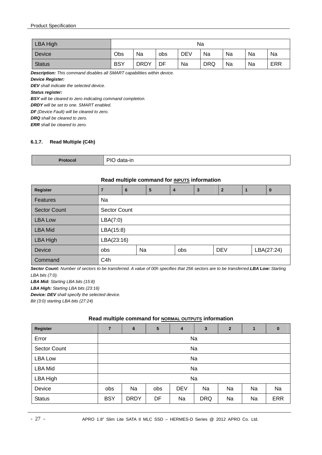| <b>LBA High</b> |            | Na          |     |            |            |    |    |            |
|-----------------|------------|-------------|-----|------------|------------|----|----|------------|
| Device          | Obs        | Na          | obs | <b>DEV</b> | Na         | Na | Na | Na         |
| <b>Status</b>   | <b>BSY</b> | <b>DRDY</b> | DF  | Na         | <b>DRQ</b> | Na | Na | <b>ERR</b> |

*Description: This command disables all SMART capabilities within device.* 

*Device Register:* 

*DEV shall indicate the selected device.* 

*Status register:* 

*BSY will be cleared to zero indicating command completion.* 

*DRDY will be set to one. SMART enabled.* 

*DF (Device Fault) will be cleared to zero.* 

*DRQ shall be cleared to zero.* 

*ERR shall be cleared to zero.* 

#### **6.1.7. Read Multiple (C4h)**

| PIO<br>` data-in<br><b>Protocol</b> |  |
|-------------------------------------|--|
|-------------------------------------|--|

#### **Read multiple command for INPUTS information**

| <b>Register</b>     | $\overline{7}$   | 6            | 5 | 4   | 3 | $\mathbf{2}$ | $\mathbf 1$ | $\bf{0}$   |  |  |
|---------------------|------------------|--------------|---|-----|---|--------------|-------------|------------|--|--|
| <b>Features</b>     | Na               |              |   |     |   |              |             |            |  |  |
| <b>Sector Count</b> |                  | Sector Count |   |     |   |              |             |            |  |  |
| <b>LBA Low</b>      |                  | LBA(7:0)     |   |     |   |              |             |            |  |  |
| <b>LBA Mid</b>      | LBA(15:8)        |              |   |     |   |              |             |            |  |  |
| LBA High            | LBA(23:16)       |              |   |     |   |              |             |            |  |  |
| <b>Device</b>       | obs              | Na           |   | obs |   | <b>DEV</b>   |             | LBA(27:24) |  |  |
| Command             | C <sub>4</sub> h |              |   |     |   |              |             |            |  |  |

*Sector Count: Number of sectors to be transferred. A value of 00h specifies that 256 sectors are to be transferred.LBA Low: Starting LBA bits (7:0).*

*LBA Mid: Starting LBA bits (15:8)*

*LBA High: Starting LBA bits (23:16)*

*Device: DEV shall specify the selected device.*

*Bit (3:0) starting LBA bits (27:24)* 

#### **Read multiple command for NORMAL OUTPUTS information**

| Register            | $\overline{7}$ | $6\phantom{1}6$ | 5   | 4          | $\mathbf{3}$ | $\overline{2}$ | 1  | $\bf{0}$   |  |  |
|---------------------|----------------|-----------------|-----|------------|--------------|----------------|----|------------|--|--|
| Error               |                | Na              |     |            |              |                |    |            |  |  |
| <b>Sector Count</b> |                | Na              |     |            |              |                |    |            |  |  |
| LBA Low             |                | Na              |     |            |              |                |    |            |  |  |
| <b>LBA Mid</b>      |                | Na              |     |            |              |                |    |            |  |  |
| LBA High            |                | Na              |     |            |              |                |    |            |  |  |
| Device              | obs            | Na              | obs | <b>DEV</b> | Na           | Na             | Na | Na         |  |  |
| <b>Status</b>       | <b>BSY</b>     | <b>DRDY</b>     | DF  | Na         | <b>DRQ</b>   | Na             | Na | <b>ERR</b> |  |  |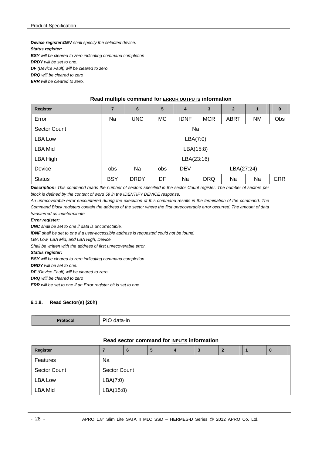*Device register:DEV shall specify the selected device. Status register: BSY will be cleared to zero indicating command completion DRDY will be set to one. DF (Device Fault) will be cleared to zero.* 

*DRQ will be cleared to zero ERR will be cleared to zero.* 

#### **Read multiple command for ERROR OUTPUTS information**

| <b>Register</b> | 7          | $6\phantom{1}6$ | $5\phantom{.0}$ | 4           | 3          | $\overline{2}$ | 1         | $\bf{0}$   |  |
|-----------------|------------|-----------------|-----------------|-------------|------------|----------------|-----------|------------|--|
| Error           | Na         | <b>UNC</b>      | <b>MC</b>       | <b>IDNF</b> | <b>MCR</b> | <b>ABRT</b>    | <b>NM</b> | Obs        |  |
| Sector Count    | Na         |                 |                 |             |            |                |           |            |  |
| LBA Low         | LBA(7:0)   |                 |                 |             |            |                |           |            |  |
| LBA Mid         | LBA(15:8)  |                 |                 |             |            |                |           |            |  |
| LBA High        |            |                 |                 | LBA(23:16)  |            |                |           |            |  |
| Device          | <b>obs</b> | Na              | obs             | <b>DEV</b>  | LBA(27:24) |                |           |            |  |
| <b>Status</b>   | <b>BSY</b> | <b>DRDY</b>     | DF              | Na          | <b>DRQ</b> | Na             | Na        | <b>ERR</b> |  |

*Description: This command reads the number of sectors specified in the sector Count register. The number of sectors per block is defined by the content of word 59 in the IDENTIFY DEVICE response.* 

*An unrecoverable error encountered during the execution of this command results in the termination of the command. The Command Block registers contain the address of the sector where the first unrecoverable error occurred. The amount of data transferred us indeterminate.* 

#### *Error register:*

*UNC shall be set to one if data is uncorrectable.* 

*IDNF shall be set to one if a user-accessible address is requested could not be found.* 

*LBA Low, LBA Mid, and LBA High, Device* 

*Shall be written with the address of first unrecoverable error.* 

#### *Status register:*

*BSY will be cleared to zero indicating command completion* 

*DRDY will be set to one.* 

*DF (Device Fault) will be cleared to zero.* 

*DRQ will be cleared to zero* 

*ERR will be set to one if an Error register bit is set to one.* 

## **6.1.8. Read Sector(s) (20h)**

| DIC<br>data-in<br>וי<br>- - <del>- - - - - -</del> |
|----------------------------------------------------|
|----------------------------------------------------|

#### **Read sector command for INPUTS information**

| <b>Register</b>     |           | 6                   | 5 | 4 | 3 |  |  | IJ. |  |
|---------------------|-----------|---------------------|---|---|---|--|--|-----|--|
| Features            | Na        |                     |   |   |   |  |  |     |  |
| <b>Sector Count</b> |           | <b>Sector Count</b> |   |   |   |  |  |     |  |
| <b>LBA Low</b>      |           | LBA(7:0)            |   |   |   |  |  |     |  |
| <b>LBA Mid</b>      | LBA(15:8) |                     |   |   |   |  |  |     |  |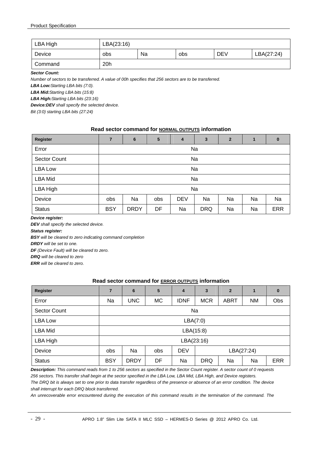| LBA High | LBA(23:16) |    |     |            |            |
|----------|------------|----|-----|------------|------------|
| Device   | obs        | Na | obs | <b>DEV</b> | LBA(27:24) |
| Command  | 20h        |    |     |            |            |

*Sector Count:* 

*Number of sectors to be transferred. A value of 00h specifies that 256 sectors are to be transferred.* 

*LBA Low:Starting LBA bits (7:0).*

*LBA Mid:Starting LBA bits (15:8)*

*LBA High:Starting LBA bits (23:16)*

*Device:DEV shall specify the selected device.*

*Bit (3:0) starting LBA bits (27:24)* 

#### **Read sector command for NORMAL OUTPUTS information**

| Register            | $\overline{7}$ | $6\phantom{1}6$ | 5   | 4          | 3          | $\overline{2}$ | $\blacksquare$ | $\bf{0}$   |  |  |  |
|---------------------|----------------|-----------------|-----|------------|------------|----------------|----------------|------------|--|--|--|
| Error               |                |                 |     |            | Na         |                |                |            |  |  |  |
| <b>Sector Count</b> |                | Na              |     |            |            |                |                |            |  |  |  |
| <b>LBA Low</b>      |                | Na              |     |            |            |                |                |            |  |  |  |
| <b>LBA Mid</b>      |                | Na              |     |            |            |                |                |            |  |  |  |
| LBA High            |                |                 |     |            | Na         |                |                |            |  |  |  |
| Device              | obs            | Na              | obs | <b>DEV</b> | Na         | Na             | Na             | Na         |  |  |  |
| <b>Status</b>       | <b>BSY</b>     | <b>DRDY</b>     | DF  | Na         | <b>DRQ</b> | Na             | Na             | <b>ERR</b> |  |  |  |

#### *Device register:*

*DEV shall specify the selected device.* 

*Status register:* 

*BSY will be cleared to zero indicating command completion* 

*DRDY will be set to one.* 

*DF (Device Fault) will be cleared to zero.* 

*DRQ will be cleared to zero* 

*ERR will be cleared to zero.* 

#### **Read sector command for ERROR OUTPUTS information**

| <b>Register</b> | $\overline{7}$ | 6           | $5\phantom{1}$ | $\overline{4}$ | 3          | $\overline{2}$ | 1         | $\bf{0}$   |  |  |  |
|-----------------|----------------|-------------|----------------|----------------|------------|----------------|-----------|------------|--|--|--|
| Error           | Na             | <b>UNC</b>  | <b>MC</b>      | IDNF           | <b>MCR</b> | <b>ABRT</b>    | <b>NM</b> | Obs        |  |  |  |
| Sector Count    | Na             |             |                |                |            |                |           |            |  |  |  |
| LBA Low         | LBA(7:0)       |             |                |                |            |                |           |            |  |  |  |
| <b>LBA Mid</b>  | LBA(15:8)      |             |                |                |            |                |           |            |  |  |  |
| LBA High        |                |             |                | LBA(23:16)     |            |                |           |            |  |  |  |
| Device          | obs            | Na          | obs            | <b>DEV</b>     | LBA(27:24) |                |           |            |  |  |  |
| <b>Status</b>   | <b>BSY</b>     | <b>DRDY</b> | DF             | Na             | <b>DRQ</b> | Na             | Na        | <b>ERR</b> |  |  |  |

*Description: This command reads from 1 to 256 sectors as specified in the Sector Count register. A sector count of 0 requests 256 sectors. This transfer shall begin at the sector specified in the LBA Low, LBA Mid, LBA High, and Device registers. The DRQ bit is always set to one prior to data transfer regardless of the presence or absence of an error condition. The device shall interrupt for each DRQ block transferred.* 

*An unrecoverable error encountered during the execution of this command results in the termination of the command. The*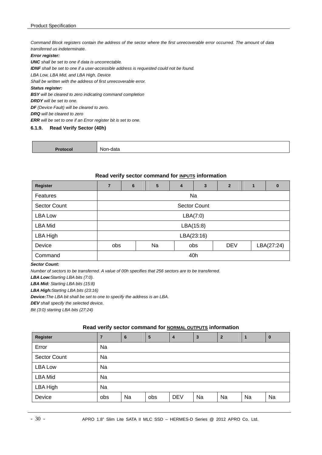*Command Block registers contain the address of the sector where the first unrecoverable error occurred. The amount of data transferred us indeterminate.* 

#### *Error register:*

*UNC shall be set to one if data is uncorrectable. IDNF shall be set to one if a user-accessible address is requested could not be found. LBA Low, LBA Mid, and LBA High, Device Shall be written with the address of first unrecoverable error. Status register: BSY will be cleared to zero indicating command completion DRDY will be set to one. DF (Device Fault) will be cleared to zero. DRQ will be cleared to zero* 

*ERR will be set to one if an Error register bit is set to one.* 

#### **6.1.9. Read Verify Sector (40h)**

| NC    | uato |
|-------|------|
| ----- | .    |

#### **Read verify sector command for INPUTS information**

| Register            | 7   | 6                                            | 5 | $\overline{4}$ | 3          | $\mathbf{2}$ |  | 0 |  |  |  |
|---------------------|-----|----------------------------------------------|---|----------------|------------|--------------|--|---|--|--|--|
| Features            |     | Na                                           |   |                |            |              |  |   |  |  |  |
| <b>Sector Count</b> |     | <b>Sector Count</b>                          |   |                |            |              |  |   |  |  |  |
| LBA Low             |     | LBA(7:0)                                     |   |                |            |              |  |   |  |  |  |
| <b>LBA Mid</b>      |     | LBA(15:8)                                    |   |                |            |              |  |   |  |  |  |
| LBA High            |     |                                              |   |                | LBA(23:16) |              |  |   |  |  |  |
| Device              |     | LBA(27:24)<br>Na<br><b>DEV</b><br>obs<br>obs |   |                |            |              |  |   |  |  |  |
| Command             | 40h |                                              |   |                |            |              |  |   |  |  |  |

#### *Sector Count:*

*Number of sectors to be transferred. A value of 00h specifies that 256 sectors are to be transferred.* 

*LBA Low:Starting LBA bits (7:0).*

*LBA Mid: Starting LBA bits (15:8)*

*LBA High:Starting LBA bits (23:16)*

*Device:The LBA bit shall be set to one to specify the address is an LBA.*

*DEV shall specify the selected device.* 

*Bit (3:0) starting LBA bits (27:24)* 

#### **Read verify sector command for NORMAL OUTPUTS information**

| Register            | 7   | 6  | 5   | 4          | $\overline{\mathbf{3}}$ | $\overline{2}$ |    | $\bf{0}$ |
|---------------------|-----|----|-----|------------|-------------------------|----------------|----|----------|
| Error               | Na  |    |     |            |                         |                |    |          |
| <b>Sector Count</b> | Na  |    |     |            |                         |                |    |          |
| LBA Low             | Na  |    |     |            |                         |                |    |          |
| <b>LBA Mid</b>      | Na  |    |     |            |                         |                |    |          |
| LBA High            | Na  |    |     |            |                         |                |    |          |
| Device              | obs | Na | obs | <b>DEV</b> | Na                      | Na             | Na | Na       |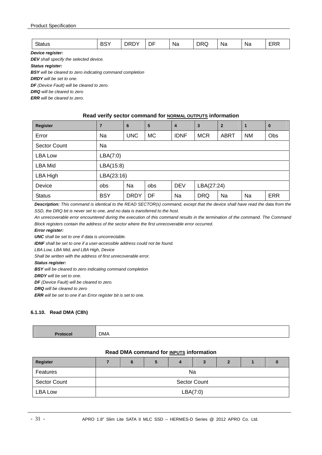| $\sim$<br>w | DOV:<br>. .<br>DC | ١v<br>או | - -<br>J⊦ | Na<br>__ | וRר<br>. Ja<br>- | Na<br>__ | Nδ<br>__ | ---<br>--<br>_ |
|-------------|-------------------|----------|-----------|----------|------------------|----------|----------|----------------|
|-------------|-------------------|----------|-----------|----------|------------------|----------|----------|----------------|

*Device register:* 

*DEV shall specify the selected device.* 

*Status register:* 

*BSY will be cleared to zero indicating command completion* 

*DRDY will be set to one.* 

*DF (Device Fault) will be cleared to zero.* 

*DRQ will be cleared to zero* 

*ERR will be cleared to zero.* 

#### **Read verify sector command for NORMAL OUTPUTS information**

| Register            | $\overline{7}$ | 6           | 5         | 4           | $\overline{\mathbf{3}}$ | $\overline{2}$ | 1         | $\bf{0}$   |  |  |  |  |
|---------------------|----------------|-------------|-----------|-------------|-------------------------|----------------|-----------|------------|--|--|--|--|
| Error               | Na             | <b>UNC</b>  | <b>MC</b> | <b>IDNF</b> | <b>MCR</b>              | <b>ABRT</b>    | <b>NM</b> | Obs        |  |  |  |  |
| <b>Sector Count</b> | Na             |             |           |             |                         |                |           |            |  |  |  |  |
| LBA Low             | LBA(7:0)       |             |           |             |                         |                |           |            |  |  |  |  |
| LBA Mid             | LBA(15:8)      |             |           |             |                         |                |           |            |  |  |  |  |
| LBA High            | LBA(23:16)     |             |           |             |                         |                |           |            |  |  |  |  |
| Device              | obs            | Na          | obs       | <b>DEV</b>  | LBA(27:24)              |                |           |            |  |  |  |  |
| <b>Status</b>       | <b>BSY</b>     | <b>DRDY</b> | DF        | Na          | <b>DRQ</b>              | Na             | Na        | <b>ERR</b> |  |  |  |  |

*Description: This command is identical to the READ SECTOR(s) command, except that the device shall have read the data from the SSD, the DRQ bit is never set to one, and no data is transferred to the host.* 

*An unrecoverable error encountered during the execution of this command results in the termination of the command. The Command Block registers contain the address of the sector where the first unrecoverable error occurred.* 

*Error register:* 

*UNC shall be set to one if data is uncorrectable.* 

*IDNF shall be set to one if a user-accessible address could not be found.* 

*LBA Low, LBA Mid, and LBA High, Device* 

*Shall be written with the address of first unrecoverable error.* 

*Status register:* 

*BSY will be cleared to zero indicating command completion* 

*DRDY will be set to one.* 

*DF (Device Fault) will be cleared to zero.* 

*DRQ will be cleared to zero* 

*ERR will be set to one if an Error register bit is set to one.* 

#### **6.1.10. Read DMA (C8h)**

|          | DMA |
|----------|-----|
| -------- |     |

#### **Read DMA command for INPUTS information**

| <b>Register</b> |          |                     | C |  | 3 |  |  |  |  |  |  |
|-----------------|----------|---------------------|---|--|---|--|--|--|--|--|--|
| Features        |          | Na                  |   |  |   |  |  |  |  |  |  |
| Sector Count    |          | <b>Sector Count</b> |   |  |   |  |  |  |  |  |  |
| LBA Low         | LBA(7:0) |                     |   |  |   |  |  |  |  |  |  |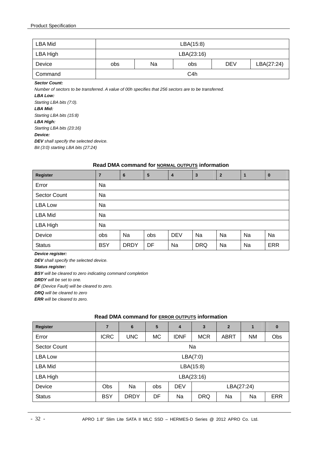| LBA Mid                                                                                           |     | LBA(15:8)  |                  |            |            |  |  |  |  |  |  |  |
|---------------------------------------------------------------------------------------------------|-----|------------|------------------|------------|------------|--|--|--|--|--|--|--|
| LBA High                                                                                          |     | LBA(23:16) |                  |            |            |  |  |  |  |  |  |  |
| Device                                                                                            | obs | Na         | obs              | <b>DEV</b> | LBA(27:24) |  |  |  |  |  |  |  |
| Command                                                                                           |     |            | C <sub>4</sub> h |            |            |  |  |  |  |  |  |  |
| <b>Sector Count:</b>                                                                              |     |            |                  |            |            |  |  |  |  |  |  |  |
| Number of cooters to be transferred Augus of 00b enceities that 356 sectors are to be transferred |     |            |                  |            |            |  |  |  |  |  |  |  |

*Number of sectors to be transferred. A value of 00h specifies that 256 sectors are to be transferred.* 

*LBA Low: Starting LBA bits (7:0). LBA Mid: Starting LBA bits (15:8) LBA High: Starting LBA bits (23:16) Device: DEV shall specify the selected device. Bit (3:0) starting LBA bits (27:24)* 

#### **Read DMA command for NORMAL OUTPUTS information**

| Register            |            | $6\phantom{1}$ | 5   | 4          | $\overline{3}$ | $\overline{2}$ | 1  | $\bf{0}$   |  |  |  |
|---------------------|------------|----------------|-----|------------|----------------|----------------|----|------------|--|--|--|
| Error               | Na         |                |     |            |                |                |    |            |  |  |  |
| <b>Sector Count</b> | Na         |                |     |            |                |                |    |            |  |  |  |
| <b>LBA Low</b>      | Na         |                |     |            |                |                |    |            |  |  |  |
| <b>LBA Mid</b>      | Na         |                |     |            |                |                |    |            |  |  |  |
| LBA High            | Na         |                |     |            |                |                |    |            |  |  |  |
| Device              | obs        | Na             | obs | <b>DEV</b> | Na             | Na             | Na | Na         |  |  |  |
| <b>Status</b>       | <b>BSY</b> | <b>DRDY</b>    | DF  | Na         | <b>DRQ</b>     | Na             | Na | <b>ERR</b> |  |  |  |

*Device register:* 

*DEV shall specify the selected device.* 

*Status register:* 

*BSY will be cleared to zero indicating command completion* 

*DRDY will be set to one.* 

*DF (Device Fault) will be cleared to zero.* 

*DRQ will be cleared to zero* 

*ERR will be cleared to zero.* 

## **Read DMA command for ERROR OUTPUTS information**

| Register      | 7           | 6           | 5         | 4           | $\overline{3}$ | $\overline{2}$ | 1         | $\bf{0}$   |  |  |  |
|---------------|-------------|-------------|-----------|-------------|----------------|----------------|-----------|------------|--|--|--|
| Error         | <b>ICRC</b> | <b>UNC</b>  | <b>MC</b> | <b>IDNF</b> | <b>MCR</b>     | <b>ABRT</b>    | <b>NM</b> | Obs        |  |  |  |
| Sector Count  |             | Na          |           |             |                |                |           |            |  |  |  |
| LBA Low       | LBA(7:0)    |             |           |             |                |                |           |            |  |  |  |
| LBA Mid       | LBA(15:8)   |             |           |             |                |                |           |            |  |  |  |
| LBA High      |             |             |           |             | LBA(23:16)     |                |           |            |  |  |  |
| Device        | Obs         | Na          | obs       | <b>DEV</b>  | LBA(27:24)     |                |           |            |  |  |  |
| <b>Status</b> | <b>BSY</b>  | <b>DRDY</b> | DF        | Na          | <b>DRQ</b>     | Na             | Na        | <b>ERR</b> |  |  |  |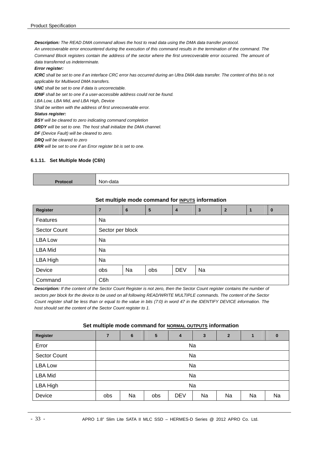*Description: The READ DMA command allows the host to read data using the DMA data transfer protocol.* 

*An unrecoverable error encountered during the execution of this command results in the termination of the command. The Command Block registers contain the address of the sector where the first unrecoverable error occurred. The amount of data transferred us indeterminate.* 

#### *Error register:*

ICRC shall be set to one if an interface CRC error has occurred during an Ultra DMA data transfer. The content of this bit is not *applicable for Multiword DMA transfers.* 

*UNC shall be set to one if data is uncorrectable.* 

*IDNF shall be set to one if a user-accessible address could not be found.* 

*LBA Low, LBA Mid, and LBA High, Device* 

*Shall be written with the address of first unrecoverable error.* 

#### *Status register:*

*BSY will be cleared to zero indicating command completion* 

*DRDY will be set to one. The host shall initialize the DMA channel.* 

*DF (Device Fault) will be cleared to zero.* 

*DRQ will be cleared to zero* 

*ERR will be set to one if an Error register bit is set to one.* 

#### **6.1.11. Set Multiple Mode (C6h)**

| - | w<br>uaia<br>. ان<br>. |
|---|------------------------|
|   |                        |

#### **Set multiple mode command for INPUTS information**

| Register            | 7                | 6  | 5   | $\overline{4}$ | 3  | $\overline{2}$ | $\bf{0}$ |
|---------------------|------------------|----|-----|----------------|----|----------------|----------|
| Features            | Na               |    |     |                |    |                |          |
| <b>Sector Count</b> | Sector per block |    |     |                |    |                |          |
| <b>LBA Low</b>      | Na               |    |     |                |    |                |          |
| <b>LBA Mid</b>      | Na               |    |     |                |    |                |          |
| LBA High            | Na               |    |     |                |    |                |          |
| Device              | obs              | Na | obs | <b>DEV</b>     | Na |                |          |
| Command             | C6h              |    |     |                |    |                |          |

*Description: If the content of the Sector Count Register is not zero, then the Sector Count register contains the number of sectors per block for the device to be used on all following READ/WRITE MULTIPLE commands. The content of the Sector Count register shall be less than or equal to the value in bits (7:0) in word 47 in the IDENTIFY DEVICE information. The host should set the content of the Sector Count register to 1.* 

#### Set multiple mode command for **NORMAL OUTPUTS** information

| <b>Register</b>     | $\overline{7}$ | 6  | 5   | 4          | 3  | $\overline{2}$ | $\mathbf{1}$ | $\mathbf{0}$ |  |  |  |
|---------------------|----------------|----|-----|------------|----|----------------|--------------|--------------|--|--|--|
| Error               |                | Na |     |            |    |                |              |              |  |  |  |
| <b>Sector Count</b> |                | Na |     |            |    |                |              |              |  |  |  |
| <b>LBA Low</b>      |                | Na |     |            |    |                |              |              |  |  |  |
| <b>LBA Mid</b>      |                |    |     |            | Na |                |              |              |  |  |  |
| LBA High            |                | Na |     |            |    |                |              |              |  |  |  |
| Device              | obs            | Na | obs | <b>DEV</b> | Na | Na             | Na           | Na           |  |  |  |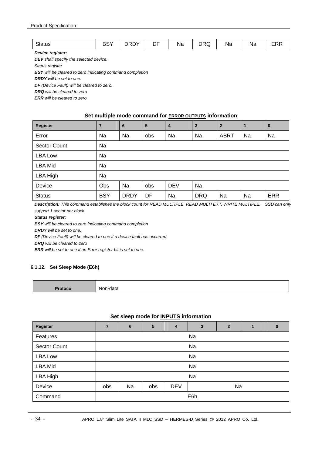| $\sim$ $\sim$ $\sim$<br>ડાતાus | <b>DOV</b><br>וטט | ∨חםר<br>שאט | $-$<br>DΕ | . .<br>Na. | <sub>DD</sub><br>JRC<br>້ | ма | Na | F R<br>–™ |
|--------------------------------|-------------------|-------------|-----------|------------|---------------------------|----|----|-----------|
|--------------------------------|-------------------|-------------|-----------|------------|---------------------------|----|----|-----------|

*Device register:* 

*DEV shall specify the selected device.* 

*Status register* 

*BSY will be cleared to zero indicating command completion* 

*DRDY will be set to one.* 

*DF (Device Fault) will be cleared to zero.* 

*DRQ will be cleared to zero* 

*ERR will be cleared to zero.* 

#### **Set multiple mode command for ERROR OUTPUTS information**

| <b>Register</b>     | 7          | 6           | 5   | $\overline{4}$ | $\overline{\mathbf{3}}$ | $\overline{2}$ | 1  | $\bf{0}$   |  |
|---------------------|------------|-------------|-----|----------------|-------------------------|----------------|----|------------|--|
| Error               | Na         | Na          | obs | Na             | Na                      | <b>ABRT</b>    | Na | Na         |  |
| <b>Sector Count</b> | Na         |             |     |                |                         |                |    |            |  |
| LBA Low             | Na         |             |     |                |                         |                |    |            |  |
| <b>LBA Mid</b>      | Na         |             |     |                |                         |                |    |            |  |
| LBA High            | Na         |             |     |                |                         |                |    |            |  |
| Device              | Obs        | Na          | obs | <b>DEV</b>     | Na                      |                |    |            |  |
| <b>Status</b>       | <b>BSY</b> | <b>DRDY</b> | DF  | Na             | <b>DRQ</b>              | Na             | Na | <b>ERR</b> |  |

**Description:** This command establishes the block count for READ MULTIPLE, READ MULTI EXT, WRITE MULTIPLE. SSD can only *support 1 sector per block.* 

#### *Status register:*

*BSY will be cleared to zero indicating command completion* 

*DRDY will be set to one.* 

*DF (Device Fault) will be cleared to one if a device fault has occurred.* 

*DRQ will be cleared to zero* 

*ERR will be set to one if an Error register bit is set to one.* 

#### **6.1.12. Set Sleep Mode (E6h)**

**Protocol Non-data** 

#### **Set sleep mode for INPUTS information**

| Register       | $\overline{7}$ | 6  | 5   | $\boldsymbol{4}$ | 3                | $\overline{2}$ | 1 | $\bf{0}$ |  |
|----------------|----------------|----|-----|------------------|------------------|----------------|---|----------|--|
|                |                |    |     |                  |                  |                |   |          |  |
| Features       |                |    |     |                  | Na               |                |   |          |  |
| Sector Count   |                |    |     |                  | Na               |                |   |          |  |
| <b>LBA Low</b> | Na             |    |     |                  |                  |                |   |          |  |
| <b>LBA Mid</b> |                |    |     |                  | Na               |                |   |          |  |
| LBA High       |                |    |     |                  | Na               |                |   |          |  |
| Device         | obs            | Na | obs | <b>DEV</b>       | Na               |                |   |          |  |
| Command        |                |    |     |                  | E <sub>6</sub> h |                |   |          |  |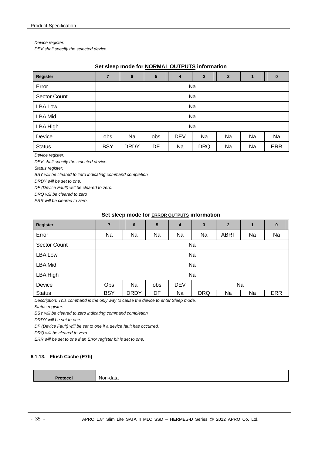*Device register:* 

*DEV shall specify the selected device.* 

#### **Set sleep mode for NORMAL OUTPUTS information**

| <b>Register</b>     | $\overline{7}$ | $6\phantom{1}6$ | 5   | $\overline{4}$ | $\mathbf{3}$ | $\overline{2}$ | 1  | $\bf{0}$   |  |  |
|---------------------|----------------|-----------------|-----|----------------|--------------|----------------|----|------------|--|--|
| Error               |                | Na              |     |                |              |                |    |            |  |  |
| <b>Sector Count</b> |                | Na              |     |                |              |                |    |            |  |  |
| <b>LBA Low</b>      |                | Na              |     |                |              |                |    |            |  |  |
| <b>LBA Mid</b>      |                | Na              |     |                |              |                |    |            |  |  |
| LBA High            |                |                 |     |                | Na           |                |    |            |  |  |
| Device              | obs            | Na              | obs | <b>DEV</b>     | Na           | Na             | Na | Na         |  |  |
| <b>Status</b>       | <b>BSY</b>     | <b>DRDY</b>     | DF  | Na             | <b>DRQ</b>   | Na             | Na | <b>ERR</b> |  |  |

*Device register:* 

*DEV shall specify the selected device.* 

*Status register:* 

*BSY will be cleared to zero indicating command completion* 

*DRDY will be set to one.* 

*DF (Device Fault) will be cleared to zero.* 

*DRQ will be cleared to zero* 

*ERR will be cleared to zero.* 

#### **Set sleep mode for ERROR OUTPUTS information**

| Register       | $\overline{7}$ | 6           | $5\phantom{1}$ | $\overline{4}$ | 3          | $\overline{2}$ | $\mathbf{1}$ | $\bf{0}$   |
|----------------|----------------|-------------|----------------|----------------|------------|----------------|--------------|------------|
| Error          | Na             | Na          | Na             | Na             | Na         | <b>ABRT</b>    | Na           | Na         |
| Sector Count   | Na             |             |                |                |            |                |              |            |
| <b>LBA Low</b> | Na             |             |                |                |            |                |              |            |
| <b>LBA Mid</b> |                |             |                |                | Na         |                |              |            |
| LBA High       |                |             |                |                | Na         |                |              |            |
| Device         | Obs            | Na          | obs            | <b>DEV</b>     | Na         |                |              |            |
| <b>Status</b>  | <b>BSY</b>     | <b>DRDY</b> | DF             | Na             | <b>DRQ</b> | Na             | Na           | <b>ERR</b> |

*Description: This command is the only way to cause the device to enter Sleep mode.* 

*Status register:* 

*BSY will be cleared to zero indicating command completion* 

*DRDY will be set to one.* 

*DF (Device Fault) will be set to one if a device fault has occurred.* 

*DRQ will be cleared to zero* 

*ERR will be set to one if an Error register bit is set to one.* 

#### **6.1.13. Flush Cache (E7h)**

| . | M<br>912ء<br>$\overline{\phantom{a}}$ |
|---|---------------------------------------|
|   |                                       |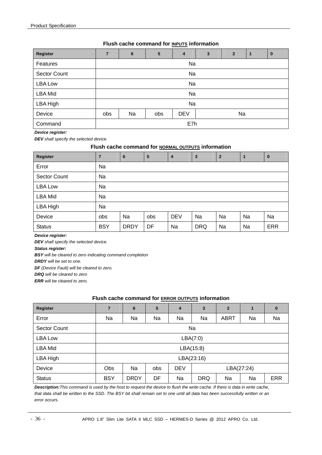#### **Flush cache command for INPUTS information**

| Register            | $\overline{7}$ | 6  | $5\phantom{1}$ | 4          | 3  | $\overline{2}$ |  | $\bf{0}$ |  |
|---------------------|----------------|----|----------------|------------|----|----------------|--|----------|--|
| Features            | Na             |    |                |            |    |                |  |          |  |
| <b>Sector Count</b> | Na             |    |                |            |    |                |  |          |  |
| <b>LBA Low</b>      | Na             |    |                |            |    |                |  |          |  |
| <b>LBA Mid</b>      |                |    |                | Na         |    |                |  |          |  |
| LBA High            |                |    |                | Na         |    |                |  |          |  |
| Device              | obs            | Na | obs            | <b>DEV</b> | Na |                |  |          |  |
| Command             | E7h            |    |                |            |    |                |  |          |  |

*Device register:* 

*DEV shall specify the selected device.* 

#### **Flush cache command for NORMAL OUTPUTS information**

| Register            | 7          | 6           | 5   | $\overline{4}$ | 3          | $\overline{2}$ |    | $\bf{0}$   |
|---------------------|------------|-------------|-----|----------------|------------|----------------|----|------------|
| Error               | Na         |             |     |                |            |                |    |            |
| <b>Sector Count</b> | Na         |             |     |                |            |                |    |            |
| <b>LBA Low</b>      | Na         |             |     |                |            |                |    |            |
| <b>LBA Mid</b>      | Na         |             |     |                |            |                |    |            |
| LBA High            | Na         |             |     |                |            |                |    |            |
| Device              | obs        | Na          | obs | <b>DEV</b>     | Na         | Na             | Na | Na         |
| <b>Status</b>       | <b>BSY</b> | <b>DRDY</b> | DF  | Na             | <b>DRQ</b> | Na             | Na | <b>ERR</b> |

*Device register:* 

*DEV shall specify the selected device.* 

*Status register:* 

*BSY will be cleared to zero indicating command completion* 

*DRDY will be set to one.* 

*DF (Device Fault) will be cleared to zero.* 

*DRQ will be cleared to zero* 

*ERR will be cleared to zero.* 

#### **Flush cache command for ERROR OUTPUTS information**

| Register            | 7          | 6           | 5   | 4          | $\mathbf{3}$ | $\overline{2}$ | 1  | 0          |
|---------------------|------------|-------------|-----|------------|--------------|----------------|----|------------|
| Error               | Na         | Na          | Na  | Na         | Na           | <b>ABRT</b>    | Na | Na         |
| <b>Sector Count</b> | Na         |             |     |            |              |                |    |            |
| <b>LBA Low</b>      | LBA(7:0)   |             |     |            |              |                |    |            |
| LBA Mid             |            |             |     |            | LBA(15:8)    |                |    |            |
| LBA High            |            |             |     |            | LBA(23:16)   |                |    |            |
| Device              | Obs        | Na          | obs | <b>DEV</b> | LBA(27:24)   |                |    |            |
| <b>Status</b>       | <b>BSY</b> | <b>DRDY</b> | DF  | Na         | <b>DRQ</b>   | Na             | Na | <b>ERR</b> |

*Description:This command is used by the host to request the device to flush the write cache. If there is data in write cache, that data shall be written to the SSD. The BSY bit shall remain set to one until all data has been successfully written or an error occurs.*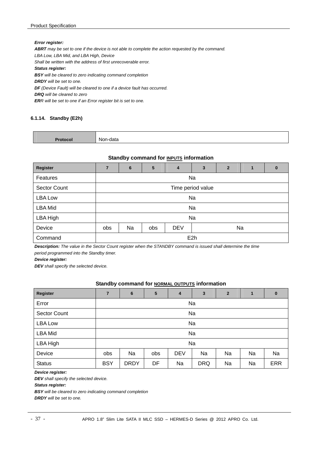#### *Error register:*

*ABRT may be set to one if the device is not able to complete the action requested by the command. LBA Low, LBA Mid, and LBA High, Device Shall be written with the address of first unrecoverable error. Status register: BSY will be cleared to zero indicating command completion DRDY will be set to one.* 

*DF (Device Fault) will be cleared to one if a device fault has occurred.* 

*DRQ will be cleared to zero* 

*ERR will be set to one if an Error register bit is set to one.* 

#### **6.1.14. Standby (E2h)**

| NI |
|----|
|    |

#### **Standby command for INPUTS information**

| Register            | $\overline{7}$    | 6  | 5   | $\overline{4}$ | $\overline{\mathbf{3}}$ | $\overline{2}$ | 1 | $\bf{0}$ |  |  |  |
|---------------------|-------------------|----|-----|----------------|-------------------------|----------------|---|----------|--|--|--|
| Features            |                   | Na |     |                |                         |                |   |          |  |  |  |
| <b>Sector Count</b> | Time period value |    |     |                |                         |                |   |          |  |  |  |
| <b>LBA Low</b>      | Na                |    |     |                |                         |                |   |          |  |  |  |
| <b>LBA Mid</b>      |                   |    |     |                | Na                      |                |   |          |  |  |  |
| LBA High            |                   |    |     |                | Na                      |                |   |          |  |  |  |
| Device              | obs               | Na | obs | <b>DEV</b>     |                         | Na             |   |          |  |  |  |
| Command             |                   |    |     |                | E <sub>2</sub> h        |                |   |          |  |  |  |

*Description: The value in the Sector Count register when the STANDBY command is issued shall determine the time period programmed into the Standby timer.* 

*Device register:* 

*DEV shall specify the selected device.* 

#### **Standby command for NORMAL OUTPUTS information**

| Register            | 7          | $6\phantom{1}6$ | 5   | 4          | $\mathbf{3}$ | $\overline{2}$ | 1  | $\bf{0}$   |  |  |
|---------------------|------------|-----------------|-----|------------|--------------|----------------|----|------------|--|--|
| Error               |            | Na              |     |            |              |                |    |            |  |  |
| <b>Sector Count</b> |            | Na              |     |            |              |                |    |            |  |  |
| <b>LBA Low</b>      |            | Na              |     |            |              |                |    |            |  |  |
| <b>LBA Mid</b>      |            |                 |     |            | Na           |                |    |            |  |  |
| LBA High            |            |                 |     |            | Na           |                |    |            |  |  |
| Device              | <b>obs</b> | Na              | obs | <b>DEV</b> | Na           | Na             | Na | Na         |  |  |
| <b>Status</b>       | <b>BSY</b> | <b>DRDY</b>     | DF  | Na         | <b>DRQ</b>   | Na             | Na | <b>ERR</b> |  |  |

*Device register:* 

*DEV shall specify the selected device.* 

*Status register:* 

*BSY will be cleared to zero indicating command completion* 

*DRDY will be set to one.*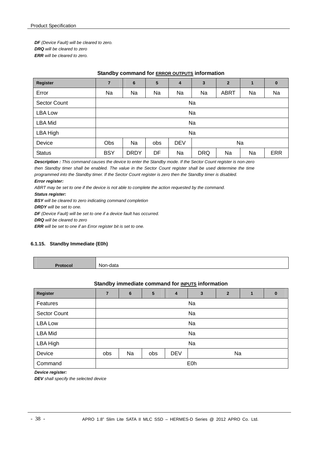*DF (Device Fault) will be cleared to zero. DRQ will be cleared to zero ERR will be cleared to zero.* 

#### **Standby command for ERROR OUTPUTS information**

| <b>Register</b>     | $\overline{7}$ | 6           | 5   | 4          | 3          | $\overline{2}$ | 1  | $\bf{0}$   |
|---------------------|----------------|-------------|-----|------------|------------|----------------|----|------------|
| Error               | Na             | Na          | Na  | Na         | Na         | <b>ABRT</b>    | Na | Na         |
| <b>Sector Count</b> | Na             |             |     |            |            |                |    |            |
| LBA Low             | Na             |             |     |            |            |                |    |            |
| <b>LBA Mid</b>      |                | Na          |     |            |            |                |    |            |
| LBA High            |                |             |     |            | Na         |                |    |            |
| Device              | <b>Obs</b>     | Na          | obs | <b>DEV</b> | Na         |                |    |            |
| <b>Status</b>       | <b>BSY</b>     | <b>DRDY</b> | DF  | Na         | <b>DRQ</b> | Na             | Na | <b>ERR</b> |

*Description : This command causes the device to enter the Standby mode. If the Sector Count register is non-zero then Standby timer shall be enabled. The value in the Sector Count register shall be used determine the time programmed into the Standby timer. If the Sector Count register is zero then the Standby timer is disabled. Error register:* 

ABRT may be set to one if the device is not able to complete the action requested by the command.

*Status register:* 

*BSY will be cleared to zero indicating command completion* 

*DRDY will be set to one.* 

*DF (Device Fault) will be set to one if a device fault has occurred.* 

*DRQ will be cleared to zero* 

*ERR will be set to one if an Error register bit is set to one.*

#### **6.1.15. Standby Immediate (E0h)**

| IM.<br>-uata<br>. |
|-------------------|
|                   |

#### **Standby immediate command for <b>INPUTS** information

| Register       | 7   | 6  | 5   | $\overline{4}$ | 3                | $\mathbf{2}$ | 1 | 0 |  |  |  |
|----------------|-----|----|-----|----------------|------------------|--------------|---|---|--|--|--|
| Features       |     | Na |     |                |                  |              |   |   |  |  |  |
| Sector Count   | Na  |    |     |                |                  |              |   |   |  |  |  |
| <b>LBA Low</b> | Na  |    |     |                |                  |              |   |   |  |  |  |
| <b>LBA Mid</b> |     |    |     |                | Na               |              |   |   |  |  |  |
| LBA High       |     |    |     |                | Na               |              |   |   |  |  |  |
| Device         | obs | Na | obs | <b>DEV</b>     |                  | Na           |   |   |  |  |  |
| Command        |     |    |     |                | E <sub>0</sub> h |              |   |   |  |  |  |

*Device register:* 

*DEV shall specify the selected device*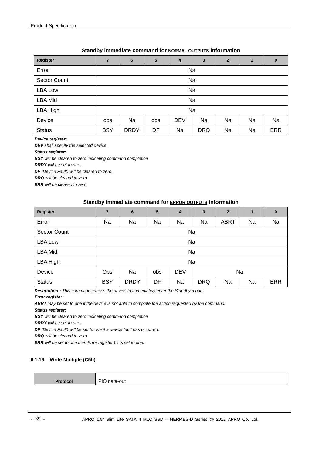#### **Standby immediate command for NORMAL OUTPUTS information**

| Register            | $\overline{7}$ | 6           | $5\phantom{1}$ | $\overline{4}$ | 3          | $\overline{2}$ | 1  | $\bf{0}$   |  |  |  |
|---------------------|----------------|-------------|----------------|----------------|------------|----------------|----|------------|--|--|--|
| Error               |                | Na          |                |                |            |                |    |            |  |  |  |
| <b>Sector Count</b> |                | Na          |                |                |            |                |    |            |  |  |  |
| <b>LBA Low</b>      |                | Na          |                |                |            |                |    |            |  |  |  |
| <b>LBA Mid</b>      |                | Na          |                |                |            |                |    |            |  |  |  |
| LBA High            |                |             |                |                | Na         |                |    |            |  |  |  |
| Device              | <b>obs</b>     | Na          | <b>obs</b>     | <b>DEV</b>     | Na         | Na             | Na | Na         |  |  |  |
| <b>Status</b>       | <b>BSY</b>     | <b>DRDY</b> | DF             | Na             | <b>DRQ</b> | Na             | Na | <b>ERR</b> |  |  |  |

#### *Device register:*

*DEV shall specify the selected device.* 

*Status register:* 

*BSY will be cleared to zero indicating command completion* 

*DRDY will be set to one.* 

*DF (Device Fault) will be cleared to zero.* 

*DRQ will be cleared to zero* 

*ERR will be cleared to zero.* 

#### **Standby immediate command for ERROR OUTPUTS information**

| Register            | $\overline{7}$ | 6           | $5\phantom{1}$ | 4          | 3          | $\overline{2}$ | $\blacksquare$ | $\bf{0}$   |
|---------------------|----------------|-------------|----------------|------------|------------|----------------|----------------|------------|
| Error               | Na             | Na          | Na             | Na         | Na         | <b>ABRT</b>    | Na             | Na         |
| <b>Sector Count</b> | Na             |             |                |            |            |                |                |            |
| LBA Low             | Na             |             |                |            |            |                |                |            |
| <b>LBA Mid</b>      |                | Na          |                |            |            |                |                |            |
| LBA High            |                |             |                |            | Na         |                |                |            |
| Device              | <b>Obs</b>     | Na          | obs            | <b>DEV</b> | Na         |                |                |            |
| <b>Status</b>       | <b>BSY</b>     | <b>DRDY</b> | DF             | Na         | <b>DRQ</b> | Na             | Na             | <b>ERR</b> |

*Description : This command causes the device to immediately enter the Standby mode.* 

#### *Error register:*

*ABRT may be set to one if the device is not able to complete the action requested by the command.* 

*Status register:* 

*BSY will be cleared to zero indicating command completion* 

*DRDY will be set to one.* 

*DF (Device Fault) will be set to one if a device fault has occurred.* 

*DRQ will be cleared to zero* 

*ERR will be set to one if an Error register bit is set to one.*

#### **6.1.16. Write Multiple (C5h)**

**Protocol** PIO data-out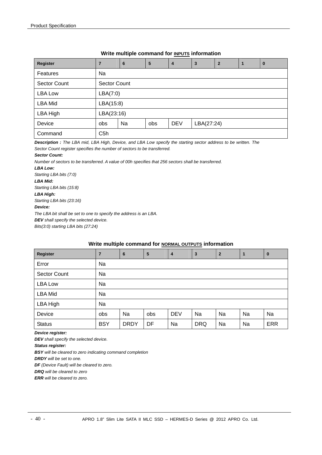#### **Write multiple command for INPUTS information**

| Register       |                  | $6\phantom{1}6$ | 5   | $\overline{4}$ | 3          | $\overline{2}$ |  | 0 |  |  |  |  |
|----------------|------------------|-----------------|-----|----------------|------------|----------------|--|---|--|--|--|--|
| Features       | Na               |                 |     |                |            |                |  |   |  |  |  |  |
| Sector Count   |                  | Sector Count    |     |                |            |                |  |   |  |  |  |  |
| LBA Low        |                  | LBA(7:0)        |     |                |            |                |  |   |  |  |  |  |
| <b>LBA Mid</b> | LBA(15:8)        |                 |     |                |            |                |  |   |  |  |  |  |
| LBA High       | LBA(23:16)       |                 |     |                |            |                |  |   |  |  |  |  |
| Device         | obs              | Na              | obs | <b>DEV</b>     | LBA(27:24) |                |  |   |  |  |  |  |
| Command        | C <sub>5</sub> h |                 |     |                |            |                |  |   |  |  |  |  |

*Description : The LBA mid, LBA High, Device, and LBA Low specify the starting sector address to be written. The Sector Count register specifies the number of sectors to be transferred.* 

#### *Sector Count:*

*Number of sectors to be transferred. A value of 00h specifies that 256 sectors shall be transferred.* 

*LBA Low: Starting LBA bits (7:0) LBA Mid: Starting LBA bits (15:8) LBA High: Starting LBA bits (23:16) Device: The LBA bit shall be set to one to specify the address is an LBA. DEV shall specify the selected device.* 

*Bits(3:0) starting LBA bits (27:24)* 

#### **Write multiple command for NORMAL OUTPUTS information**

| Register            |            | $6\phantom{1}$ | 5   | 4          | 3          | $\overline{2}$ | $\overline{1}$ | $\bf{0}$   |
|---------------------|------------|----------------|-----|------------|------------|----------------|----------------|------------|
| Error               | Na         |                |     |            |            |                |                |            |
| <b>Sector Count</b> | Na         |                |     |            |            |                |                |            |
| <b>LBA Low</b>      | Na         |                |     |            |            |                |                |            |
| <b>LBA Mid</b>      | Na         |                |     |            |            |                |                |            |
| LBA High            | Na         |                |     |            |            |                |                |            |
| Device              | obs        | Na             | obs | <b>DEV</b> | Na         | Na             | Na             | Na         |
| <b>Status</b>       | <b>BSY</b> | <b>DRDY</b>    | DF  | Na         | <b>DRQ</b> | Na             | Na             | <b>ERR</b> |

*Device register:* 

*DEV shall specify the selected device.* 

*Status register:* 

*BSY will be cleared to zero indicating command completion* 

*DRDY will be set to one.* 

*DF (Device Fault) will be cleared to zero.* 

*DRQ will be cleared to zero* 

*ERR will be cleared to zero.*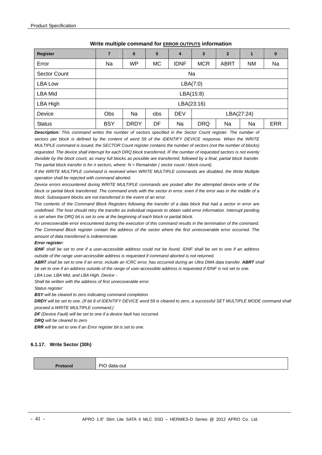| Register            | 7          | 6           | 5         | 4           | $\mathbf{3}$ | $\overline{2}$ | 1         | $\bf{0}$   |
|---------------------|------------|-------------|-----------|-------------|--------------|----------------|-----------|------------|
| Error               | Na         | <b>WP</b>   | <b>MC</b> | <b>IDNF</b> | <b>MCR</b>   | <b>ABRT</b>    | <b>NM</b> | Na         |
| <b>Sector Count</b> |            | Na          |           |             |              |                |           |            |
| LBA Low             | LBA(7:0)   |             |           |             |              |                |           |            |
| <b>LBA Mid</b>      |            |             |           |             | LBA(15:8)    |                |           |            |
| LBA High            |            |             |           |             | LBA(23:16)   |                |           |            |
| Device              | <b>Obs</b> | Na          | obs       | <b>DEV</b>  | LBA(27:24)   |                |           |            |
| <b>Status</b>       | <b>BSY</b> | <b>DRDY</b> | DF        | Na          | <b>DRQ</b>   | Na             | Na        | <b>ERR</b> |

#### **Write multiple command for ERROR OUTPUTS information**

*Description: This command writes the number of sectors specified in the Sector Count register. The number of sectors per block is defined by the content of word 59 of the IDENTIFY DEVICE response. When the WRITE MULTIPLE command is issued, the SECTOR Count register contains the number of sectors (not the number of blocks) requested. The device shall interrupt for each DRQ block transferred. IF the number of requested sectors is not evenly divisible by the block count, as many full blocks as possible are transferred, followed by a final, partial block transfer. The partial block transfer is for n sectors, where: N = Remainder ( sector count / block count).* 

*If the WRITE MULTIPLE command is received when WRITE MULTIPLE commands are disabled, the Write Multiple operation shall be rejected with command aborted.* 

*Device errors encountered during WRITE MULTIPLE commands are posted after the attempted device write of the block or partial block transferred. The command ends with the sector in error, even if the error was in the middle of a block. Subsequent blocks are not transferred in the event of an error.* 

*The contents of the Command Block Registers following the transfer of a data block that had a sector in error are undefined. The host should retry the transfer as individual requests to obtain valid error information. Interrupt pending is set when the DRQ bit is set to one at the beginning of each block or partial block.* 

*An unrecoverable error encountered during the execution of this command results in the termination of the command. The Command Block register contain the address of the sector where the first unrecoverable error occurred. The amount of data transferred is indeterminate.* 

#### *Error register:*

*IDNF shall be set to one if a user-accessible address could not be found. IDNF shall be set to one if an address outside of the range user-accessible address is requested if command aborted is not returned.* 

ABRT shall be set to one if an error, include an ICRC error, has occurred during an Ultra DMA data transfer. ABRT shall be set to one if an address outside of the range of user-accessible address is requested if IDNF is not set to one. *LBA Low, LBA Mid, and LBA High, Device -* 

*Shall be written with the address of first unrecoverable error.* 

*Status register:* 

*BSY will be cleared to zero indicating command completion* 

*DRDY will be set to one. (If bit 8 of IDENTIFY DEVICE word 59 is cleared to zero, a successful SET MULTIPLE MODE command shall proceed a WRITE MULTIPLE command.)* 

*DF (Device Fault) will be set to one if a device fault has occurred.* 

*DRQ will be cleared to zero* 

*ERR will be set to one if an Error register bit is set to one.* 

#### **6.1.17. Write Sector (30h)**

**Protocol** PIO data-out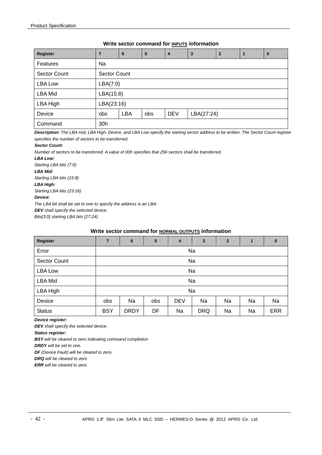#### **Write sector command for INPUTS information**

| Register            |            | 6                   | 5   | $\overline{4}$ | 3          | $\overline{2}$ |  | $\bf{0}$ |  |  |  |  |
|---------------------|------------|---------------------|-----|----------------|------------|----------------|--|----------|--|--|--|--|
| Features            | Na         |                     |     |                |            |                |  |          |  |  |  |  |
| <b>Sector Count</b> |            | <b>Sector Count</b> |     |                |            |                |  |          |  |  |  |  |
| <b>LBA Low</b>      |            | LBA(7:0)            |     |                |            |                |  |          |  |  |  |  |
| LBA Mid             | LBA(15:8)  |                     |     |                |            |                |  |          |  |  |  |  |
| LBA High            | LBA(23:16) |                     |     |                |            |                |  |          |  |  |  |  |
| Device              | obs        | <b>LBA</b>          | obs | <b>DEV</b>     | LBA(27:24) |                |  |          |  |  |  |  |
| Command             | 30h        |                     |     |                |            |                |  |          |  |  |  |  |

*Description: The LBA mid, LBA High, Device, and LBA Low specify the starting sector address to be written. The Sector Count register specifies the number of sectors to be transferred.* 

#### *Sector Count:*

*Number of sectors to be transferred. A value of 00h specifies that 256 sectors shall be transferred.* 

*LBA Low: Starting LBA bits (7:0) LBA Mid: Starting LBA bits (15:8) LBA High: Starting LBA bits (23:16) Device: The LBA bit shall be set to one to specify the address is an LBA.* 

*DEV shall specify the selected device.* 

*Bits(3:0) starting LBA bits (27:24)* 

## **Write sector command for NORMAL OUTPUTS information**

| Register            | $\overline{7}$ | 6           | $5\phantom{1}$                      | $\overline{4}$ | 3          | $\overline{2}$ |    | $\bf{0}$   |
|---------------------|----------------|-------------|-------------------------------------|----------------|------------|----------------|----|------------|
| Error               | Na             |             |                                     |                |            |                |    |            |
| <b>Sector Count</b> |                | Na          |                                     |                |            |                |    |            |
| <b>LBA Low</b>      |                | Na          |                                     |                |            |                |    |            |
| <b>LBA Mid</b>      |                |             |                                     |                | Na         |                |    |            |
| LBA High            |                |             |                                     |                | Na         |                |    |            |
| Device              | obs            | Na          | <b>DEV</b><br>Na<br>Na<br>obs<br>Na |                |            |                |    |            |
| <b>Status</b>       | <b>BSY</b>     | <b>DRDY</b> | DF                                  | Na             | <b>DRQ</b> | Na             | Na | <b>ERR</b> |

*Device register:* 

*DEV shall specify the selected device.* 

*Status register:* 

*BSY will be cleared to zero indicating command completion* 

*DRDY will be set to one.* 

*DF (Device Fault) will be cleared to zero.* 

*DRQ will be cleared to zero* 

*ERR will be cleared to zero.*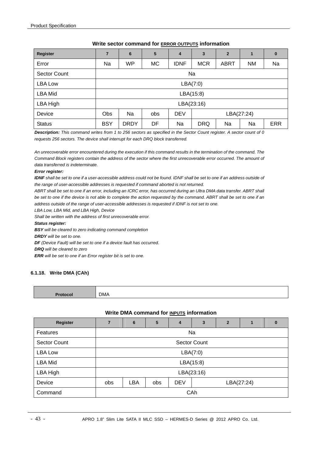| <b>Register</b> |            | 6           | 5         | 4           | 3          | $\mathbf{2}$ |           | 0          |  |
|-----------------|------------|-------------|-----------|-------------|------------|--------------|-----------|------------|--|
| Error           | Na         | <b>WP</b>   | <b>MC</b> | <b>IDNF</b> | <b>MCR</b> | <b>ABRT</b>  | <b>NM</b> | Na         |  |
| Sector Count    |            |             |           |             | Na         |              |           |            |  |
| <b>LBA Low</b>  | LBA(7:0)   |             |           |             |            |              |           |            |  |
| LBA Mid         |            |             |           |             | LBA(15:8)  |              |           |            |  |
| LBA High        |            |             |           |             | LBA(23:16) |              |           |            |  |
| Device          | <b>Obs</b> | Na          | obs       | <b>DEV</b>  | LBA(27:24) |              |           |            |  |
| <b>Status</b>   | <b>BSY</b> | <b>DRDY</b> | DF        | Na          | <b>DRQ</b> | Na           | Na        | <b>ERR</b> |  |

#### **Write sector command for ERROR OUTPUTS information**

*Description: This command writes from 1 to 256 sectors as specified in the Sector Count register. A sector count of 0 requests 256 sectors. The device shall interrupt for each DRQ block transferred.* 

*An unrecoverable error encountered during the execution if this command results in the termination of the command. The Command Block registers contain the address of the sector where the first unrecoverable error occurred. The amount of data transferred is indeterminate.* 

#### *Error register:*

**IDNF** shall be set to one if a user-accessible address could not be found. IDNF shall be set to one if an address outside of *the range of user-accessible addresses is requested if command aborted is not returned.* 

ABRT shall be set to one if an error, including an ICRC error, has occurred during an Ultra DMA data transfer. ABRT shall *be set to one if the device is not able to complete the action requested by the command. ABRT shall be set to one if an address outside of the range of user-accessible addresses is requested if IDNF is not set to one.* 

*LBA Low, LBA Mid, and LBA High, Device* 

*Shall be written with the address of first unrecoverable error.* 

#### *Status register:*

*BSY will be cleared to zero indicating command completion* 

*DRDY will be set to one.* 

*DF (Device Fault) will be set to one if a device fault has occurred.* 

*DRQ will be cleared to zero* 

*ERR will be set to one if an Error register bit is set to one.* 

#### **6.1.18. Write DMA (CAh)**

| $T = -1$ | <b>DMA</b> |
|----------|------------|

#### **Write DMA command for INPUTS information**

| Register            |     | 6          | 5   | 4          | 3                   | $\overline{2}$ | 1 | 0 |  |
|---------------------|-----|------------|-----|------------|---------------------|----------------|---|---|--|
| Features            |     |            |     | Na         |                     |                |   |   |  |
| <b>Sector Count</b> |     |            |     |            | <b>Sector Count</b> |                |   |   |  |
| <b>LBA Low</b>      |     | LBA(7:0)   |     |            |                     |                |   |   |  |
| <b>LBA Mid</b>      |     |            |     | LBA(15:8)  |                     |                |   |   |  |
| LBA High            |     |            |     | LBA(23:16) |                     |                |   |   |  |
| Device              | obs | <b>LBA</b> | obs | <b>DEV</b> | LBA(27:24)          |                |   |   |  |
| Command             |     |            |     | CAh        |                     |                |   |   |  |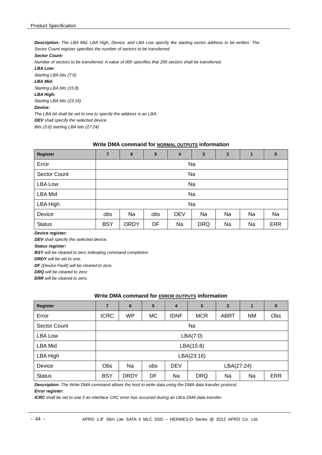*Description: The LBA Mid, LBA High, Device, and LBA Low specify the starting sector address to be written. The Sector Count register specifies the number of sectors to be transferred.* 

*Sector Count:* 

*Number of sectors to be transferred. A value of 00h specifies that 256 sectors shall be transferred.* 

*LBA Low: Starting LBA bits (7:0) LBA Mid: Starting LBA bits (15:8)* 

*LBA High: Starting LBA bits (23:16)* 

*Device:* 

*The LBA bit shall be set to one to specify the address is an LBA.* 

*DEV shall specify the selected device.* 

*Bits (3:0) starting LBA bits (27:24)* 

#### **Write DMA command for NORMAL OUTPUTS information**

| Register            | $\overline{7}$ | 6                                         | 5  | 4  | 3          | $\overline{2}$ | $\blacksquare$ | $\bf{0}$   |  |
|---------------------|----------------|-------------------------------------------|----|----|------------|----------------|----------------|------------|--|
| Error               |                | Na                                        |    |    |            |                |                |            |  |
| <b>Sector Count</b> |                | Na                                        |    |    |            |                |                |            |  |
| <b>LBA Low</b>      |                | Na                                        |    |    |            |                |                |            |  |
| <b>LBA Mid</b>      |                |                                           |    |    | Na         |                |                |            |  |
| LBA High            |                |                                           |    |    | Na         |                |                |            |  |
| Device              | obs            | Na<br><b>DEV</b><br>Na<br>obs<br>Na<br>Na |    |    |            |                |                |            |  |
| <b>Status</b>       | <b>BSY</b>     | <b>DRDY</b>                               | DF | Na | <b>DRQ</b> | Na             | Na             | <b>ERR</b> |  |

*Device register:* 

*DEV shall specify the selected device.* 

*Status register:* 

*BSY will be cleared to zero indicating command completion* 

*DRDY will be set to one.* 

*DF (Device Fault) will be cleared to zero.* 

*DRQ will be cleared to zero* 

*ERR will be cleared to zero.* 

#### **Write DMA command for ERROR OUTPUTS information**

| <b>Register</b>     | 7           | 6           | 5         | 4           | 3          | $\overline{2}$ | 1  | $\bf{0}$   |  |
|---------------------|-------------|-------------|-----------|-------------|------------|----------------|----|------------|--|
| Error               | <b>ICRC</b> | WP          | <b>MC</b> | <b>IDNF</b> | <b>MCR</b> | <b>ABRT</b>    | ΝM | Obs        |  |
| <b>Sector Count</b> |             |             |           |             | Na         |                |    |            |  |
| <b>LBA Low</b>      |             | LBA(7:0)    |           |             |            |                |    |            |  |
| <b>LBA Mid</b>      |             |             |           |             | LBA(15:8)  |                |    |            |  |
| LBA High            |             |             |           |             | LBA(23:16) |                |    |            |  |
| Device              | <b>Obs</b>  | Na          | obs       | <b>DEV</b>  | LBA(27:24) |                |    |            |  |
| <b>Status</b>       | <b>BSY</b>  | <b>DRDY</b> | DF        | Na          | <b>DRQ</b> | Na             | Na | <b>ERR</b> |  |

*Description: The Write DMA command allows the host to write data using the DMA data transfer protocol.* 

*Error register:* 

*ICRC shall be set to one if an interface CRC error has occurred during an Ultra DMA data transfer.*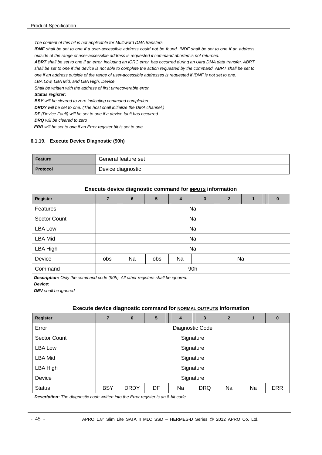*The content of this bit is not applicable for Multiword DMA transfers.* 

*IDNF shall be set to one if a user-accessible address could not be found. INDF shall be set to one if an address outside of the range of user-accessible address is requested if command aborted is not returned.* 

*ABRT shall be set to one if an error, including an ICRC error, has occurred during an Ultra DMA data transfer. ABRT shall be set to one if the device is not able to complete the action requested by the command. ABRT shall be set to* 

*one if an address outside of the range of user-accessible addresses is requested if IDNF is not set to one.* 

*LBA Low, LBA Mid, and LBA High, Device* 

*Shall be written with the address of first unrecoverable error.* 

#### *Status register:*

*BSY will be cleared to zero indicating command completion DRDY will be set to one. (The host shall initialize the DMA channel.) DF (Device Fault) will be set to one if a device fault has occurred. DRQ will be cleared to zero* 

*ERR will be set to one if an Error register bit is set to one.* 

#### **6.1.19. Execute Device Diagnostic (90h)**

| Feature         | General feature set |
|-----------------|---------------------|
| <b>Protocol</b> | Device diagnostic   |

#### **Execute device diagnostic command for INPUTS information**

| Register            | $\overline{7}$ | 6                     | 5 | $\overline{4}$ | $\mathbf{3}$ | $\overline{2}$ | $\mathbf{1}$ | $\bf{0}$ |  |  |
|---------------------|----------------|-----------------------|---|----------------|--------------|----------------|--------------|----------|--|--|
| Features            |                | Na                    |   |                |              |                |              |          |  |  |
| <b>Sector Count</b> |                | Na                    |   |                |              |                |              |          |  |  |
| <b>LBA Low</b>      |                | Na                    |   |                |              |                |              |          |  |  |
| <b>LBA Mid</b>      |                |                       |   |                | Na           |                |              |          |  |  |
| LBA High            |                |                       |   |                | Na           |                |              |          |  |  |
| Device              | obs            | Na<br>Na<br>Na<br>obs |   |                |              |                |              |          |  |  |
| Command             |                | 90h                   |   |                |              |                |              |          |  |  |

*Description: Only the command code (90h). All other registers shall be ignored.* 

*Device:* 

*DEV shall be ignored.* 

#### **Execute device diagnostic command for NORMAL OUTPUTS information**

| Register            | 7          | 6               | 5  | 4  | 3          | $\overline{2}$ | 1  | $\bf{0}$   |  |  |
|---------------------|------------|-----------------|----|----|------------|----------------|----|------------|--|--|
| Error               |            | Diagnostic Code |    |    |            |                |    |            |  |  |
| <b>Sector Count</b> |            | Signature       |    |    |            |                |    |            |  |  |
| LBA Low             |            | Signature       |    |    |            |                |    |            |  |  |
| <b>LBA Mid</b>      |            |                 |    |    | Signature  |                |    |            |  |  |
| LBA High            |            |                 |    |    | Signature  |                |    |            |  |  |
| Device              |            | Signature       |    |    |            |                |    |            |  |  |
| <b>Status</b>       | <b>BSY</b> | <b>DRDY</b>     | DF | Na | <b>DRQ</b> | Na             | Na | <b>ERR</b> |  |  |

*Description: The diagnostic code written into the Error register is an 8-bit code.*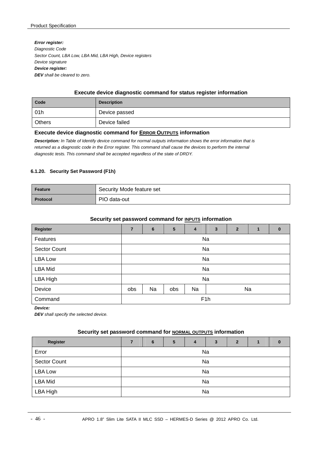*Error register: Diagnostic Code Sector Count, LBA Low, LBA Mid, LBA High, Device registers Device signature Device register: DEV shall be cleared to zero.* 

#### **Execute device diagnostic command for status register information**

| Code          | <b>Description</b> |
|---------------|--------------------|
| 01h           | Device passed      |
| <b>Others</b> | Device failed      |

#### **Execute device diagnostic command for ERROR OUTPUTS information**

*Description: In Table of Identify device command for normal outputs information shows the error information that is returned as a diagnostic code in the Error register. This command shall cause the devices to perform the internal diagnostic tests. This command shall be accepted regardless of the state of DRDY.* 

#### **6.1.20. Security Set Password (F1h)**

| Feature         | Security Mode feature set |
|-----------------|---------------------------|
| <b>Protocol</b> | PIO data-out              |

## Security set password command for **INPUTS** information

| <b>Register</b>     | $\overline{7}$ | 6  | 5   | 4  | 3                | $\overline{2}$ | 1  | $\bf{0}$ |
|---------------------|----------------|----|-----|----|------------------|----------------|----|----------|
| Features            | Na             |    |     |    |                  |                |    |          |
| <b>Sector Count</b> |                |    |     |    | Na               |                |    |          |
| <b>LBA Low</b>      | Na             |    |     |    |                  |                |    |          |
| <b>LBA Mid</b>      |                |    |     |    | Na               |                |    |          |
| LBA High            |                |    |     |    | Na               |                |    |          |
| Device              | obs            | Na | obs | Na |                  |                | Na |          |
| Command             |                |    |     |    | F <sub>1</sub> h |                |    |          |

*Device:* 

*DEV shall specify the selected device.* 

#### Security set password command for **NORMAL OUTPUTS** information

| <b>Register</b>     | 7 | 6  | 5 | 4 | 3  | $\mathbf{2}$ |  | 0 |  |  |
|---------------------|---|----|---|---|----|--------------|--|---|--|--|
| Error               |   | Na |   |   |    |              |  |   |  |  |
| <b>Sector Count</b> |   |    |   |   | Na |              |  |   |  |  |
| LBA Low             |   |    |   |   | Na |              |  |   |  |  |
| <b>LBA Mid</b>      |   | Na |   |   |    |              |  |   |  |  |
| LBA High            |   |    |   |   | Na |              |  |   |  |  |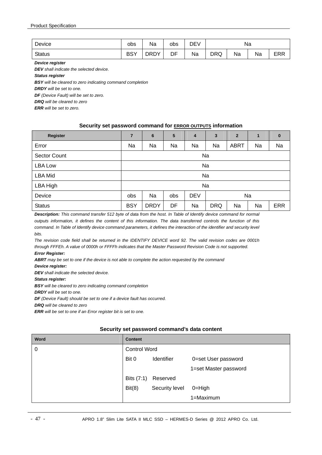| Device        | obs        | Na          | obs | DEV | Na              |  |  |            |
|---------------|------------|-------------|-----|-----|-----------------|--|--|------------|
| <b>Status</b> | <b>BSY</b> | <b>DRDY</b> | DF  | Na  | DRQ<br>Na<br>Na |  |  | <b>ERR</b> |

*Device register* 

*DEV shall indicate the selected device.* 

*Status register* 

*BSY will be cleared to zero indicating command completion* 

*DRDY will be set to one.* 

*DF (Device Fault) will be set to zero.* 

*DRQ will be cleared to zero* 

*ERR will be set to zero.* 

#### **Security set password command for ERROR OUTPUTS information**

| <b>Register</b>     | $\overline{7}$                       | $6\phantom{1}6$ | $5\phantom{.0}$ | 4  | 3          | $\overline{2}$ | 1  | $\bf{0}$   |  |
|---------------------|--------------------------------------|-----------------|-----------------|----|------------|----------------|----|------------|--|
| Error               | Na                                   | Na              | Na              | Na | Na         | <b>ABRT</b>    | Na | Na         |  |
| <b>Sector Count</b> |                                      | Na              |                 |    |            |                |    |            |  |
| <b>LBA Low</b>      |                                      | Na              |                 |    |            |                |    |            |  |
| <b>LBA Mid</b>      |                                      |                 |                 |    | Na         |                |    |            |  |
| LBA High            |                                      |                 |                 |    | Na         |                |    |            |  |
| Device              | <b>DEV</b><br>Na<br>Na<br>obs<br>obs |                 |                 |    |            |                |    |            |  |
| <b>Status</b>       | <b>BSY</b>                           | <b>DRDY</b>     | DF              | Na | <b>DRQ</b> | Na             | Na | <b>ERR</b> |  |

*Description: This command transfer 512 byte of data from the host. In Table of Identify device command for normal outputs information, it defines the content of this information. The data transferred controls the function of this*  command. In Table of Identify device command parameters, it defines the interaction of the identifier and security level *bits.* 

*The revision code field shall be returned in the IDENTIFY DEVICE word 92. The valid revision codes are 0001h through FFFEh. A value of 0000h or FFFFh indicates that the Master Password Revision Code is not supported.* 

#### *Error Register:*

*ABRT may be set to one if the device is not able to complete the action requested by the command* 

*Device register:* 

*DEV shall indicate the selected device.* 

*Status register:* 

*BSY will be cleared to zero indicating command completion* 

*DRDY will be set to one.* 

*DF (Device Fault) should be set to one if a device fault has occurred.* 

*DRQ will be cleared to zero* 

*ERR will be set to one if an Error register bit is set to one.* 

#### **Security set password command's data content**

| Word | <b>Content</b>      |                |                       |  |  |  |  |  |  |
|------|---------------------|----------------|-----------------------|--|--|--|--|--|--|
| 0    | <b>Control Word</b> |                |                       |  |  |  |  |  |  |
|      | Bit 0               | Identifier     | 0=set User password   |  |  |  |  |  |  |
|      |                     |                | 1=set Master password |  |  |  |  |  |  |
|      | Bits (7:1)          | Reserved       |                       |  |  |  |  |  |  |
|      | Bit(8)              | Security level | $0 = High$            |  |  |  |  |  |  |
|      |                     |                | 1=Maximum             |  |  |  |  |  |  |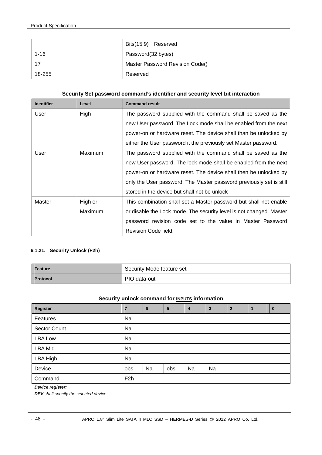|          | Bits(15:9) Reserved             |
|----------|---------------------------------|
| $1 - 16$ | Password(32 bytes)              |
|          | Master Password Revision Code() |
| 18-255   | Reserved                        |

#### **Security Set password command's identifier and security level bit interaction**

| <b>Identifier</b> | Level   | <b>Command result</b>                                               |
|-------------------|---------|---------------------------------------------------------------------|
| User              | High    | The password supplied with the command shall be saved as the        |
|                   |         | new User password. The Lock mode shall be enabled from the next     |
|                   |         | power-on or hardware reset. The device shall than be unlocked by    |
|                   |         | either the User password it the previously set Master password.     |
| User              | Maximum | The password supplied with the command shall be saved as the        |
|                   |         | new User password. The lock mode shall be enabled from the next     |
|                   |         | power-on or hardware reset. The device shall then be unlocked by    |
|                   |         | only the User password. The Master password previously set is still |
|                   |         | stored in the device but shall not be unlock                        |
| Master            | High or | This combination shall set a Master password but shall not enable   |
|                   | Maximum | or disable the Lock mode. The security level is not changed. Master |
|                   |         | password revision code set to the value in Master Password          |
|                   |         | Revision Code field.                                                |

#### **6.1.21. Security Unlock (F2h)**

| Feature         | Security Mode feature set |
|-----------------|---------------------------|
| <b>Protocol</b> | PIO data-out              |

#### **Security unlock command for <b>INPUTS** information

| Register            | 7                | 6  | 5   | $\overline{\mathbf{4}}$ | 3  | $\overline{2}$ |  | $\bf{0}$ |  |  |
|---------------------|------------------|----|-----|-------------------------|----|----------------|--|----------|--|--|
| Features            | Na               |    |     |                         |    |                |  |          |  |  |
| <b>Sector Count</b> | Na               |    |     |                         |    |                |  |          |  |  |
| LBA Low             | Na               |    |     |                         |    |                |  |          |  |  |
| <b>LBA Mid</b>      | Na               |    |     |                         |    |                |  |          |  |  |
| LBA High            | Na               |    |     |                         |    |                |  |          |  |  |
| Device              | obs              | Na | obs | Na                      | Na |                |  |          |  |  |
| Command             | F <sub>2</sub> h |    |     |                         |    |                |  |          |  |  |

#### *Device register:*

*DEV shall specify the selected device.*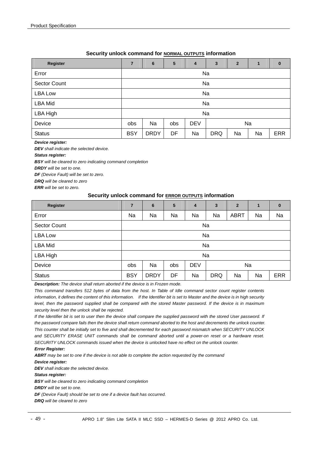#### **Security unlock command for NORMAL OUTPUTS information**

| Register            | 7                                    | 6           | 5  | 4  | 3          | $\overline{2}$ | 1  | $\bf{0}$   |  |
|---------------------|--------------------------------------|-------------|----|----|------------|----------------|----|------------|--|
| Error               | Na                                   |             |    |    |            |                |    |            |  |
| <b>Sector Count</b> |                                      | Na          |    |    |            |                |    |            |  |
| <b>LBA Low</b>      |                                      | Na          |    |    |            |                |    |            |  |
| <b>LBA Mid</b>      |                                      |             |    |    | Na         |                |    |            |  |
| LBA High            |                                      |             |    |    | Na         |                |    |            |  |
| Device              | <b>DEV</b><br>Na<br>Na<br>obs<br>obs |             |    |    |            |                |    |            |  |
| <b>Status</b>       | <b>BSY</b>                           | <b>DRDY</b> | DF | Na | <b>DRQ</b> | Na             | Na | <b>ERR</b> |  |

#### *Device register:*

*DEV shall indicate the selected device.* 

#### *Status register:*

*BSY will be cleared to zero indicating command completion* 

*DRDY will be set to one.* 

*DF (Device Fault) will be set to zero.* 

*DRQ will be cleared to zero* 

*ERR will be set to zero.* 

#### **Security unlock command for ERROR OUTPUTS information**

| Register            | 7                                    | 6           | 5  | $\overline{\mathbf{4}}$ | $\mathbf{3}$ | $\overline{2}$ | 1  | $\mathbf{0}$ |  |
|---------------------|--------------------------------------|-------------|----|-------------------------|--------------|----------------|----|--------------|--|
| Error               | Na                                   | Na          | Na | Na                      | Na           | <b>ABRT</b>    | Na | Na           |  |
| <b>Sector Count</b> |                                      | Na          |    |                         |              |                |    |              |  |
| <b>LBA Low</b>      |                                      | Na          |    |                         |              |                |    |              |  |
| <b>LBA Mid</b>      |                                      |             |    |                         | Na           |                |    |              |  |
| LBA High            |                                      |             |    |                         | Na           |                |    |              |  |
| Device              | <b>DEV</b><br>Na<br>Na<br>obs<br>obs |             |    |                         |              |                |    |              |  |
| <b>Status</b>       | <b>BSY</b>                           | <b>DRDY</b> | DF | Na                      | <b>DRQ</b>   | Na             | Na | <b>ERR</b>   |  |

*Description: The device shall return aborted if the device is in Frozen mode.* 

*This command transfers 512 bytes of data from the host. In Table of Idle command sector count register contents information, it defines the content of this information. If the Identifier bit is set to Master and the device is in high security level, then the password supplied shall be compared with the stored Master password. If the device is in maximum security level then the unlock shall be rejected.* 

If the Identifier bit is set to user then the device shall compare the supplied password with the stored User password. If *the password compare fails then the device shall return command aborted to the host and decrements the unlock counter. This counter shall be initially set to five and shall decremented for each password mismatch when SECURITY UNLOCK and SECURITY ERASE UNIT commands shall be command aborted until a power-on reset or a hardware reset. SECURITY UNLOCK commands issued when the device is unlocked have no effect on the unlock counter.* 

#### *Error Register:*

*ABRT may be set to one if the device is not able to complete the action requested by the command* 

*Device register:* 

*DEV shall indicate the selected device.* 

#### *Status register:*

*BSY will be cleared to zero indicating command completion DRDY will be set to one. DF (Device Fault) should be set to one if a device fault has occurred. DRQ will be cleared to zero*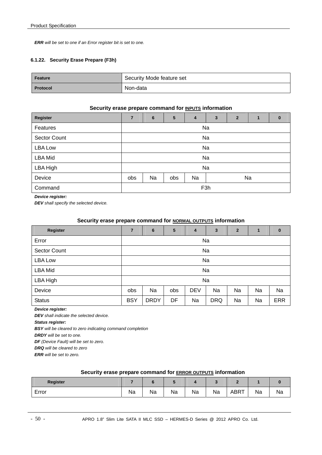*ERR will be set to one if an Error register bit is set to one.* 

#### **6.1.22. Security Erase Prepare (F3h)**

| Feature         | Security Mode feature set |
|-----------------|---------------------------|
| <b>Protocol</b> | Non-data                  |

#### **Security erase prepare command for <b>INPUTS** information

| Register            | $\overline{7}$               | 6                | 5 | 4 | $\overline{3}$ | $\overline{2}$ | 1 | $\bf{0}$ |  |  |  |
|---------------------|------------------------------|------------------|---|---|----------------|----------------|---|----------|--|--|--|
| Features            |                              | Na               |   |   |                |                |   |          |  |  |  |
| <b>Sector Count</b> |                              | Na               |   |   |                |                |   |          |  |  |  |
| <b>LBA Low</b>      |                              |                  |   |   | Na             |                |   |          |  |  |  |
| LBA Mid             |                              |                  |   |   | Na             |                |   |          |  |  |  |
| LBA High            |                              |                  |   |   | Na             |                |   |          |  |  |  |
| Device              | Na<br>Na<br>Na<br>obs<br>obs |                  |   |   |                |                |   |          |  |  |  |
| Command             |                              | F <sub>3</sub> h |   |   |                |                |   |          |  |  |  |

*Device register:* 

*DEV shall specify the selected device.* 

#### **Security erase prepare command for NORMAL OUTPUTS information**

| Register            | $\overline{7}$ | $6\phantom{1}$ | 5   | 4          | 3          | $\overline{2}$ | 1  | $\bf{0}$   |
|---------------------|----------------|----------------|-----|------------|------------|----------------|----|------------|
| Error               | Na             |                |     |            |            |                |    |            |
| <b>Sector Count</b> | Na             |                |     |            |            |                |    |            |
| <b>LBA Low</b>      | Na             |                |     |            |            |                |    |            |
| <b>LBA Mid</b>      |                |                |     |            | Na         |                |    |            |
| LBA High            |                |                |     |            | Na         |                |    |            |
| Device              | obs            | Na             | obs | <b>DEV</b> | Na         | Na             | Na | Na         |
| <b>Status</b>       | <b>BSY</b>     | <b>DRDY</b>    | DF  | Na         | <b>DRQ</b> | Na             | Na | <b>ERR</b> |

*Device register:* 

*DEV shall indicate the selected device.* 

*Status register:* 

*BSY will be cleared to zero indicating command completion* 

*DRDY will be set to one.* 

*DF (Device Fault) will be set to zero.* 

*DRQ will be cleared to zero* 

*ERR will be set to zero.* 

#### **Security erase prepare command for ERROR OUTPUTS information**

| Register |    |    |    |    |    |      |    |    |
|----------|----|----|----|----|----|------|----|----|
| Error    | Na | Na | ма | Na | Na | ABRT | Na | Na |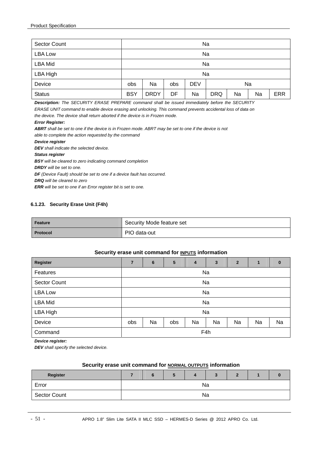| <b>Sector Count</b> |            | Na          |     |            |            |    |    |            |
|---------------------|------------|-------------|-----|------------|------------|----|----|------------|
| <b>LBA Low</b>      |            |             |     |            | Na         |    |    |            |
| <b>LBA Mid</b>      |            | Na          |     |            |            |    |    |            |
| LBA High            |            |             |     |            | Na         |    |    |            |
| Device              | obs        | Na          | obs | <b>DEV</b> | Na         |    |    |            |
| <b>Status</b>       | <b>BSY</b> | <b>DRDY</b> | DF  | Na         | <b>DRQ</b> | Na | Na | <b>ERR</b> |

*Description: The SECURITY ERASE PREPARE command shall be issued immediately before the SECURITY ERASE UNIT command to enable device erasing and unlocking. This command prevents accidental loss of data on the device. The device shall return aborted if the device is in Frozen mode.* 

#### *Error Register:*

*ABRT shall be set to one if the device is in Frozen mode. ABRT may be set to one if the device is not able to complete the action requested by the command Device register DEV shall indicate the selected device. Status register BSY will be cleared to zero indicating command completion DRDY will be set to one. DF (Device Fault) should be set to one if a device fault has occurred. DRQ will be cleared to zero* 

*ERR will be set to one if an Error register bit is set to one.* 

#### **6.1.23. Security Erase Unit (F4h)**

| Feature  | Security Mode feature set |
|----------|---------------------------|
| Protocol | PIO data-out              |

#### **Security erase unit command for <b>INPUTS** information

| <b>Register</b>     | 7   | 6   | 5   | 4  | 3  | $\mathbf{2}$ | 1  | $\bf{0}$ |  |
|---------------------|-----|-----|-----|----|----|--------------|----|----------|--|
| Features            |     | Na  |     |    |    |              |    |          |  |
| <b>Sector Count</b> | Na  |     |     |    |    |              |    |          |  |
| <b>LBA Low</b>      | Na  |     |     |    |    |              |    |          |  |
| <b>LBA Mid</b>      |     |     |     |    | Na |              |    |          |  |
| LBA High            |     |     |     |    | Na |              |    |          |  |
| Device              | obs | Na  | obs | Na | Na | Na           | Na | Na       |  |
| Command             |     | F4h |     |    |    |              |    |          |  |

*Device register:* 

*DEV shall specify the selected device.* 

#### **Security erase unit command for NORMAL OUTPUTS information**

| Register            |  |  |    |  |  |
|---------------------|--|--|----|--|--|
| Error               |  |  | Na |  |  |
| <b>Sector Count</b> |  |  | Na |  |  |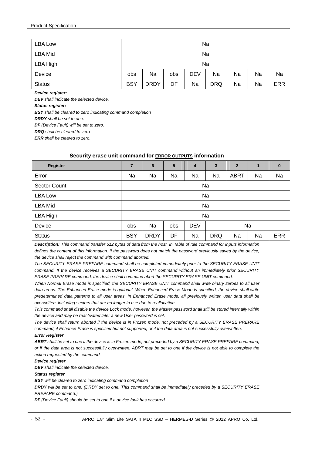| <b>LBA Low</b> |            | Na          |     |            |            |    |    |            |
|----------------|------------|-------------|-----|------------|------------|----|----|------------|
| <b>LBA Mid</b> |            | Na          |     |            |            |    |    |            |
| LBA High       |            | Na          |     |            |            |    |    |            |
| Device         | obs        | Na          | obs | <b>DEV</b> | Na         | Na | Na | Na         |
| <b>Status</b>  | <b>BSY</b> | <b>DRDY</b> | DF  | Na         | <b>DRQ</b> | Na | Na | <b>ERR</b> |

*Device register:* 

*DEV shall indicate the selected device.* 

*Status register:* 

*BSY shall be cleared to zero indicating command completion* 

*DRDY shall be set to one.* 

*DF (Device Fault) will be set to zero.* 

*DRQ shall be cleared to zero* 

*ERR shall be cleared to zero.* 

#### **Security erase unit command for ERROR OUTPUTS information**

| Register            | $\overline{7}$ | 6           | 5   | 4          | $\mathbf{3}$ | $\overline{2}$ | $\mathbf{1}$ | $\bf{0}$   |  |
|---------------------|----------------|-------------|-----|------------|--------------|----------------|--------------|------------|--|
| Error               | Na             | Na          | Na  | Na         | Na           | <b>ABRT</b>    | Na           | Na         |  |
| <b>Sector Count</b> |                |             |     | Na         |              |                |              |            |  |
| <b>LBA Low</b>      | Na             |             |     |            |              |                |              |            |  |
| <b>LBA Mid</b>      |                |             |     |            | Na           |                |              |            |  |
| LBA High            |                |             |     |            | Na           |                |              |            |  |
| Device              | obs            | Na          | obs | <b>DEV</b> | Na           |                |              |            |  |
| <b>Status</b>       | <b>BSY</b>     | <b>DRDY</b> | DF  | Na         | <b>DRQ</b>   | Na             | Na           | <b>ERR</b> |  |

*Description: This command transfer 512 bytes of data from the host. In Table of Idle command for inputs information defines the content of this information. If the password does not match the password previously saved by the device, the device shall reject the command with command aborted.* 

*The SECURITY ERASE PREPARE command shall be completed immediately prior to the SECURITY ERASE UNIT command. If the device receives a SECURITY ERASE UNIT command without an immediately prior SECURITY ERASE PREPARE command, the device shall command abort the SECURITY ERASE UNIT command.* 

*When Normal Erase mode is specified, the SECURITY ERASE UNIT command shall write binary zeroes to all user*  data areas. The Enhanced Erase mode is optional. When Enhanced Erase Mode is specified, the device shall write *predetermined data patterns to all user areas. In Enhanced Erase mode, all previously written user data shall be overwritten, including sectors that are no longer in use due to reallocation.* 

*This command shall disable the device Lock mode, however, the Master password shall still be stored internally within the device and may be reactivated later a new User password is set.* 

*The device shall return aborted if the device is in Frozen mode, not preceded by a SECURITY ERASE PREPARE command, if Enhance Erase is specified but not supported, or if the data area is not successfully overwritten.* 

#### *Error Register*

*ABRT shall be set to one if the device is in Frozen mode, not preceded by a SECURITY ERASE PREPARE command, or if the data area is not successfully overwritten. ABRT may be set to one if the device is not able to complete the action requested by the command.* 

#### *Device register*

*DEV shall indicate the selected device.* 

#### *Status register*

*BSY will be cleared to zero indicating command completion* 

*DRDY will be set to one. (DRDY set to one. This command shall be immediately preceded by a SECURITY ERASE PREPARE command.)* 

*DF (Device Fault) should be set to one if a device fault has occurred.*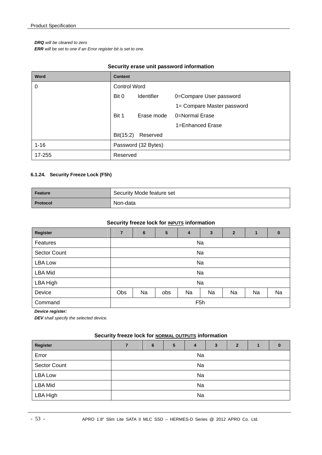#### *DRQ will be cleared to zero*

*ERR will be set to one if an Error register bit is set to one.* 

| Word     | <b>Content</b>      |                     |                            |
|----------|---------------------|---------------------|----------------------------|
| 0        | <b>Control Word</b> |                     |                            |
|          | Bit 0               | <b>Identifier</b>   | 0=Compare User password    |
|          |                     |                     | 1= Compare Master password |
|          | Bit 1               | Erase mode          | 0=Normal Erase             |
|          |                     |                     | 1=Enhanced Erase           |
|          | Bit(15:2)           | Reserved            |                            |
| $1 - 16$ |                     | Password (32 Bytes) |                            |
| 17-255   | Reserved            |                     |                            |

#### **6.1.24. Security Freeze Lock (F5h)**

| Feature         | Security Mode feature set |
|-----------------|---------------------------|
| <b>Protocol</b> | Non-data                  |

#### **Security freeze lock for <b>INPUTS** information

| <b>Register</b>     | $\overline{7}$ | $6\phantom{1}6$ | 5   | 4                | $\mathbf{3}$ | $\overline{2}$ |    | $\bf{0}$ |
|---------------------|----------------|-----------------|-----|------------------|--------------|----------------|----|----------|
| Features            |                |                 |     |                  | Na           |                |    |          |
| <b>Sector Count</b> |                |                 |     |                  | Na           |                |    |          |
| <b>LBA Low</b>      |                | Na              |     |                  |              |                |    |          |
| <b>LBA Mid</b>      |                |                 |     |                  | Na           |                |    |          |
| LBA High            |                |                 |     |                  | Na           |                |    |          |
| Device              | Obs            | Na              | obs | Na               | Na           | Na             | Na | Na       |
| Command             |                |                 |     | F <sub>5</sub> h |              |                |    |          |

#### *Device register:*

*DEV shall specify the selected device.* 

#### **Security freeze lock for NORMAL OUTPUTS information**

| Register            |    | 6  | 5 | 4  |  | $\mathbf{2}$ |  |  |  |  |
|---------------------|----|----|---|----|--|--------------|--|--|--|--|
| Error               |    | Na |   |    |  |              |  |  |  |  |
| <b>Sector Count</b> | Na |    |   |    |  |              |  |  |  |  |
| <b>LBA Low</b>      |    |    |   | Na |  |              |  |  |  |  |
| <b>LBA Mid</b>      | Na |    |   |    |  |              |  |  |  |  |
| LBA High            | Na |    |   |    |  |              |  |  |  |  |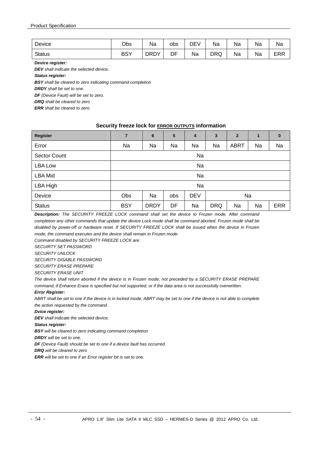| Device        | Obs        | Na          | obs        | ∪⊐ת<br>$\mathbf{v}$<br>َ ب<br><u>—</u> | Na         | ма | Na | Na         |
|---------------|------------|-------------|------------|----------------------------------------|------------|----|----|------------|
| <b>Status</b> | <b>BSY</b> | <b>DRDY</b> | י ∟ר<br>וש | Na                                     | <b>DRQ</b> | Na | Na | <b>ERR</b> |

*Device register:* 

*DEV shall indicate the selected device.* 

*Status register:* 

*BSY shall be cleared to zero indicating command completion* 

*DRDY shall be set to one.* 

*DF (Device Fault) will be set to zero.* 

*DRQ shall be cleared to zero* 

*ERR shall be cleared to zero.* 

#### **Security freeze lock for ERROR OUTPUTS information**

| <b>Register</b>     | $\overline{7}$                       | 6           | 5  | 4  | 3          | $\overline{2}$ | 1  | $\bf{0}$   |
|---------------------|--------------------------------------|-------------|----|----|------------|----------------|----|------------|
| Error               | Na                                   | Na          | Na | Na | Na         | <b>ABRT</b>    | Na | Na         |
| <b>Sector Count</b> | Na                                   |             |    |    |            |                |    |            |
| <b>LBA Low</b>      | Na                                   |             |    |    |            |                |    |            |
| <b>LBA Mid</b>      |                                      |             |    | Na |            |                |    |            |
| LBA High            |                                      |             |    | Na |            |                |    |            |
| Device              | <b>DEV</b><br>Obs<br>Na<br>Na<br>obs |             |    |    |            |                |    |            |
| <b>Status</b>       | <b>BSY</b>                           | <b>DRDY</b> | DF | Na | <b>DRQ</b> | Na             | Na | <b>ERR</b> |

*Description: The SECURITY FREEZE LOCK command shall set the device to Frozen mode. After command completion any other commands that update the device Lock mode shall be command aborted. Frozen mode shall be disabled by power-off or hardware reset. If SECURITY FREEZE LOCK shall be issued when the device in Frozen mode, the command executes and the device shall remain in Frozen mode.* 

*Command disabled by SECURITY FREEZE LOCK are:* 

*SECUIRTY SET PASSWORD* 

*SECURITY UNLOCK* 

*SECURITY DISABLE PASSWORD* 

*SECURITY ERASE PREPARE* 

*SECURITY ERASE UNIT* 

*The device shall return aborted if the device is in Frozen mode, not preceded by a SECURITY ERASE PREPARE command, if Enhance Erase is specified but not supported, or if the data area is not successfully overwritten.* 

#### *Error Register:*

ABRT shall be set to one if the device is in locked mode. ABRT may be set to one if the device is not able to complete *the action requested by the command.* 

#### *Dvice register:*

*DEV shall indicate the selected device.* 

*Status register:* 

*BSY will be cleared to zero indicating command completion* 

*DRDY will be set to one.* 

*DF (Device Fault) should be set to one if a device fault has occurred.* 

*DRQ will be cleared to zero* 

*ERR will be set to one if an Error register bit is set to one.*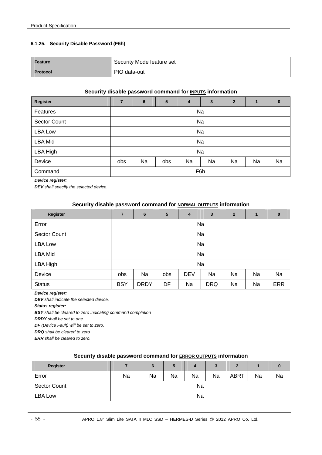#### **6.1.25. Security Disable Password (F6h)**

| Feature         | Security Mode feature set |
|-----------------|---------------------------|
| <b>Protocol</b> | PIO data-out              |

## **Security disable password command for INPUTS information**

| <b>Register</b>     | $\overline{7}$                                 | $6\phantom{1}6$ | 5 | 4 | $\mathbf{3}$ | $\overline{2}$ | 1 | $\mathbf{0}$ |
|---------------------|------------------------------------------------|-----------------|---|---|--------------|----------------|---|--------------|
| Features            |                                                | Na              |   |   |              |                |   |              |
| <b>Sector Count</b> |                                                | Na              |   |   |              |                |   |              |
| <b>LBA Low</b>      |                                                | Na              |   |   |              |                |   |              |
| <b>LBA Mid</b>      |                                                |                 |   |   | Na           |                |   |              |
| LBA High            |                                                |                 |   |   | Na           |                |   |              |
| Device              | Na<br>Na<br>Na<br>obs<br>Na<br>Na<br>obs<br>Na |                 |   |   |              |                |   |              |
| Command             |                                                | F6h             |   |   |              |                |   |              |

*Device register:* 

*DEV shall specify the selected device.* 

#### **Security disable password command for NORMAL OUTPUTS information**

| <b>Register</b>     | $\overline{7}$                                         | 6           | 5  | 4  | 3          | $\overline{2}$ | $\mathbf{1}$ | $\bf{0}$   |
|---------------------|--------------------------------------------------------|-------------|----|----|------------|----------------|--------------|------------|
| Error               |                                                        | Na          |    |    |            |                |              |            |
| <b>Sector Count</b> |                                                        | Na          |    |    |            |                |              |            |
| <b>LBA Low</b>      |                                                        | Na          |    |    |            |                |              |            |
| <b>LBA Mid</b>      |                                                        |             |    |    | Na         |                |              |            |
| LBA High            |                                                        |             |    |    | Na         |                |              |            |
| Device              | Na<br>Na<br><b>DEV</b><br>Na<br>Na<br>Na<br>obs<br>obs |             |    |    |            |                |              |            |
| <b>Status</b>       | <b>BSY</b>                                             | <b>DRDY</b> | DF | Na | <b>DRQ</b> | Na             | Na           | <b>ERR</b> |

#### *Device register:*

*DEV shall indicate the selected device.* 

*Status register:* 

*BSY shall be cleared to zero indicating command completion* 

*DRDY shall be set to one.* 

*DF (Device Fault) will be set to zero.* 

*DRQ shall be cleared to zero* 

*ERR shall be cleared to zero.* 

#### **Security disable password command for ERROR OUTPUTS information**

| <b>Register</b>     |    | 6  | 5  | 4  | 3  | 2           |    | υ  |
|---------------------|----|----|----|----|----|-------------|----|----|
| Error               | Na | Na | Na | Na | Na | <b>ABRT</b> | Na | Na |
| <b>Sector Count</b> | Na |    |    |    |    |             |    |    |
| <b>LBA Low</b>      | Na |    |    |    |    |             |    |    |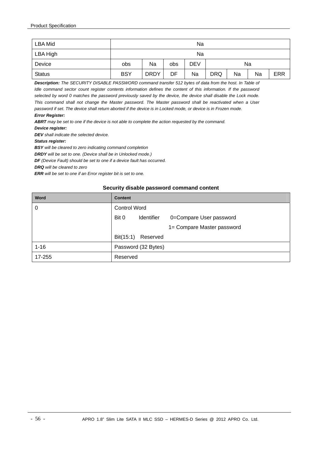| LBA Mid       | Na                                                                            |    |     |            |  |    |  |  |
|---------------|-------------------------------------------------------------------------------|----|-----|------------|--|----|--|--|
| LBA High      |                                                                               | Na |     |            |  |    |  |  |
| Device        | obs                                                                           | Na | obs | <b>DEV</b> |  | Na |  |  |
| <b>Status</b> | <b>BSY</b><br><b>DRDY</b><br><b>DRQ</b><br><b>ERR</b><br>DF<br>Na<br>Na<br>Na |    |     |            |  |    |  |  |

*Description: The SECURITY DISABLE PASSWORD command transfer 512 bytes of data from the host. In Table of Idle command sector count register contents information defines the content of this information. If the password selected by word 0 matches the password previously saved by the device, the device shall disable the Lock mode. This command shall not change the Master password. The Master password shall be reactivated when a User password if set. The device shall return aborted if the device is in Locked mode, or device is in Frozen mode. Error Register:*

*ABRT may be set to one if the device is not able to complete the action requested by the command.* 

*Device register:* 

*DEV shall indicate the selected device.* 

*Status register:* 

*BSY will be cleared to zero indicating command completion* 

*DRDY will be set to one. (Device shall be in Unlocked mode.)* 

*DF (Device Fault) should be set to one if a device fault has occurred.* 

*DRQ will be cleared to zero* 

*ERR will be set to one if an Error register bit is set to one.* 

#### **Security disable password command content**

| Word     | <b>Content</b>                                 |  |  |  |  |  |
|----------|------------------------------------------------|--|--|--|--|--|
| 0        | <b>Control Word</b>                            |  |  |  |  |  |
|          | Bit 0<br>Identifier<br>0=Compare User password |  |  |  |  |  |
|          | 1= Compare Master password                     |  |  |  |  |  |
|          | Bit(15:1)<br>Reserved                          |  |  |  |  |  |
| $1 - 16$ | Password (32 Bytes)                            |  |  |  |  |  |
| 17-255   | Reserved                                       |  |  |  |  |  |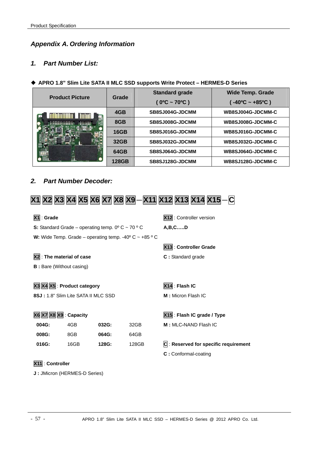## *Appendix A. Ordering Information*

## *1. Part Number List:*

## **APRO 1.8" Slim Lite SATA II MLC SSD supports Write Protect – HERMES-D Series**

| <b>Product Picture</b> | Grade       | <b>Standard grade</b>        | <b>Wide Temp. Grade</b>  |
|------------------------|-------------|------------------------------|--------------------------|
|                        |             | $(0^{\circ}C - 70^{\circ}C)$ | $-40^{\circ}$ C ~ +85°C) |
| iliimiiliin l          | 4GB         | SB8SJ004G-JDCMM              | WB8SJ004G-JDCMM-C        |
|                        | 8GB         | SB8SJ008G-JDCMM              | WB8SJ008G-JDCMM-C        |
|                        | <b>16GB</b> | SB8SJ016G-JDCMM              | WB8SJ016G-JDCMM-C        |
|                        | 32GB        | SB8SJ032G-JDCMM              | WB8SJ032G-JDCMM-C        |
|                        | 64GB        | SB8SJ064G-JDCMM              | WB8SJ064G-JDCMM-C        |
|                        | 128GB       | SB8SJ128G-JDCMM              | WB8SJ128G-JDCMM-C        |

## *2. Part Number Decoder:*

# **X1 X2 X3 X4 X5 X6 X7 X8 X9**-**X11 X12 X13 X14 X15**-**C**

| $ X1 $ : Grade                                                          |      |       |       | X12: Controller version          |  |  |  |
|-------------------------------------------------------------------------|------|-------|-------|----------------------------------|--|--|--|
| S: Standard Grade – operating temp. $0^{\circ}$ C ~ 70 $^{\circ}$ C     |      |       |       | A, B, CD                         |  |  |  |
| W: Wide Temp. Grade – operating temp. -40 $\degree$ C ~ +85 $\degree$ C |      |       |       |                                  |  |  |  |
|                                                                         |      |       |       | X13: Controller Grade            |  |  |  |
| X2 : The material of case                                               |      |       |       | C: Standard grade                |  |  |  |
| <b>B</b> : Bare (Without casing)                                        |      |       |       |                                  |  |  |  |
|                                                                         |      |       |       |                                  |  |  |  |
| X3 X4 X5 : Product category                                             |      |       |       | X14: Flash IC                    |  |  |  |
| 8SJ: 1.8" Slim Lite SATA II MLC SSD                                     |      |       |       | M: Micron Flash IC               |  |  |  |
|                                                                         |      |       |       |                                  |  |  |  |
| X6 X7 X8 X9 : Capacity                                                  |      |       |       | X15 : Flash IC grade / Type      |  |  |  |
| 004G:                                                                   | 4GB  | 032G: | 32GB  | M: MLC-NAND Flash IC             |  |  |  |
| 008G:                                                                   | 8GB  | 064G: | 64GB  |                                  |  |  |  |
| 016G:                                                                   | 16GB | 128G: | 128GB | $ C $ : Reserved for specific re |  |  |  |
|                                                                         |      |       |       | C: Conformal-coating             |  |  |  |
| X11 : Controller                                                        |      |       |       |                                  |  |  |  |
| J : JMicron (HERMES-D Series)                                           |      |       |       |                                  |  |  |  |

 $requirement$